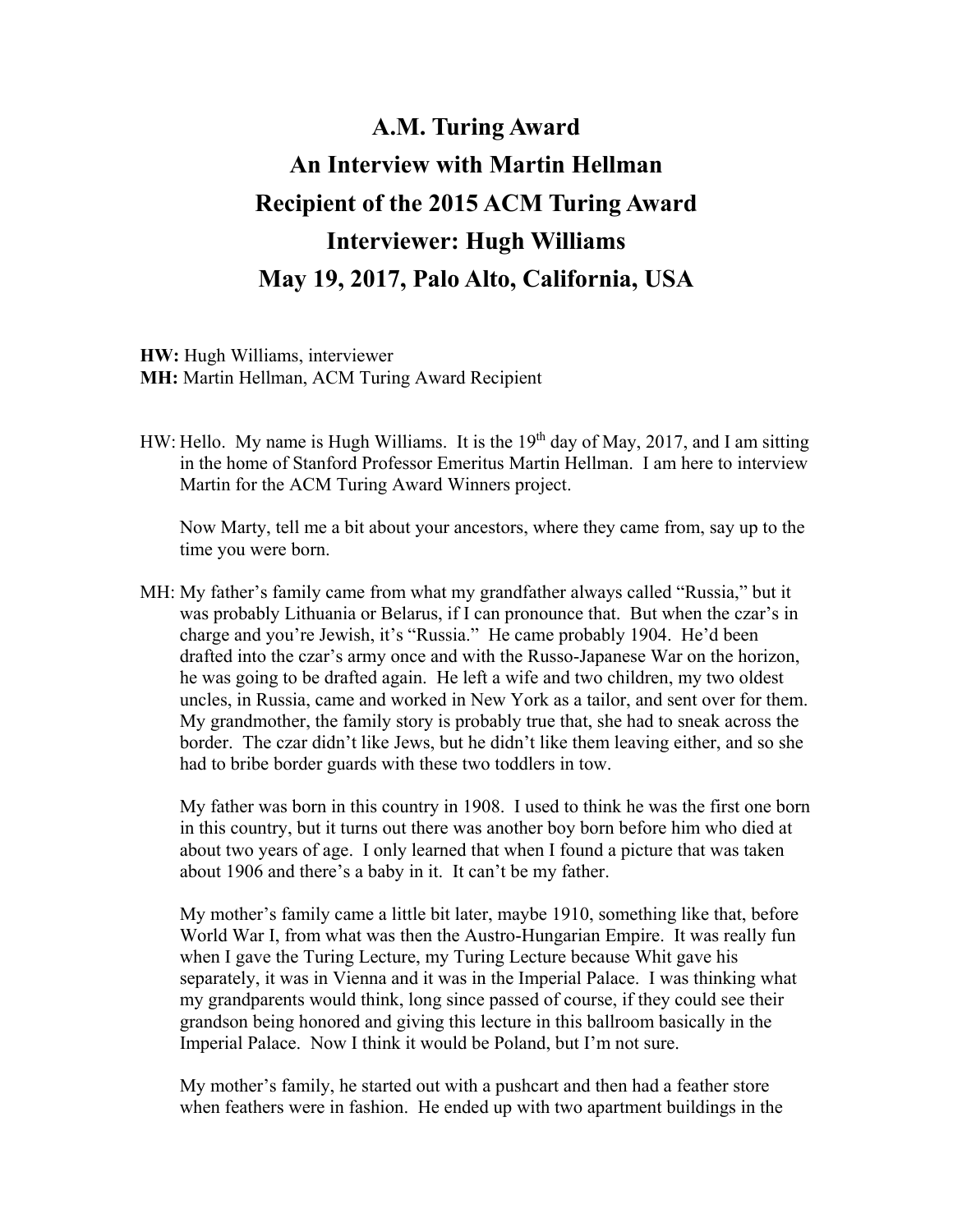## **A.M. Turing Award An Interview with Martin Hellman Recipient of the 2015 ACM Turing Award Interviewer: Hugh Williams May 19, 2017, Palo Alto, California, USA**

**HW:** Hugh Williams, interviewer **MH:** Martin Hellman, ACM Turing Award Recipient

HW: Hello. My name is Hugh Williams. It is the  $19<sup>th</sup>$  day of May, 2017, and I am sitting in the home of Stanford Professor Emeritus Martin Hellman. I am here to interview Martin for the ACM Turing Award Winners project.

Now Marty, tell me a bit about your ancestors, where they came from, say up to the time you were born.

MH: My father's family came from what my grandfather always called "Russia," but it was probably Lithuania or Belarus, if I can pronounce that. But when the czar's in charge and you're Jewish, it's "Russia." He came probably 1904. He'd been drafted into the czar's army once and with the Russo-Japanese War on the horizon, he was going to be drafted again. He left a wife and two children, my two oldest uncles, in Russia, came and worked in New York as a tailor, and sent over for them. My grandmother, the family story is probably true that, she had to sneak across the border. The czar didn't like Jews, but he didn't like them leaving either, and so she had to bribe border guards with these two toddlers in tow.

My father was born in this country in 1908. I used to think he was the first one born in this country, but it turns out there was another boy born before him who died at about two years of age. I only learned that when I found a picture that was taken about 1906 and there's a baby in it. It can't be my father.

My mother's family came a little bit later, maybe 1910, something like that, before World War I, from what was then the Austro-Hungarian Empire. It was really fun when I gave the Turing Lecture, my Turing Lecture because Whit gave his separately, it was in Vienna and it was in the Imperial Palace. I was thinking what my grandparents would think, long since passed of course, if they could see their grandson being honored and giving this lecture in this ballroom basically in the Imperial Palace. Now I think it would be Poland, but I'm not sure.

My mother's family, he started out with a pushcart and then had a feather store when feathers were in fashion. He ended up with two apartment buildings in the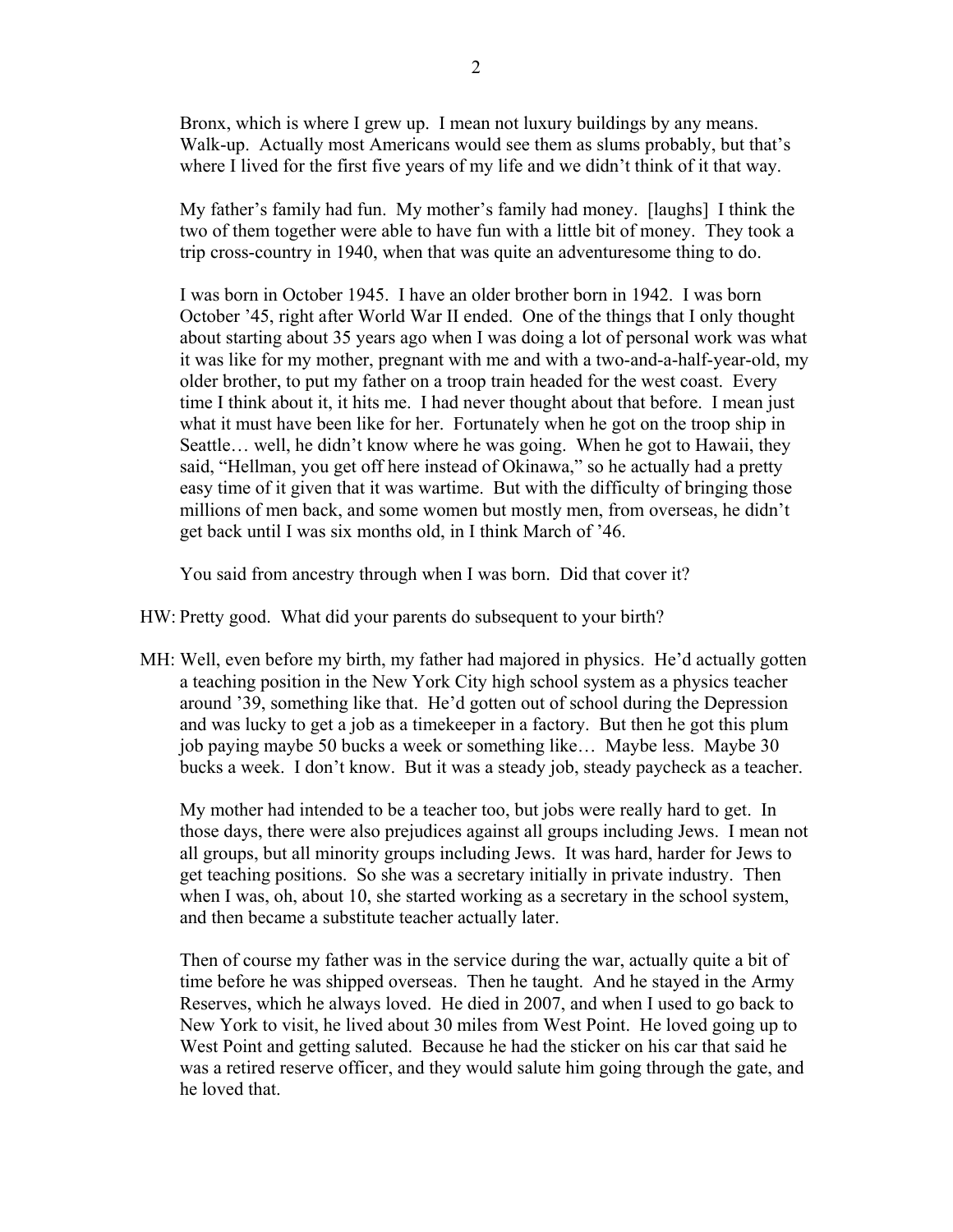Bronx, which is where I grew up. I mean not luxury buildings by any means. Walk-up. Actually most Americans would see them as slums probably, but that's where I lived for the first five years of my life and we didn't think of it that way.

My father's family had fun. My mother's family had money. [laughs] I think the two of them together were able to have fun with a little bit of money. They took a trip cross-country in 1940, when that was quite an adventuresome thing to do.

I was born in October 1945. I have an older brother born in 1942. I was born October '45, right after World War II ended. One of the things that I only thought about starting about 35 years ago when I was doing a lot of personal work was what it was like for my mother, pregnant with me and with a two-and-a-half-year-old, my older brother, to put my father on a troop train headed for the west coast. Every time I think about it, it hits me. I had never thought about that before. I mean just what it must have been like for her. Fortunately when he got on the troop ship in Seattle… well, he didn't know where he was going. When he got to Hawaii, they said, "Hellman, you get off here instead of Okinawa," so he actually had a pretty easy time of it given that it was wartime. But with the difficulty of bringing those millions of men back, and some women but mostly men, from overseas, he didn't get back until I was six months old, in I think March of '46.

You said from ancestry through when I was born. Did that cover it?

HW: Pretty good. What did your parents do subsequent to your birth?

MH: Well, even before my birth, my father had majored in physics. He'd actually gotten a teaching position in the New York City high school system as a physics teacher around '39, something like that. He'd gotten out of school during the Depression and was lucky to get a job as a timekeeper in a factory. But then he got this plum job paying maybe 50 bucks a week or something like… Maybe less. Maybe 30 bucks a week. I don't know. But it was a steady job, steady paycheck as a teacher.

My mother had intended to be a teacher too, but jobs were really hard to get. In those days, there were also prejudices against all groups including Jews. I mean not all groups, but all minority groups including Jews. It was hard, harder for Jews to get teaching positions. So she was a secretary initially in private industry. Then when I was, oh, about 10, she started working as a secretary in the school system, and then became a substitute teacher actually later.

Then of course my father was in the service during the war, actually quite a bit of time before he was shipped overseas. Then he taught. And he stayed in the Army Reserves, which he always loved. He died in 2007, and when I used to go back to New York to visit, he lived about 30 miles from West Point. He loved going up to West Point and getting saluted. Because he had the sticker on his car that said he was a retired reserve officer, and they would salute him going through the gate, and he loved that.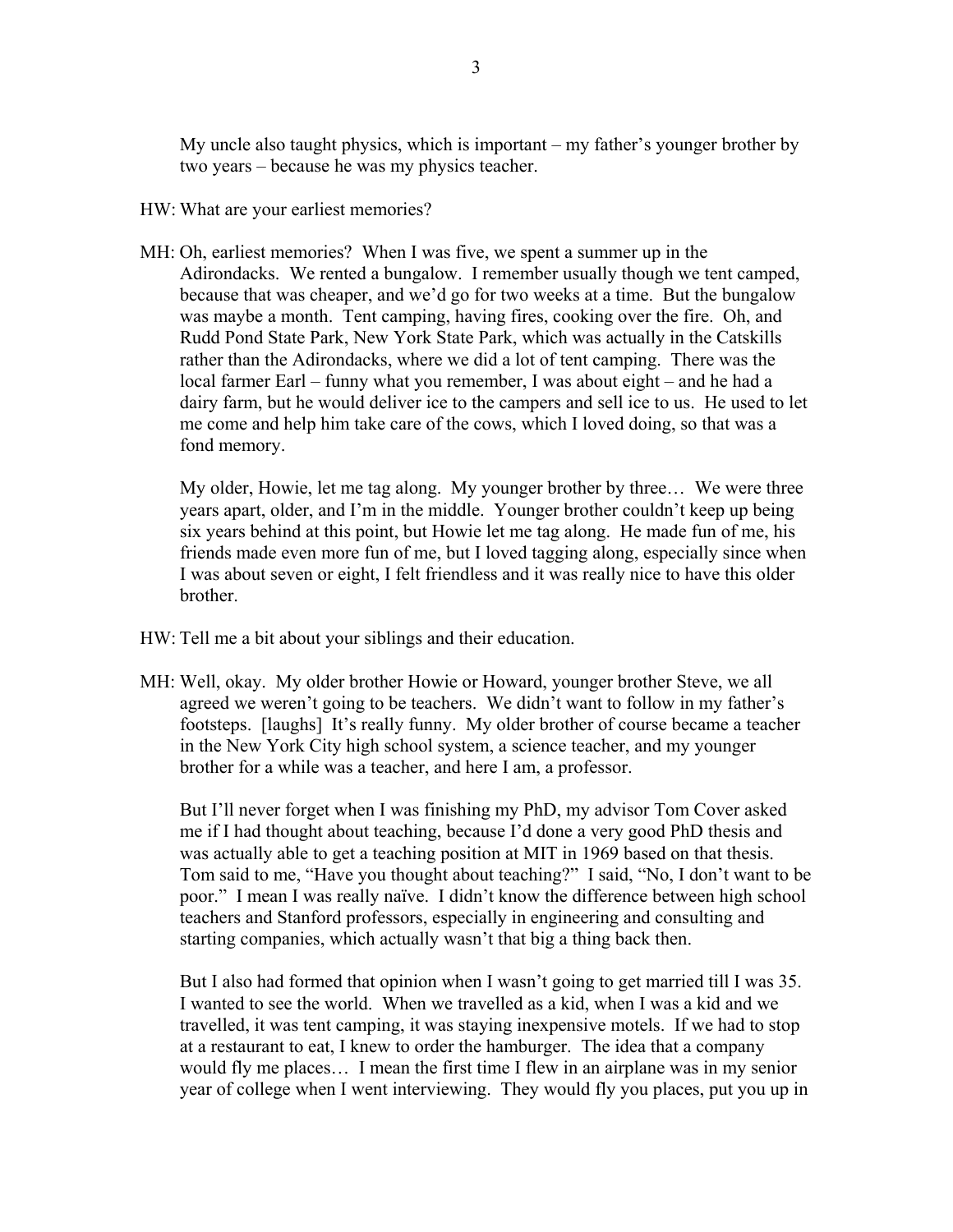My uncle also taught physics, which is important – my father's younger brother by two years – because he was my physics teacher.

- HW: What are your earliest memories?
- MH: Oh, earliest memories? When I was five, we spent a summer up in the Adirondacks. We rented a bungalow. I remember usually though we tent camped, because that was cheaper, and we'd go for two weeks at a time. But the bungalow was maybe a month. Tent camping, having fires, cooking over the fire. Oh, and Rudd Pond State Park, New York State Park, which was actually in the Catskills rather than the Adirondacks, where we did a lot of tent camping. There was the local farmer Earl – funny what you remember, I was about eight – and he had a dairy farm, but he would deliver ice to the campers and sell ice to us. He used to let me come and help him take care of the cows, which I loved doing, so that was a fond memory.

My older, Howie, let me tag along. My younger brother by three… We were three years apart, older, and I'm in the middle. Younger brother couldn't keep up being six years behind at this point, but Howie let me tag along. He made fun of me, his friends made even more fun of me, but I loved tagging along, especially since when I was about seven or eight, I felt friendless and it was really nice to have this older brother.

- HW: Tell me a bit about your siblings and their education.
- MH: Well, okay. My older brother Howie or Howard, younger brother Steve, we all agreed we weren't going to be teachers. We didn't want to follow in my father's footsteps. [laughs] It's really funny. My older brother of course became a teacher in the New York City high school system, a science teacher, and my younger brother for a while was a teacher, and here I am, a professor.

But I'll never forget when I was finishing my PhD, my advisor Tom Cover asked me if I had thought about teaching, because I'd done a very good PhD thesis and was actually able to get a teaching position at MIT in 1969 based on that thesis. Tom said to me, "Have you thought about teaching?" I said, "No, I don't want to be poor." I mean I was really naïve. I didn't know the difference between high school teachers and Stanford professors, especially in engineering and consulting and starting companies, which actually wasn't that big a thing back then.

But I also had formed that opinion when I wasn't going to get married till I was 35. I wanted to see the world. When we travelled as a kid, when I was a kid and we travelled, it was tent camping, it was staying inexpensive motels. If we had to stop at a restaurant to eat, I knew to order the hamburger. The idea that a company would fly me places… I mean the first time I flew in an airplane was in my senior year of college when I went interviewing. They would fly you places, put you up in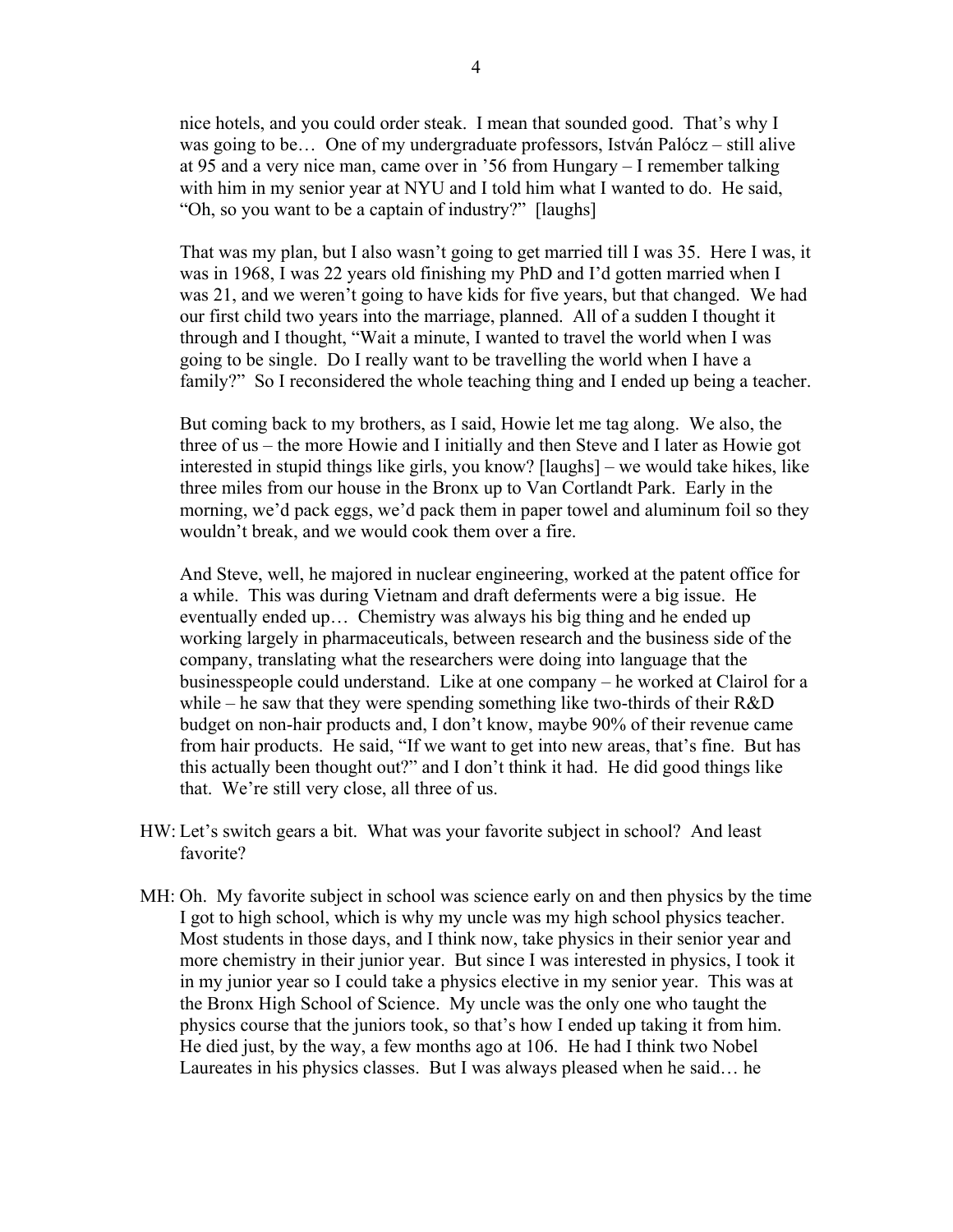nice hotels, and you could order steak. I mean that sounded good. That's why I was going to be... One of my undergraduate professors, István Palócz – still alive at 95 and a very nice man, came over in '56 from Hungary – I remember talking with him in my senior year at NYU and I told him what I wanted to do. He said, "Oh, so you want to be a captain of industry?" [laughs]

That was my plan, but I also wasn't going to get married till I was 35. Here I was, it was in 1968, I was 22 years old finishing my PhD and I'd gotten married when I was 21, and we weren't going to have kids for five years, but that changed. We had our first child two years into the marriage, planned. All of a sudden I thought it through and I thought, "Wait a minute, I wanted to travel the world when I was going to be single. Do I really want to be travelling the world when I have a family?" So I reconsidered the whole teaching thing and I ended up being a teacher.

But coming back to my brothers, as I said, Howie let me tag along. We also, the three of us – the more Howie and I initially and then Steve and I later as Howie got interested in stupid things like girls, you know? [laughs] – we would take hikes, like three miles from our house in the Bronx up to Van Cortlandt Park. Early in the morning, we'd pack eggs, we'd pack them in paper towel and aluminum foil so they wouldn't break, and we would cook them over a fire.

And Steve, well, he majored in nuclear engineering, worked at the patent office for a while. This was during Vietnam and draft deferments were a big issue. He eventually ended up… Chemistry was always his big thing and he ended up working largely in pharmaceuticals, between research and the business side of the company, translating what the researchers were doing into language that the businesspeople could understand. Like at one company – he worked at Clairol for a while – he saw that they were spending something like two-thirds of their R&D budget on non-hair products and, I don't know, maybe 90% of their revenue came from hair products. He said, "If we want to get into new areas, that's fine. But has this actually been thought out?" and I don't think it had. He did good things like that. We're still very close, all three of us.

- HW: Let's switch gears a bit. What was your favorite subject in school? And least favorite?
- MH: Oh. My favorite subject in school was science early on and then physics by the time I got to high school, which is why my uncle was my high school physics teacher. Most students in those days, and I think now, take physics in their senior year and more chemistry in their junior year. But since I was interested in physics, I took it in my junior year so I could take a physics elective in my senior year. This was at the Bronx High School of Science. My uncle was the only one who taught the physics course that the juniors took, so that's how I ended up taking it from him. He died just, by the way, a few months ago at 106. He had I think two Nobel Laureates in his physics classes. But I was always pleased when he said… he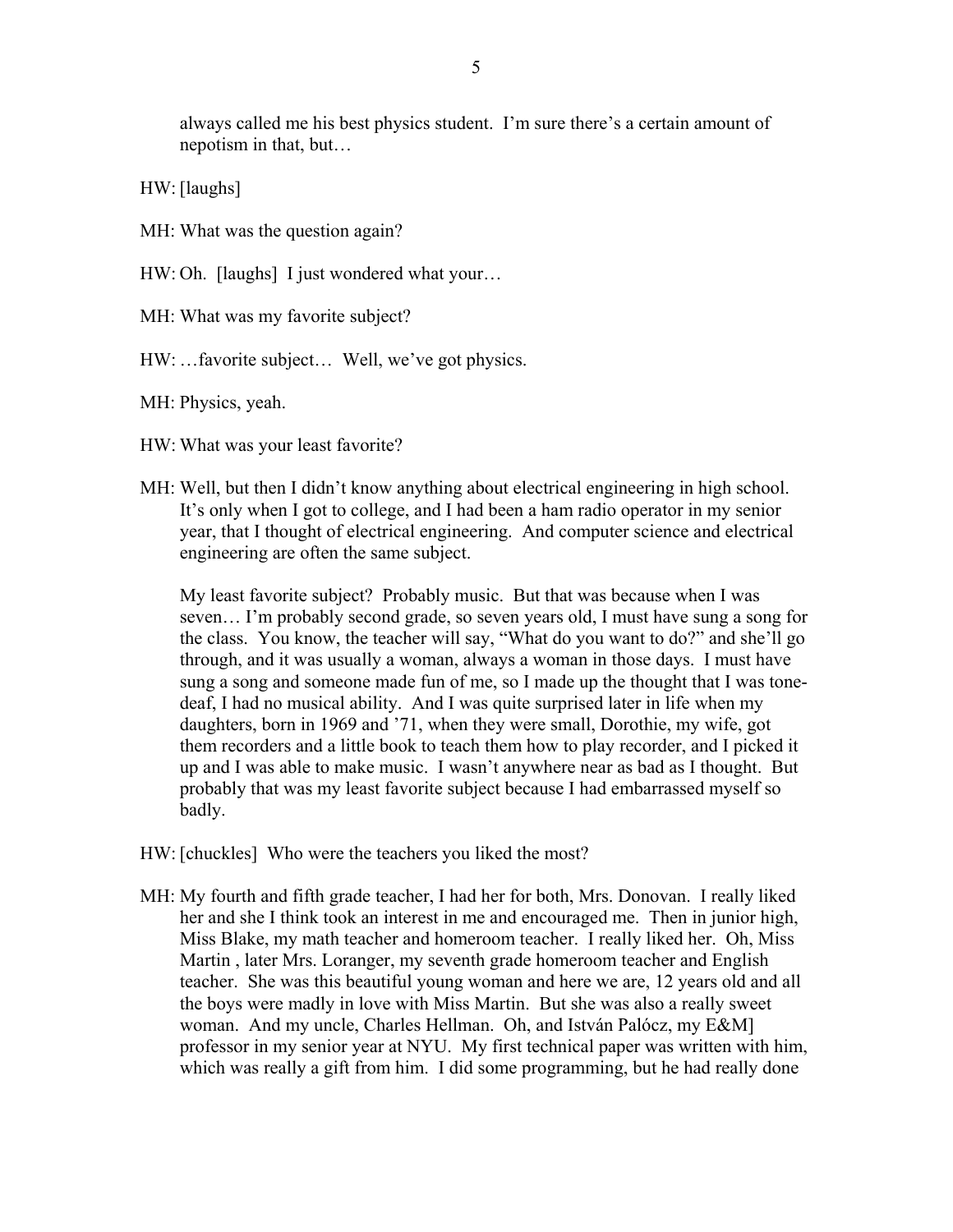always called me his best physics student. I'm sure there's a certain amount of nepotism in that, but…

HW: [laughs]

MH: What was the question again?

HW: Oh. [laughs] I just wondered what your...

MH: What was my favorite subject?

HW: …favorite subject… Well, we've got physics.

MH: Physics, yeah.

HW: What was your least favorite?

MH: Well, but then I didn't know anything about electrical engineering in high school. It's only when I got to college, and I had been a ham radio operator in my senior year, that I thought of electrical engineering. And computer science and electrical engineering are often the same subject.

My least favorite subject? Probably music. But that was because when I was seven… I'm probably second grade, so seven years old, I must have sung a song for the class. You know, the teacher will say, "What do you want to do?" and she'll go through, and it was usually a woman, always a woman in those days. I must have sung a song and someone made fun of me, so I made up the thought that I was tonedeaf, I had no musical ability. And I was quite surprised later in life when my daughters, born in 1969 and '71, when they were small, Dorothie, my wife, got them recorders and a little book to teach them how to play recorder, and I picked it up and I was able to make music. I wasn't anywhere near as bad as I thought. But probably that was my least favorite subject because I had embarrassed myself so badly.

- HW: [chuckles] Who were the teachers you liked the most?
- MH: My fourth and fifth grade teacher, I had her for both, Mrs. Donovan. I really liked her and she I think took an interest in me and encouraged me. Then in junior high, Miss Blake, my math teacher and homeroom teacher. I really liked her. Oh, Miss Martin , later Mrs. Loranger, my seventh grade homeroom teacher and English teacher. She was this beautiful young woman and here we are, 12 years old and all the boys were madly in love with Miss Martin. But she was also a really sweet woman. And my uncle, Charles Hellman. Oh, and István Palócz, my E&M] professor in my senior year at NYU. My first technical paper was written with him, which was really a gift from him. I did some programming, but he had really done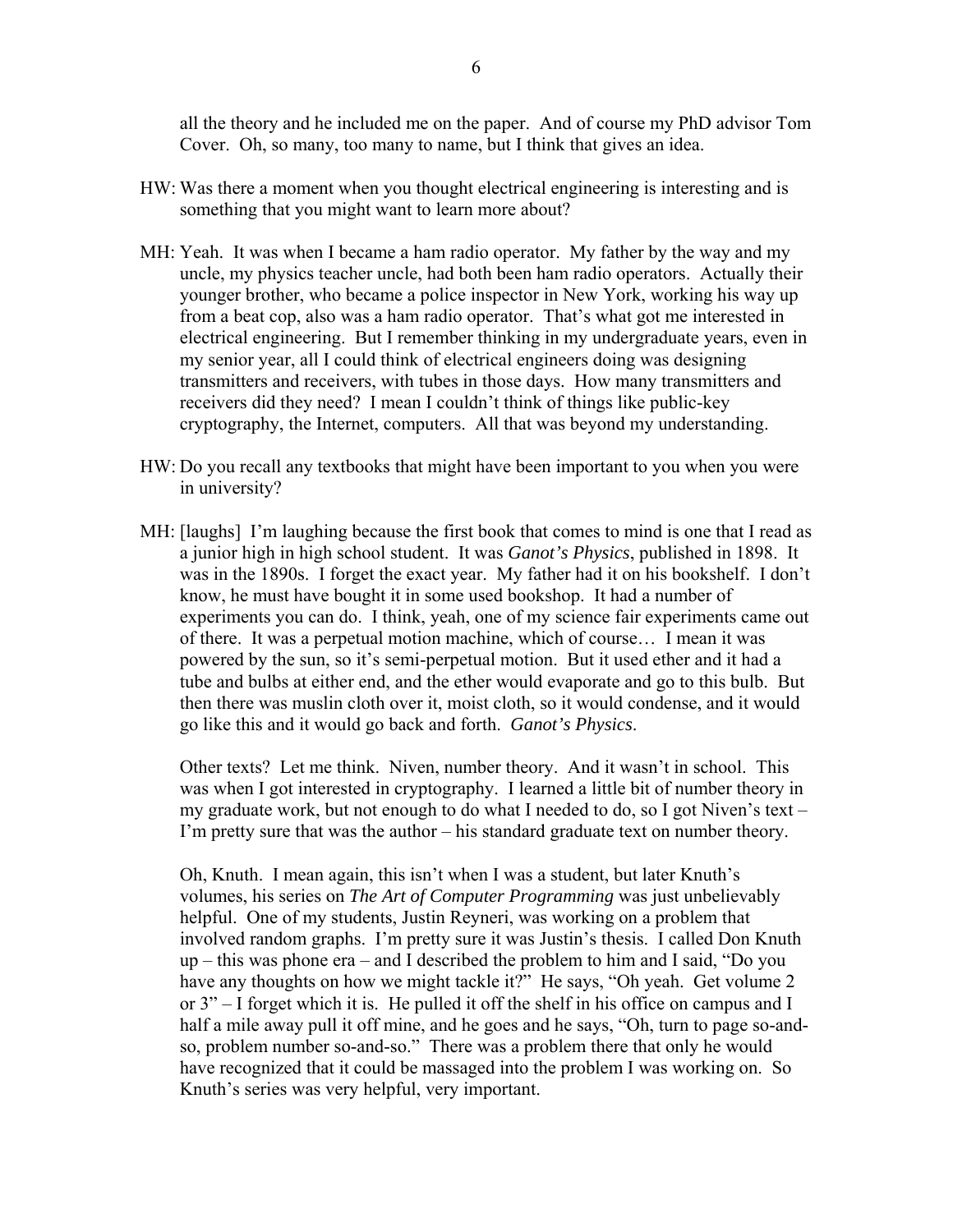all the theory and he included me on the paper. And of course my PhD advisor Tom Cover. Oh, so many, too many to name, but I think that gives an idea.

- HW: Was there a moment when you thought electrical engineering is interesting and is something that you might want to learn more about?
- MH: Yeah. It was when I became a ham radio operator. My father by the way and my uncle, my physics teacher uncle, had both been ham radio operators. Actually their younger brother, who became a police inspector in New York, working his way up from a beat cop, also was a ham radio operator. That's what got me interested in electrical engineering. But I remember thinking in my undergraduate years, even in my senior year, all I could think of electrical engineers doing was designing transmitters and receivers, with tubes in those days. How many transmitters and receivers did they need? I mean I couldn't think of things like public-key cryptography, the Internet, computers. All that was beyond my understanding.
- HW: Do you recall any textbooks that might have been important to you when you were in university?
- MH: [laughs] I'm laughing because the first book that comes to mind is one that I read as a junior high in high school student. It was *Ganot's Physics*, published in 1898. It was in the 1890s. I forget the exact year. My father had it on his bookshelf. I don't know, he must have bought it in some used bookshop. It had a number of experiments you can do. I think, yeah, one of my science fair experiments came out of there. It was a perpetual motion machine, which of course… I mean it was powered by the sun, so it's semi-perpetual motion. But it used ether and it had a tube and bulbs at either end, and the ether would evaporate and go to this bulb. But then there was muslin cloth over it, moist cloth, so it would condense, and it would go like this and it would go back and forth. *Ganot's Physics*.

Other texts? Let me think. Niven, number theory. And it wasn't in school. This was when I got interested in cryptography. I learned a little bit of number theory in my graduate work, but not enough to do what I needed to do, so I got Niven's text – I'm pretty sure that was the author – his standard graduate text on number theory.

Oh, Knuth. I mean again, this isn't when I was a student, but later Knuth's volumes, his series on *The Art of Computer Programming* was just unbelievably helpful. One of my students, Justin Reyneri, was working on a problem that involved random graphs. I'm pretty sure it was Justin's thesis. I called Don Knuth up – this was phone era – and I described the problem to him and I said, "Do you have any thoughts on how we might tackle it?" He says, "Oh yeah. Get volume 2 or 3" – I forget which it is. He pulled it off the shelf in his office on campus and I half a mile away pull it off mine, and he goes and he says, "Oh, turn to page so-andso, problem number so-and-so." There was a problem there that only he would have recognized that it could be massaged into the problem I was working on. So Knuth's series was very helpful, very important.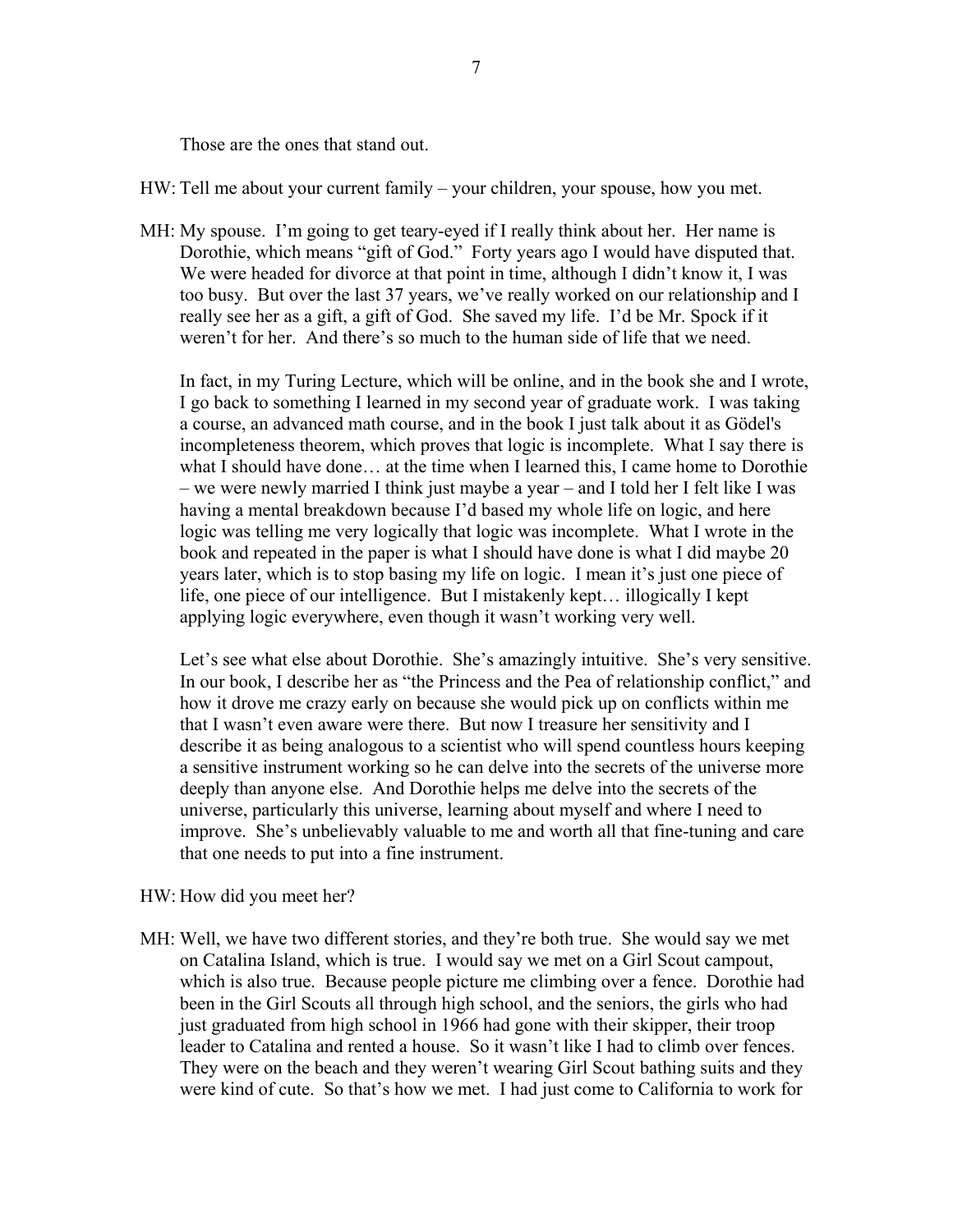Those are the ones that stand out.

HW: Tell me about your current family – your children, your spouse, how you met.

MH: My spouse. I'm going to get teary-eyed if I really think about her. Her name is Dorothie, which means "gift of God." Forty years ago I would have disputed that. We were headed for divorce at that point in time, although I didn't know it, I was too busy. But over the last 37 years, we've really worked on our relationship and I really see her as a gift, a gift of God. She saved my life. I'd be Mr. Spock if it weren't for her. And there's so much to the human side of life that we need.

In fact, in my Turing Lecture, which will be online, and in the book she and I wrote, I go back to something I learned in my second year of graduate work. I was taking a course, an advanced math course, and in the book I just talk about it as Gödel's incompleteness theorem, which proves that logic is incomplete. What I say there is what I should have done… at the time when I learned this, I came home to Dorothie – we were newly married I think just maybe a year – and I told her I felt like I was having a mental breakdown because I'd based my whole life on logic, and here logic was telling me very logically that logic was incomplete. What I wrote in the book and repeated in the paper is what I should have done is what I did maybe 20 years later, which is to stop basing my life on logic. I mean it's just one piece of life, one piece of our intelligence. But I mistakenly kept… illogically I kept applying logic everywhere, even though it wasn't working very well.

Let's see what else about Dorothie. She's amazingly intuitive. She's very sensitive. In our book, I describe her as "the Princess and the Pea of relationship conflict," and how it drove me crazy early on because she would pick up on conflicts within me that I wasn't even aware were there. But now I treasure her sensitivity and I describe it as being analogous to a scientist who will spend countless hours keeping a sensitive instrument working so he can delve into the secrets of the universe more deeply than anyone else. And Dorothie helps me delve into the secrets of the universe, particularly this universe, learning about myself and where I need to improve. She's unbelievably valuable to me and worth all that fine-tuning and care that one needs to put into a fine instrument.

- HW: How did you meet her?
- MH: Well, we have two different stories, and they're both true. She would say we met on Catalina Island, which is true. I would say we met on a Girl Scout campout, which is also true. Because people picture me climbing over a fence. Dorothie had been in the Girl Scouts all through high school, and the seniors, the girls who had just graduated from high school in 1966 had gone with their skipper, their troop leader to Catalina and rented a house. So it wasn't like I had to climb over fences. They were on the beach and they weren't wearing Girl Scout bathing suits and they were kind of cute. So that's how we met. I had just come to California to work for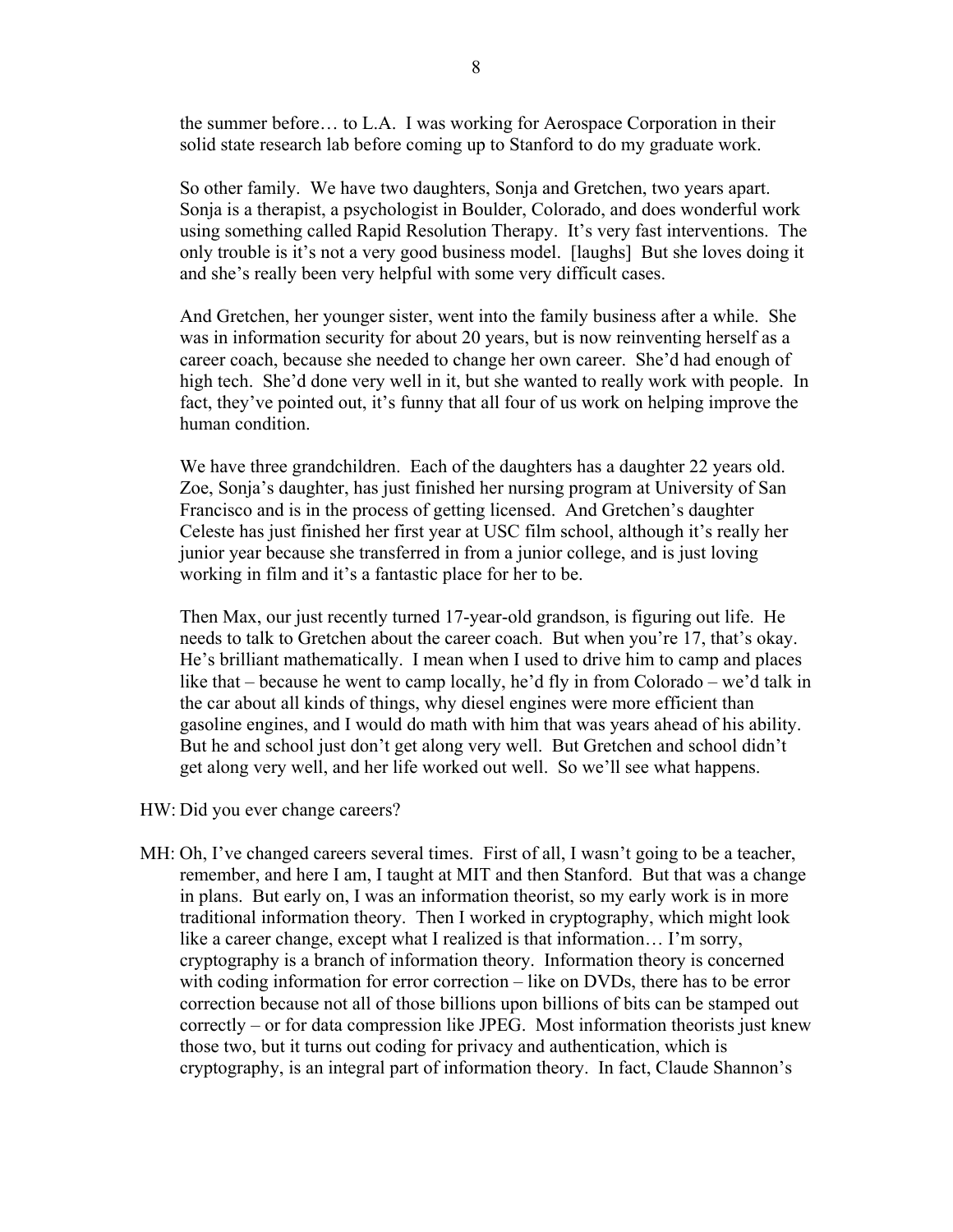the summer before… to L.A. I was working for Aerospace Corporation in their solid state research lab before coming up to Stanford to do my graduate work.

So other family. We have two daughters, Sonja and Gretchen, two years apart. Sonja is a therapist, a psychologist in Boulder, Colorado, and does wonderful work using something called Rapid Resolution Therapy. It's very fast interventions. The only trouble is it's not a very good business model. [laughs] But she loves doing it and she's really been very helpful with some very difficult cases.

And Gretchen, her younger sister, went into the family business after a while. She was in information security for about 20 years, but is now reinventing herself as a career coach, because she needed to change her own career. She'd had enough of high tech. She'd done very well in it, but she wanted to really work with people. In fact, they've pointed out, it's funny that all four of us work on helping improve the human condition.

We have three grandchildren. Each of the daughters has a daughter 22 years old. Zoe, Sonja's daughter, has just finished her nursing program at University of San Francisco and is in the process of getting licensed. And Gretchen's daughter Celeste has just finished her first year at USC film school, although it's really her junior year because she transferred in from a junior college, and is just loving working in film and it's a fantastic place for her to be.

Then Max, our just recently turned 17-year-old grandson, is figuring out life. He needs to talk to Gretchen about the career coach. But when you're 17, that's okay. He's brilliant mathematically. I mean when I used to drive him to camp and places like that – because he went to camp locally, he'd fly in from Colorado – we'd talk in the car about all kinds of things, why diesel engines were more efficient than gasoline engines, and I would do math with him that was years ahead of his ability. But he and school just don't get along very well. But Gretchen and school didn't get along very well, and her life worked out well. So we'll see what happens.

- HW: Did you ever change careers?
- MH: Oh, I've changed careers several times. First of all, I wasn't going to be a teacher, remember, and here I am, I taught at MIT and then Stanford. But that was a change in plans. But early on, I was an information theorist, so my early work is in more traditional information theory. Then I worked in cryptography, which might look like a career change, except what I realized is that information… I'm sorry, cryptography is a branch of information theory. Information theory is concerned with coding information for error correction – like on DVDs, there has to be error correction because not all of those billions upon billions of bits can be stamped out correctly – or for data compression like JPEG. Most information theorists just knew those two, but it turns out coding for privacy and authentication, which is cryptography, is an integral part of information theory. In fact, Claude Shannon's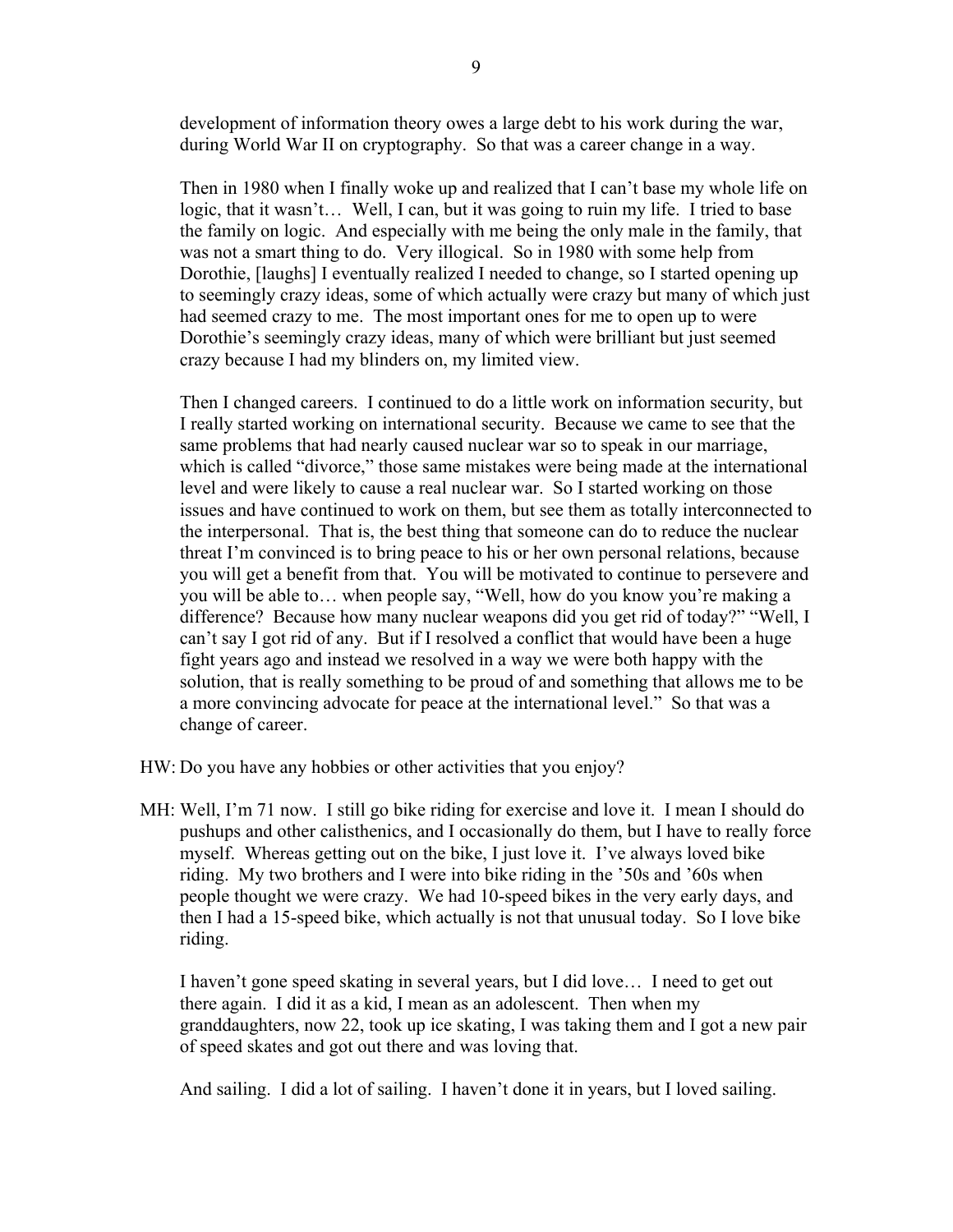development of information theory owes a large debt to his work during the war, during World War II on cryptography. So that was a career change in a way.

Then in 1980 when I finally woke up and realized that I can't base my whole life on logic, that it wasn't... Well, I can, but it was going to ruin my life. I tried to base the family on logic. And especially with me being the only male in the family, that was not a smart thing to do. Very illogical. So in 1980 with some help from Dorothie, [laughs] I eventually realized I needed to change, so I started opening up to seemingly crazy ideas, some of which actually were crazy but many of which just had seemed crazy to me. The most important ones for me to open up to were Dorothie's seemingly crazy ideas, many of which were brilliant but just seemed crazy because I had my blinders on, my limited view.

Then I changed careers. I continued to do a little work on information security, but I really started working on international security. Because we came to see that the same problems that had nearly caused nuclear war so to speak in our marriage, which is called "divorce," those same mistakes were being made at the international level and were likely to cause a real nuclear war. So I started working on those issues and have continued to work on them, but see them as totally interconnected to the interpersonal. That is, the best thing that someone can do to reduce the nuclear threat I'm convinced is to bring peace to his or her own personal relations, because you will get a benefit from that. You will be motivated to continue to persevere and you will be able to… when people say, "Well, how do you know you're making a difference? Because how many nuclear weapons did you get rid of today?" "Well, I can't say I got rid of any. But if I resolved a conflict that would have been a huge fight years ago and instead we resolved in a way we were both happy with the solution, that is really something to be proud of and something that allows me to be a more convincing advocate for peace at the international level." So that was a change of career.

HW: Do you have any hobbies or other activities that you enjoy?

MH: Well, I'm 71 now. I still go bike riding for exercise and love it. I mean I should do pushups and other calisthenics, and I occasionally do them, but I have to really force myself. Whereas getting out on the bike, I just love it. I've always loved bike riding. My two brothers and I were into bike riding in the '50s and '60s when people thought we were crazy. We had 10-speed bikes in the very early days, and then I had a 15-speed bike, which actually is not that unusual today. So I love bike riding.

I haven't gone speed skating in several years, but I did love… I need to get out there again. I did it as a kid, I mean as an adolescent. Then when my granddaughters, now 22, took up ice skating, I was taking them and I got a new pair of speed skates and got out there and was loving that.

And sailing. I did a lot of sailing. I haven't done it in years, but I loved sailing.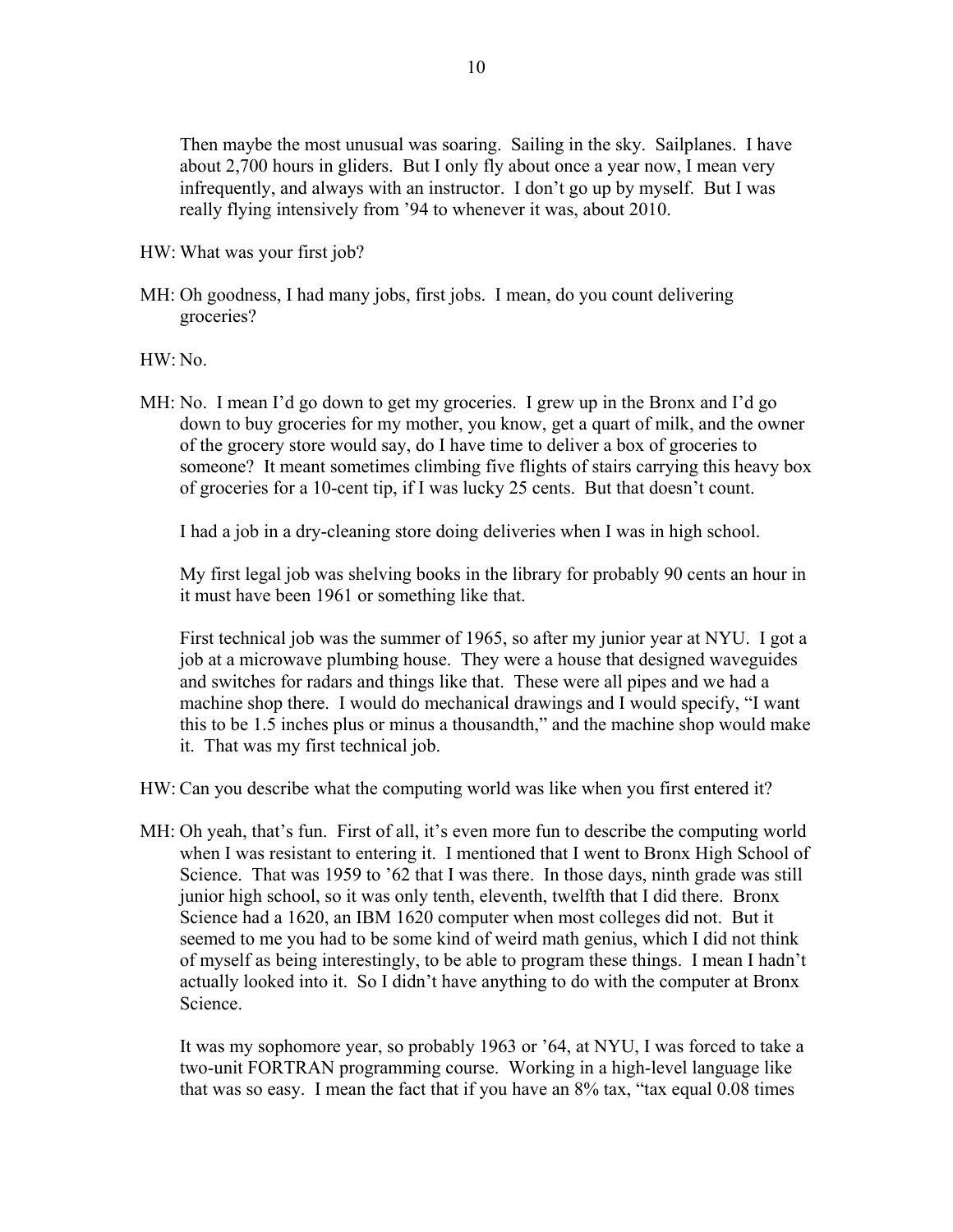Then maybe the most unusual was soaring. Sailing in the sky. Sailplanes. I have about 2,700 hours in gliders. But I only fly about once a year now, I mean very infrequently, and always with an instructor. I don't go up by myself. But I was really flying intensively from '94 to whenever it was, about 2010.

- HW: What was your first job?
- MH: Oh goodness, I had many jobs, first jobs. I mean, do you count delivering groceries?

HW: No.

MH: No. I mean I'd go down to get my groceries. I grew up in the Bronx and I'd go down to buy groceries for my mother, you know, get a quart of milk, and the owner of the grocery store would say, do I have time to deliver a box of groceries to someone? It meant sometimes climbing five flights of stairs carrying this heavy box of groceries for a 10-cent tip, if I was lucky 25 cents. But that doesn't count.

I had a job in a dry-cleaning store doing deliveries when I was in high school.

My first legal job was shelving books in the library for probably 90 cents an hour in it must have been 1961 or something like that.

First technical job was the summer of 1965, so after my junior year at NYU. I got a job at a microwave plumbing house. They were a house that designed waveguides and switches for radars and things like that. These were all pipes and we had a machine shop there. I would do mechanical drawings and I would specify, "I want this to be 1.5 inches plus or minus a thousandth," and the machine shop would make it. That was my first technical job.

HW: Can you describe what the computing world was like when you first entered it?

MH: Oh yeah, that's fun. First of all, it's even more fun to describe the computing world when I was resistant to entering it. I mentioned that I went to Bronx High School of Science. That was 1959 to '62 that I was there. In those days, ninth grade was still junior high school, so it was only tenth, eleventh, twelfth that I did there. Bronx Science had a 1620, an IBM 1620 computer when most colleges did not. But it seemed to me you had to be some kind of weird math genius, which I did not think of myself as being interestingly, to be able to program these things. I mean I hadn't actually looked into it. So I didn't have anything to do with the computer at Bronx Science.

It was my sophomore year, so probably 1963 or '64, at NYU, I was forced to take a two-unit FORTRAN programming course. Working in a high-level language like that was so easy. I mean the fact that if you have an 8% tax, "tax equal 0.08 times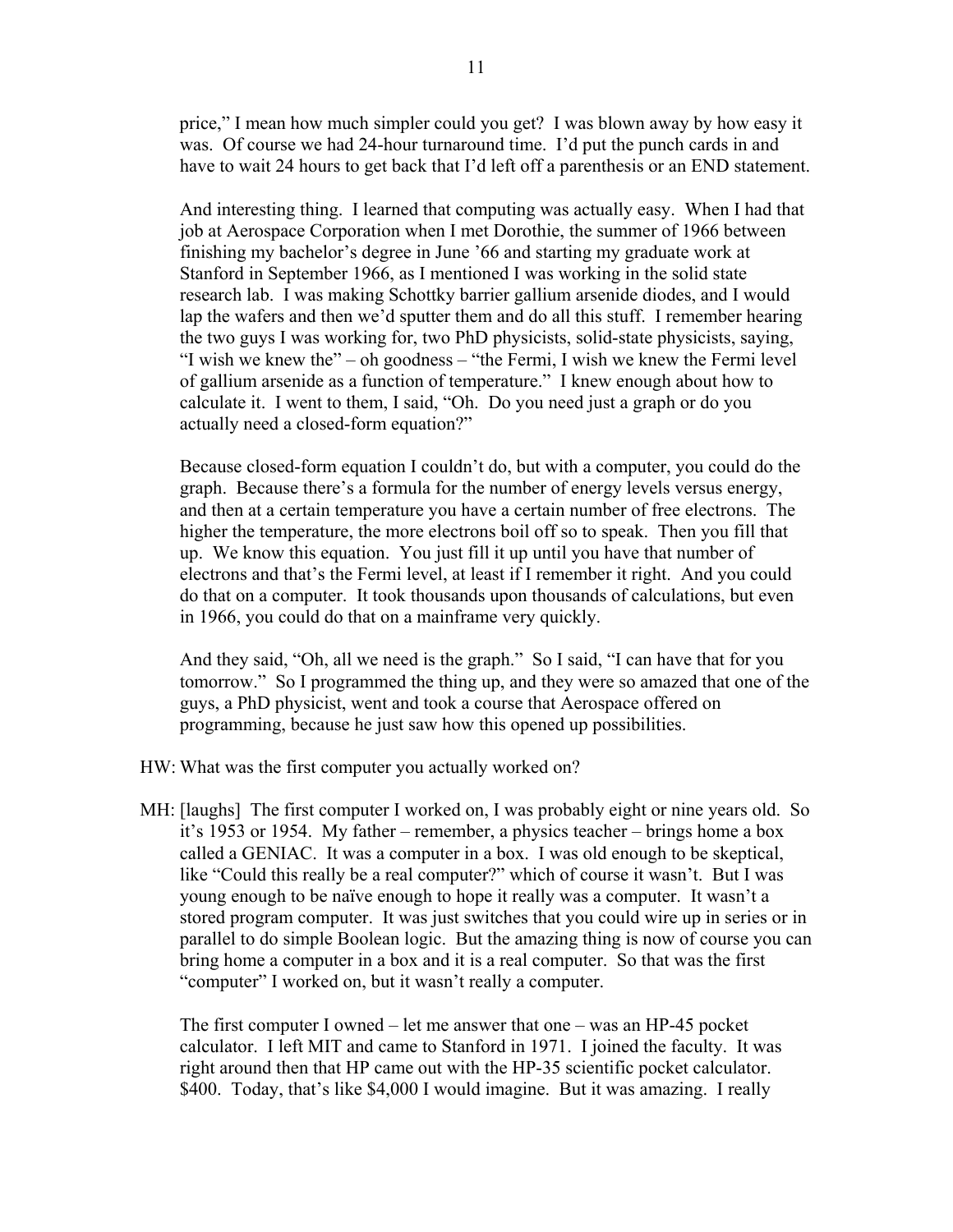price," I mean how much simpler could you get? I was blown away by how easy it was. Of course we had 24-hour turnaround time. I'd put the punch cards in and have to wait 24 hours to get back that I'd left off a parenthesis or an END statement.

And interesting thing. I learned that computing was actually easy. When I had that job at Aerospace Corporation when I met Dorothie, the summer of 1966 between finishing my bachelor's degree in June '66 and starting my graduate work at Stanford in September 1966, as I mentioned I was working in the solid state research lab. I was making Schottky barrier gallium arsenide diodes, and I would lap the wafers and then we'd sputter them and do all this stuff. I remember hearing the two guys I was working for, two PhD physicists, solid-state physicists, saying, "I wish we knew the" – oh goodness – "the Fermi, I wish we knew the Fermi level of gallium arsenide as a function of temperature." I knew enough about how to calculate it. I went to them, I said, "Oh. Do you need just a graph or do you actually need a closed-form equation?"

Because closed-form equation I couldn't do, but with a computer, you could do the graph. Because there's a formula for the number of energy levels versus energy, and then at a certain temperature you have a certain number of free electrons. The higher the temperature, the more electrons boil off so to speak. Then you fill that up. We know this equation. You just fill it up until you have that number of electrons and that's the Fermi level, at least if I remember it right. And you could do that on a computer. It took thousands upon thousands of calculations, but even in 1966, you could do that on a mainframe very quickly.

And they said, "Oh, all we need is the graph." So I said, "I can have that for you tomorrow." So I programmed the thing up, and they were so amazed that one of the guys, a PhD physicist, went and took a course that Aerospace offered on programming, because he just saw how this opened up possibilities.

- HW: What was the first computer you actually worked on?
- MH: [laughs] The first computer I worked on, I was probably eight or nine years old. So it's 1953 or 1954. My father – remember, a physics teacher – brings home a box called a GENIAC. It was a computer in a box. I was old enough to be skeptical, like "Could this really be a real computer?" which of course it wasn't. But I was young enough to be naïve enough to hope it really was a computer. It wasn't a stored program computer. It was just switches that you could wire up in series or in parallel to do simple Boolean logic. But the amazing thing is now of course you can bring home a computer in a box and it is a real computer. So that was the first "computer" I worked on, but it wasn't really a computer.

The first computer I owned – let me answer that one – was an HP-45 pocket calculator. I left MIT and came to Stanford in 1971. I joined the faculty. It was right around then that HP came out with the HP-35 scientific pocket calculator. \$400. Today, that's like \$4,000 I would imagine. But it was amazing. I really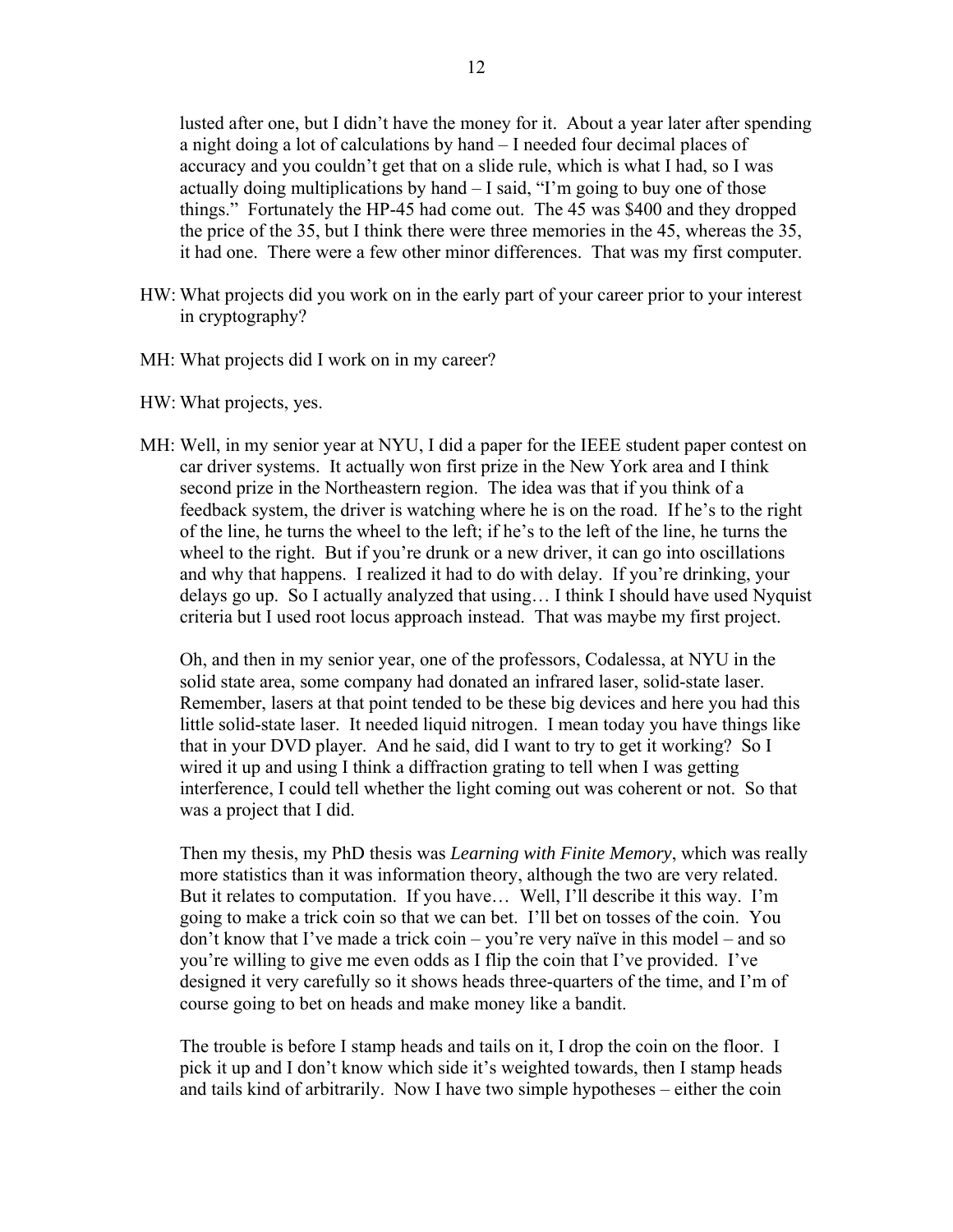lusted after one, but I didn't have the money for it. About a year later after spending a night doing a lot of calculations by hand – I needed four decimal places of accuracy and you couldn't get that on a slide rule, which is what I had, so I was actually doing multiplications by hand – I said, "I'm going to buy one of those things." Fortunately the HP-45 had come out. The 45 was \$400 and they dropped the price of the 35, but I think there were three memories in the 45, whereas the 35, it had one. There were a few other minor differences. That was my first computer.

- HW: What projects did you work on in the early part of your career prior to your interest in cryptography?
- MH: What projects did I work on in my career?
- HW: What projects, yes.
- MH: Well, in my senior year at NYU, I did a paper for the IEEE student paper contest on car driver systems. It actually won first prize in the New York area and I think second prize in the Northeastern region. The idea was that if you think of a feedback system, the driver is watching where he is on the road. If he's to the right of the line, he turns the wheel to the left; if he's to the left of the line, he turns the wheel to the right. But if you're drunk or a new driver, it can go into oscillations and why that happens. I realized it had to do with delay. If you're drinking, your delays go up. So I actually analyzed that using… I think I should have used Nyquist criteria but I used root locus approach instead. That was maybe my first project.

Oh, and then in my senior year, one of the professors, Codalessa, at NYU in the solid state area, some company had donated an infrared laser, solid-state laser. Remember, lasers at that point tended to be these big devices and here you had this little solid-state laser. It needed liquid nitrogen. I mean today you have things like that in your DVD player. And he said, did I want to try to get it working? So I wired it up and using I think a diffraction grating to tell when I was getting interference, I could tell whether the light coming out was coherent or not. So that was a project that I did.

Then my thesis, my PhD thesis was *Learning with Finite Memory*, which was really more statistics than it was information theory, although the two are very related. But it relates to computation. If you have… Well, I'll describe it this way. I'm going to make a trick coin so that we can bet. I'll bet on tosses of the coin. You don't know that I've made a trick coin – you're very naïve in this model – and so you're willing to give me even odds as I flip the coin that I've provided. I've designed it very carefully so it shows heads three-quarters of the time, and I'm of course going to bet on heads and make money like a bandit.

The trouble is before I stamp heads and tails on it, I drop the coin on the floor. I pick it up and I don't know which side it's weighted towards, then I stamp heads and tails kind of arbitrarily. Now I have two simple hypotheses – either the coin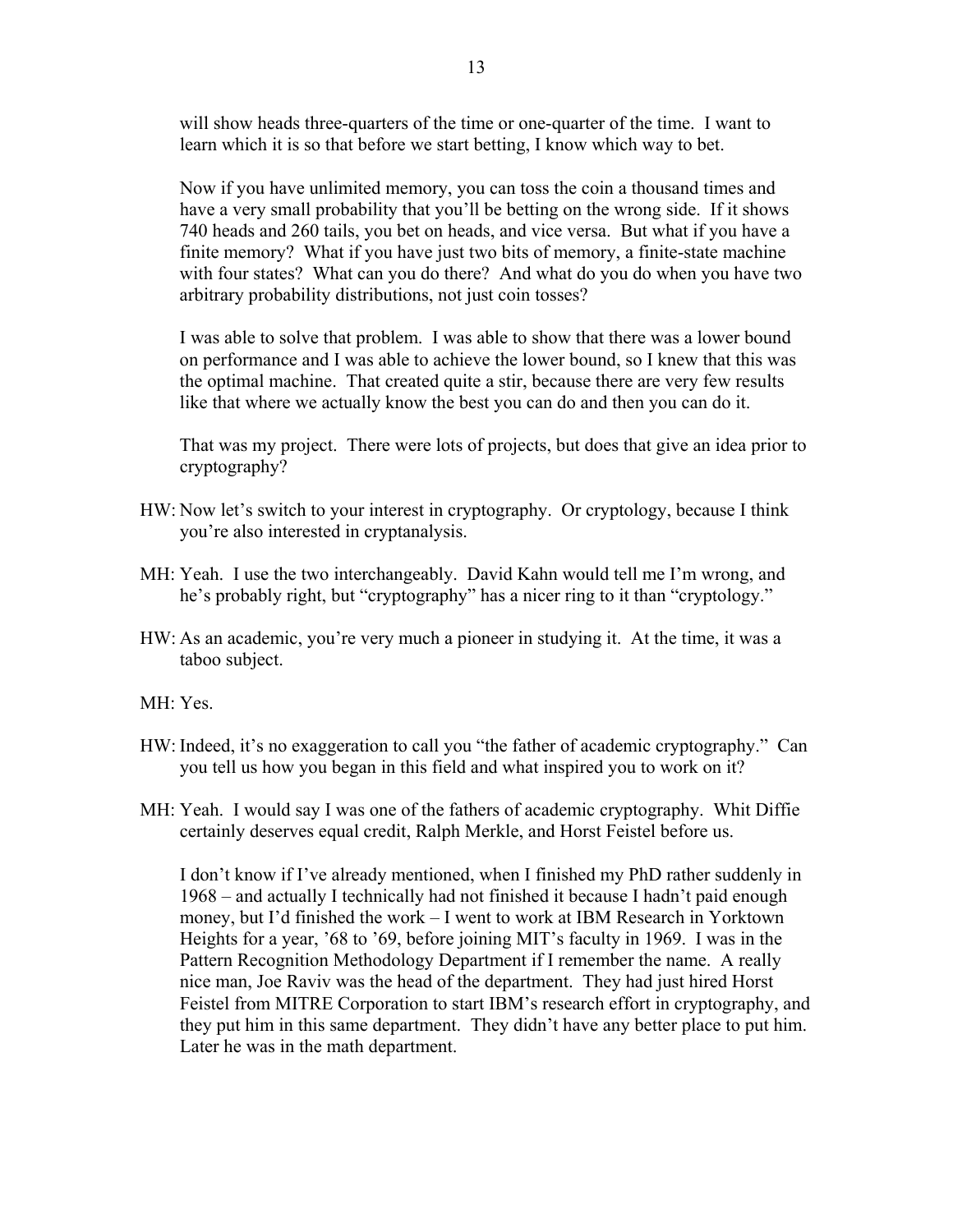will show heads three-quarters of the time or one-quarter of the time. I want to learn which it is so that before we start betting, I know which way to bet.

Now if you have unlimited memory, you can toss the coin a thousand times and have a very small probability that you'll be betting on the wrong side. If it shows 740 heads and 260 tails, you bet on heads, and vice versa. But what if you have a finite memory? What if you have just two bits of memory, a finite-state machine with four states? What can you do there? And what do you do when you have two arbitrary probability distributions, not just coin tosses?

I was able to solve that problem. I was able to show that there was a lower bound on performance and I was able to achieve the lower bound, so I knew that this was the optimal machine. That created quite a stir, because there are very few results like that where we actually know the best you can do and then you can do it.

That was my project. There were lots of projects, but does that give an idea prior to cryptography?

- HW: Now let's switch to your interest in cryptography. Or cryptology, because I think you're also interested in cryptanalysis.
- MH: Yeah. I use the two interchangeably. David Kahn would tell me I'm wrong, and he's probably right, but "cryptography" has a nicer ring to it than "cryptology."
- HW: As an academic, you're very much a pioneer in studying it. At the time, it was a taboo subject.

MH: Yes.

- HW: Indeed, it's no exaggeration to call you "the father of academic cryptography." Can you tell us how you began in this field and what inspired you to work on it?
- MH: Yeah. I would say I was one of the fathers of academic cryptography. Whit Diffie certainly deserves equal credit, Ralph Merkle, and Horst Feistel before us.

I don't know if I've already mentioned, when I finished my PhD rather suddenly in 1968 – and actually I technically had not finished it because I hadn't paid enough money, but I'd finished the work – I went to work at IBM Research in Yorktown Heights for a year, '68 to '69, before joining MIT's faculty in 1969. I was in the Pattern Recognition Methodology Department if I remember the name. A really nice man, Joe Raviv was the head of the department. They had just hired Horst Feistel from MITRE Corporation to start IBM's research effort in cryptography, and they put him in this same department. They didn't have any better place to put him. Later he was in the math department.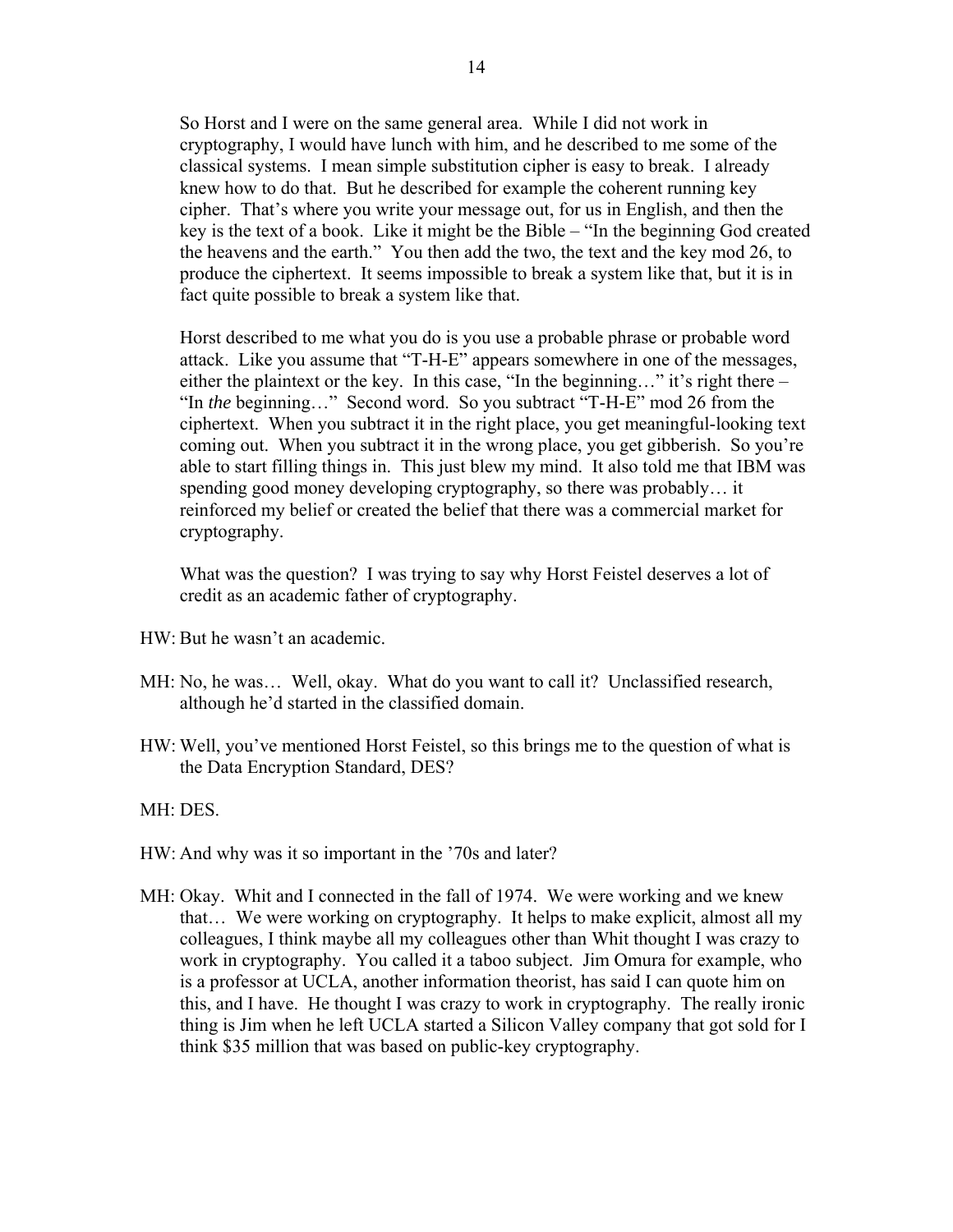So Horst and I were on the same general area. While I did not work in cryptography, I would have lunch with him, and he described to me some of the classical systems. I mean simple substitution cipher is easy to break. I already knew how to do that. But he described for example the coherent running key cipher. That's where you write your message out, for us in English, and then the key is the text of a book. Like it might be the Bible – "In the beginning God created the heavens and the earth." You then add the two, the text and the key mod 26, to produce the ciphertext. It seems impossible to break a system like that, but it is in fact quite possible to break a system like that.

Horst described to me what you do is you use a probable phrase or probable word attack. Like you assume that "T-H-E" appears somewhere in one of the messages, either the plaintext or the key. In this case, "In the beginning…" it's right there – "In *the* beginning…" Second word. So you subtract "T-H-E" mod 26 from the ciphertext. When you subtract it in the right place, you get meaningful-looking text coming out. When you subtract it in the wrong place, you get gibberish. So you're able to start filling things in. This just blew my mind. It also told me that IBM was spending good money developing cryptography, so there was probably… it reinforced my belief or created the belief that there was a commercial market for cryptography.

What was the question? I was trying to say why Horst Feistel deserves a lot of credit as an academic father of cryptography.

- HW: But he wasn't an academic.
- MH: No, he was… Well, okay. What do you want to call it? Unclassified research, although he'd started in the classified domain.
- HW: Well, you've mentioned Horst Feistel, so this brings me to the question of what is the Data Encryption Standard, DES?

## MH: DES.

- HW: And why was it so important in the '70s and later?
- MH: Okay. Whit and I connected in the fall of 1974. We were working and we knew that… We were working on cryptography. It helps to make explicit, almost all my colleagues, I think maybe all my colleagues other than Whit thought I was crazy to work in cryptography. You called it a taboo subject. Jim Omura for example, who is a professor at UCLA, another information theorist, has said I can quote him on this, and I have. He thought I was crazy to work in cryptography. The really ironic thing is Jim when he left UCLA started a Silicon Valley company that got sold for I think \$35 million that was based on public-key cryptography.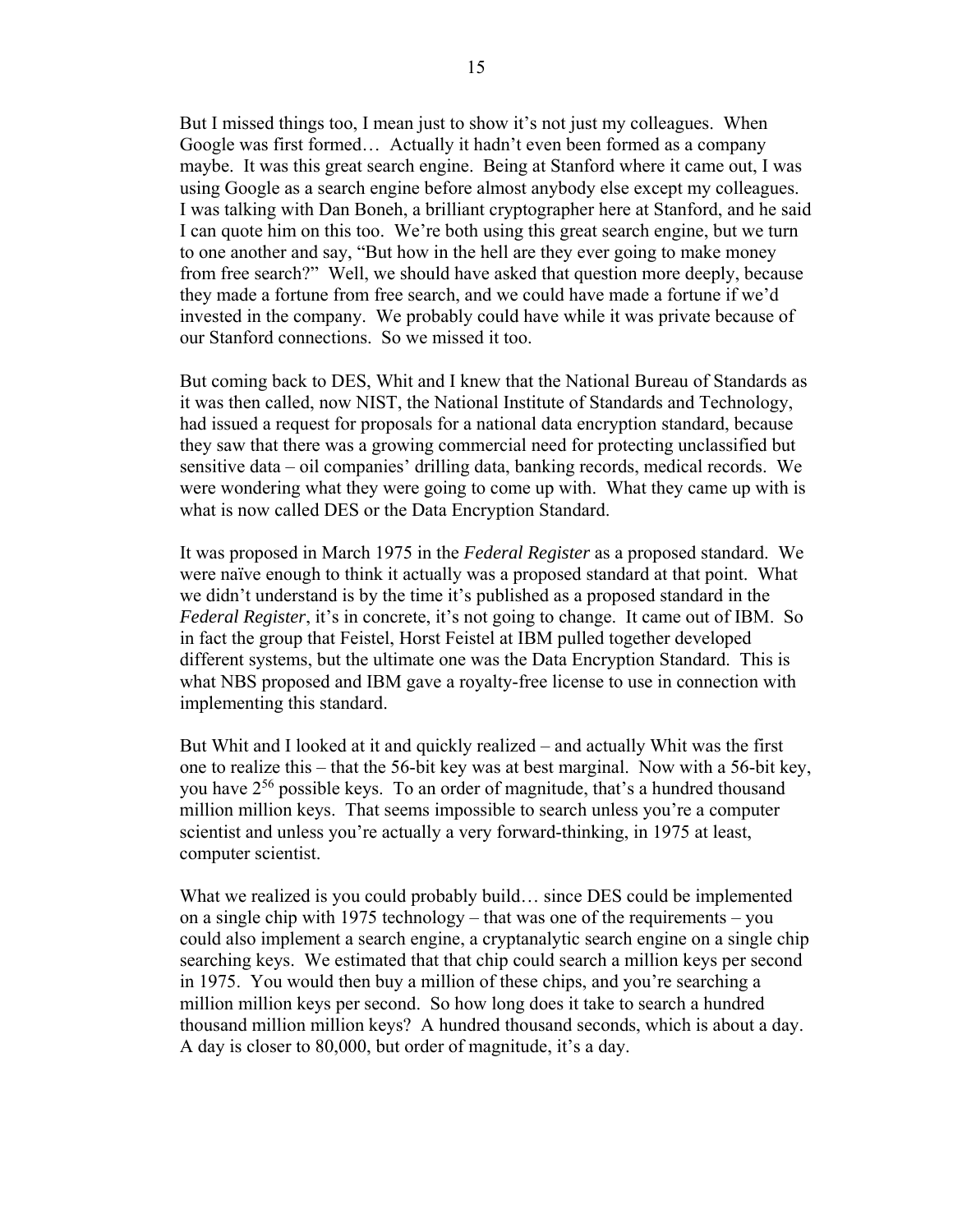But I missed things too, I mean just to show it's not just my colleagues. When Google was first formed… Actually it hadn't even been formed as a company maybe. It was this great search engine. Being at Stanford where it came out, I was using Google as a search engine before almost anybody else except my colleagues. I was talking with Dan Boneh, a brilliant cryptographer here at Stanford, and he said I can quote him on this too. We're both using this great search engine, but we turn to one another and say, "But how in the hell are they ever going to make money from free search?" Well, we should have asked that question more deeply, because they made a fortune from free search, and we could have made a fortune if we'd invested in the company. We probably could have while it was private because of our Stanford connections. So we missed it too.

But coming back to DES, Whit and I knew that the National Bureau of Standards as it was then called, now NIST, the National Institute of Standards and Technology, had issued a request for proposals for a national data encryption standard, because they saw that there was a growing commercial need for protecting unclassified but sensitive data – oil companies' drilling data, banking records, medical records. We were wondering what they were going to come up with. What they came up with is what is now called DES or the Data Encryption Standard.

It was proposed in March 1975 in the *Federal Register* as a proposed standard. We were naïve enough to think it actually was a proposed standard at that point. What we didn't understand is by the time it's published as a proposed standard in the *Federal Register*, it's in concrete, it's not going to change. It came out of IBM. So in fact the group that Feistel, Horst Feistel at IBM pulled together developed different systems, but the ultimate one was the Data Encryption Standard. This is what NBS proposed and IBM gave a royalty-free license to use in connection with implementing this standard.

But Whit and I looked at it and quickly realized – and actually Whit was the first one to realize this – that the 56-bit key was at best marginal. Now with a 56-bit key, you have 256 possible keys. To an order of magnitude, that's a hundred thousand million million keys. That seems impossible to search unless you're a computer scientist and unless you're actually a very forward-thinking, in 1975 at least, computer scientist.

What we realized is you could probably build... since DES could be implemented on a single chip with 1975 technology – that was one of the requirements – you could also implement a search engine, a cryptanalytic search engine on a single chip searching keys. We estimated that that chip could search a million keys per second in 1975. You would then buy a million of these chips, and you're searching a million million keys per second. So how long does it take to search a hundred thousand million million keys? A hundred thousand seconds, which is about a day. A day is closer to 80,000, but order of magnitude, it's a day.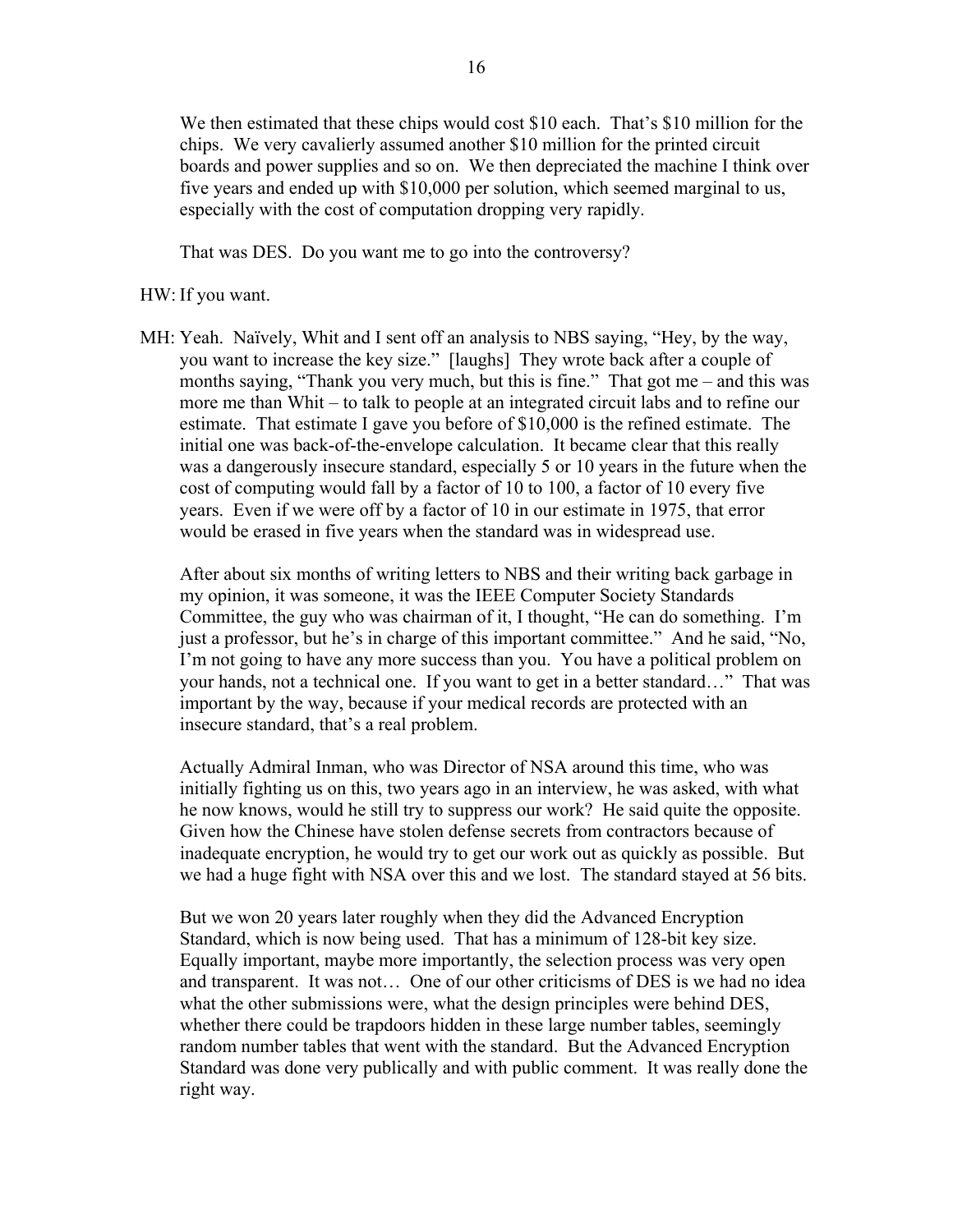We then estimated that these chips would cost \$10 each. That's \$10 million for the chips. We very cavalierly assumed another \$10 million for the printed circuit boards and power supplies and so on. We then depreciated the machine I think over five years and ended up with \$10,000 per solution, which seemed marginal to us, especially with the cost of computation dropping very rapidly.

That was DES. Do you want me to go into the controversy?

## HW: If you want.

MH: Yeah. Naïvely, Whit and I sent off an analysis to NBS saying, "Hey, by the way, you want to increase the key size." [laughs] They wrote back after a couple of months saying, "Thank you very much, but this is fine." That got me – and this was more me than Whit – to talk to people at an integrated circuit labs and to refine our estimate. That estimate I gave you before of \$10,000 is the refined estimate. The initial one was back-of-the-envelope calculation. It became clear that this really was a dangerously insecure standard, especially 5 or 10 years in the future when the cost of computing would fall by a factor of 10 to 100, a factor of 10 every five years. Even if we were off by a factor of 10 in our estimate in 1975, that error would be erased in five years when the standard was in widespread use.

 After about six months of writing letters to NBS and their writing back garbage in my opinion, it was someone, it was the IEEE Computer Society Standards Committee, the guy who was chairman of it, I thought, "He can do something. I'm just a professor, but he's in charge of this important committee." And he said, "No, I'm not going to have any more success than you. You have a political problem on your hands, not a technical one. If you want to get in a better standard…" That was important by the way, because if your medical records are protected with an insecure standard, that's a real problem.

 Actually Admiral Inman, who was Director of NSA around this time, who was initially fighting us on this, two years ago in an interview, he was asked, with what he now knows, would he still try to suppress our work? He said quite the opposite. Given how the Chinese have stolen defense secrets from contractors because of inadequate encryption, he would try to get our work out as quickly as possible. But we had a huge fight with NSA over this and we lost. The standard stayed at 56 bits.

 But we won 20 years later roughly when they did the Advanced Encryption Standard, which is now being used. That has a minimum of 128-bit key size. Equally important, maybe more importantly, the selection process was very open and transparent. It was not… One of our other criticisms of DES is we had no idea what the other submissions were, what the design principles were behind DES, whether there could be trapdoors hidden in these large number tables, seemingly random number tables that went with the standard. But the Advanced Encryption Standard was done very publically and with public comment. It was really done the right way.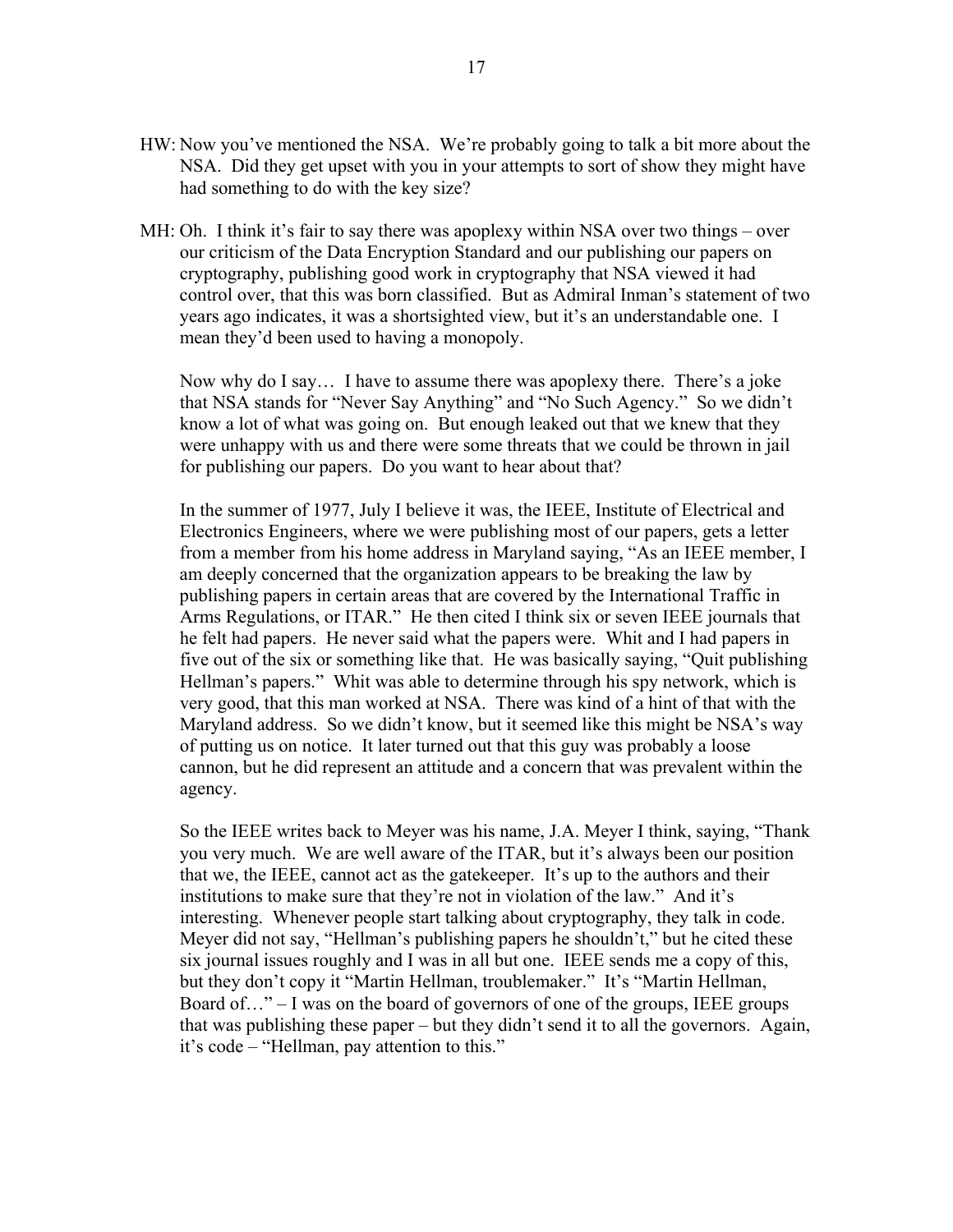- HW: Now you've mentioned the NSA. We're probably going to talk a bit more about the NSA. Did they get upset with you in your attempts to sort of show they might have had something to do with the key size?
- MH: Oh. I think it's fair to say there was apoplexy within NSA over two things over our criticism of the Data Encryption Standard and our publishing our papers on cryptography, publishing good work in cryptography that NSA viewed it had control over, that this was born classified. But as Admiral Inman's statement of two years ago indicates, it was a shortsighted view, but it's an understandable one. I mean they'd been used to having a monopoly.

 Now why do I say… I have to assume there was apoplexy there. There's a joke that NSA stands for "Never Say Anything" and "No Such Agency." So we didn't know a lot of what was going on. But enough leaked out that we knew that they were unhappy with us and there were some threats that we could be thrown in jail for publishing our papers. Do you want to hear about that?

 In the summer of 1977, July I believe it was, the IEEE, Institute of Electrical and Electronics Engineers, where we were publishing most of our papers, gets a letter from a member from his home address in Maryland saying, "As an IEEE member, I am deeply concerned that the organization appears to be breaking the law by publishing papers in certain areas that are covered by the International Traffic in Arms Regulations, or ITAR." He then cited I think six or seven IEEE journals that he felt had papers. He never said what the papers were. Whit and I had papers in five out of the six or something like that. He was basically saying, "Quit publishing Hellman's papers." Whit was able to determine through his spy network, which is very good, that this man worked at NSA. There was kind of a hint of that with the Maryland address. So we didn't know, but it seemed like this might be NSA's way of putting us on notice. It later turned out that this guy was probably a loose cannon, but he did represent an attitude and a concern that was prevalent within the agency.

 So the IEEE writes back to Meyer was his name, J.A. Meyer I think, saying, "Thank you very much. We are well aware of the ITAR, but it's always been our position that we, the IEEE, cannot act as the gatekeeper. It's up to the authors and their institutions to make sure that they're not in violation of the law." And it's interesting. Whenever people start talking about cryptography, they talk in code. Meyer did not say, "Hellman's publishing papers he shouldn't," but he cited these six journal issues roughly and I was in all but one. IEEE sends me a copy of this, but they don't copy it "Martin Hellman, troublemaker." It's "Martin Hellman, Board of  $\dots$ " – I was on the board of governors of one of the groups, IEEE groups that was publishing these paper – but they didn't send it to all the governors. Again, it's code – "Hellman, pay attention to this."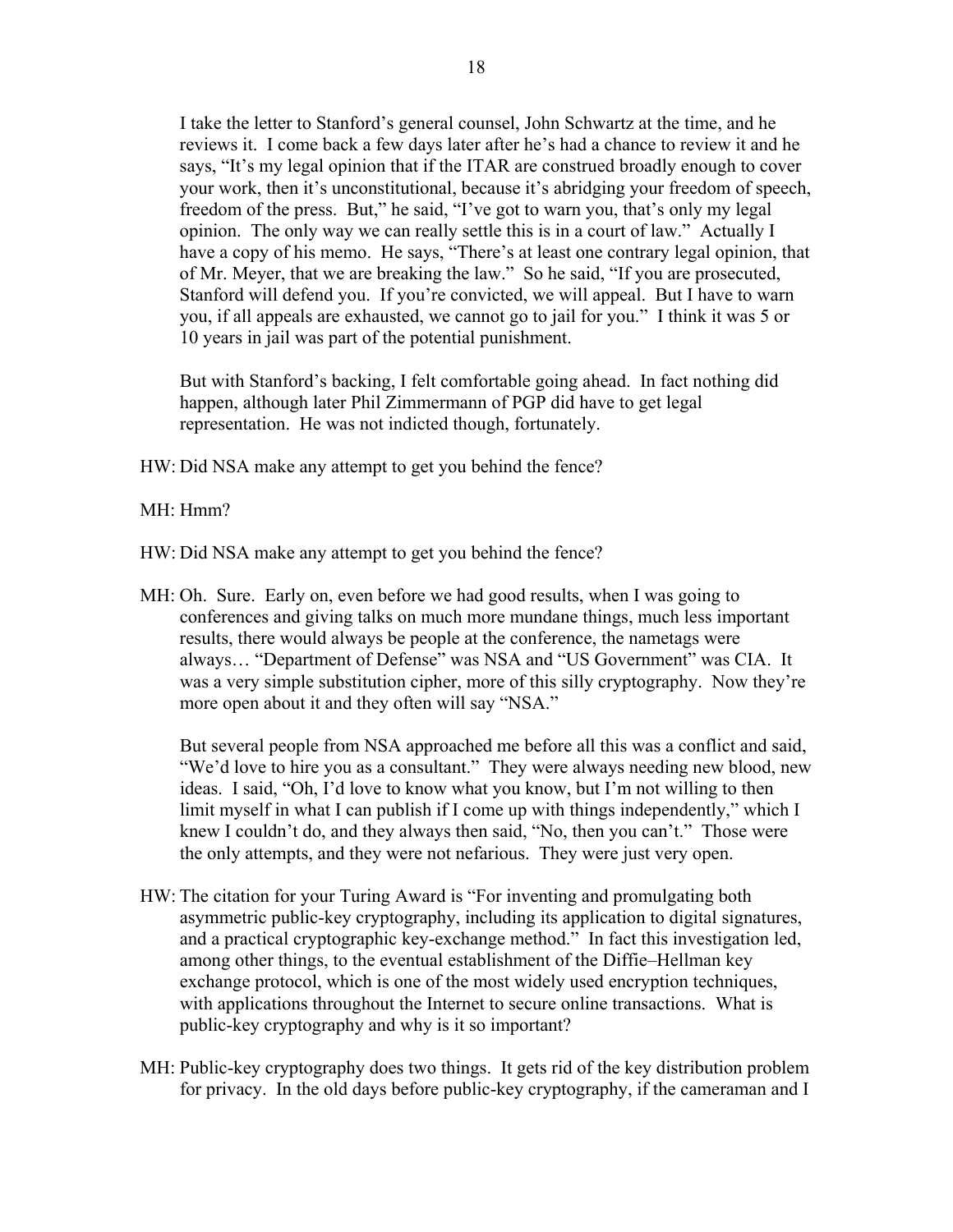I take the letter to Stanford's general counsel, John Schwartz at the time, and he reviews it. I come back a few days later after he's had a chance to review it and he says, "It's my legal opinion that if the ITAR are construed broadly enough to cover your work, then it's unconstitutional, because it's abridging your freedom of speech, freedom of the press. But," he said, "I've got to warn you, that's only my legal opinion. The only way we can really settle this is in a court of law." Actually I have a copy of his memo. He says, "There's at least one contrary legal opinion, that of Mr. Meyer, that we are breaking the law." So he said, "If you are prosecuted, Stanford will defend you. If you're convicted, we will appeal. But I have to warn you, if all appeals are exhausted, we cannot go to jail for you." I think it was 5 or 10 years in jail was part of the potential punishment.

 But with Stanford's backing, I felt comfortable going ahead. In fact nothing did happen, although later Phil Zimmermann of PGP did have to get legal representation. He was not indicted though, fortunately.

HW: Did NSA make any attempt to get you behind the fence?

MH: Hmm?

HW: Did NSA make any attempt to get you behind the fence?

MH: Oh. Sure. Early on, even before we had good results, when I was going to conferences and giving talks on much more mundane things, much less important results, there would always be people at the conference, the nametags were always… "Department of Defense" was NSA and "US Government" was CIA. It was a very simple substitution cipher, more of this silly cryptography. Now they're more open about it and they often will say "NSA."

 But several people from NSA approached me before all this was a conflict and said, "We'd love to hire you as a consultant." They were always needing new blood, new ideas. I said, "Oh, I'd love to know what you know, but I'm not willing to then limit myself in what I can publish if I come up with things independently," which I knew I couldn't do, and they always then said, "No, then you can't." Those were the only attempts, and they were not nefarious. They were just very open.

- HW: The citation for your Turing Award is "For inventing and promulgating both asymmetric public-key cryptography, including its application to digital signatures, and a practical cryptographic key-exchange method." In fact this investigation led, among other things, to the eventual establishment of the Diffie–Hellman key exchange protocol, which is one of the most widely used encryption techniques, with applications throughout the Internet to secure online transactions. What is public-key cryptography and why is it so important?
- MH: Public-key cryptography does two things. It gets rid of the key distribution problem for privacy. In the old days before public-key cryptography, if the cameraman and I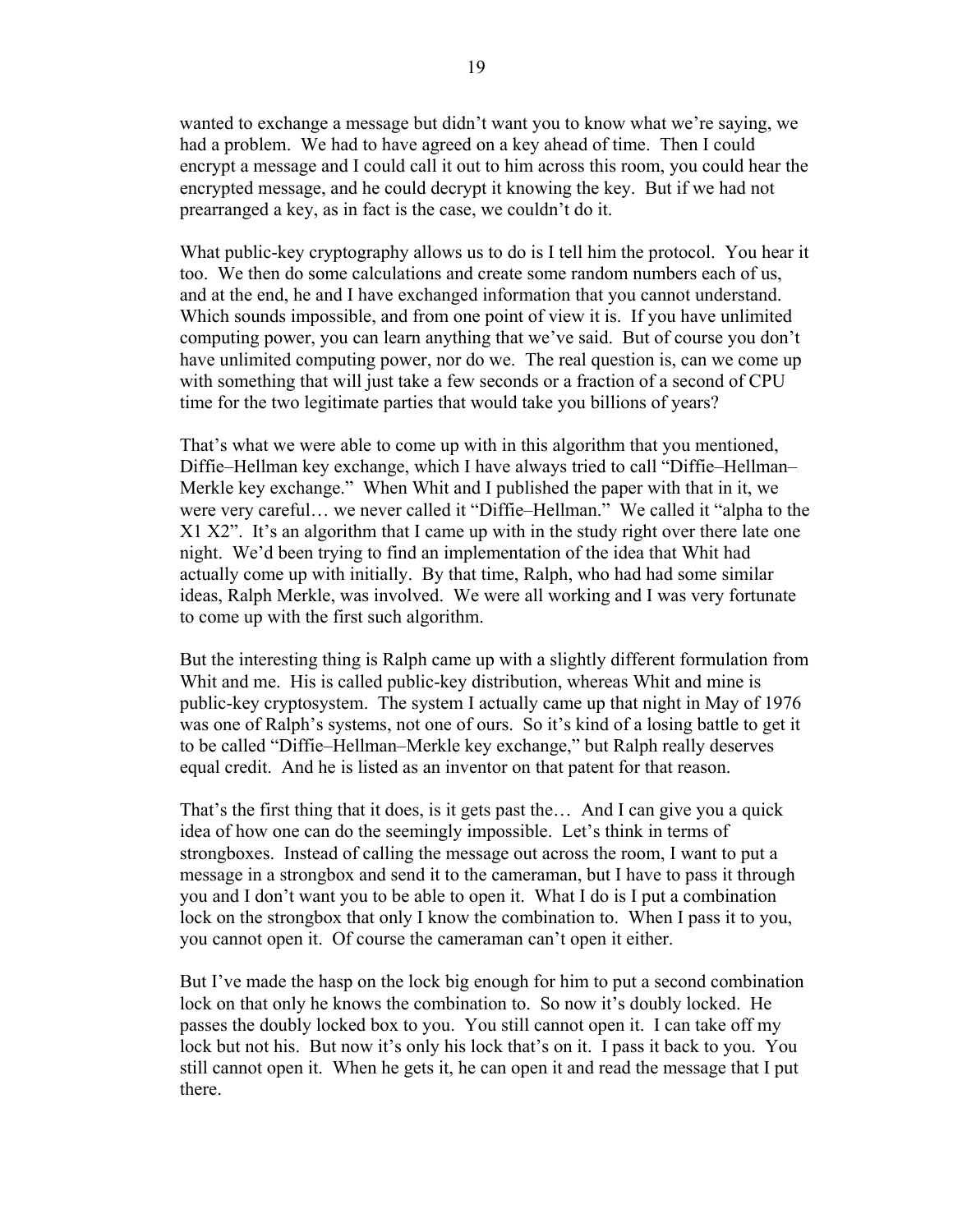wanted to exchange a message but didn't want you to know what we're saying, we had a problem. We had to have agreed on a key ahead of time. Then I could encrypt a message and I could call it out to him across this room, you could hear the encrypted message, and he could decrypt it knowing the key. But if we had not prearranged a key, as in fact is the case, we couldn't do it.

 What public-key cryptography allows us to do is I tell him the protocol. You hear it too. We then do some calculations and create some random numbers each of us, and at the end, he and I have exchanged information that you cannot understand. Which sounds impossible, and from one point of view it is. If you have unlimited computing power, you can learn anything that we've said. But of course you don't have unlimited computing power, nor do we. The real question is, can we come up with something that will just take a few seconds or a fraction of a second of CPU time for the two legitimate parties that would take you billions of years?

 That's what we were able to come up with in this algorithm that you mentioned, Diffie–Hellman key exchange, which I have always tried to call "Diffie–Hellman– Merkle key exchange." When Whit and I published the paper with that in it, we were very careful… we never called it "Diffie–Hellman." We called it "alpha to the X1 X2". It's an algorithm that I came up with in the study right over there late one night. We'd been trying to find an implementation of the idea that Whit had actually come up with initially. By that time, Ralph, who had had some similar ideas, Ralph Merkle, was involved. We were all working and I was very fortunate to come up with the first such algorithm.

 But the interesting thing is Ralph came up with a slightly different formulation from Whit and me. His is called public-key distribution, whereas Whit and mine is public-key cryptosystem. The system I actually came up that night in May of 1976 was one of Ralph's systems, not one of ours. So it's kind of a losing battle to get it to be called "Diffie–Hellman–Merkle key exchange," but Ralph really deserves equal credit. And he is listed as an inventor on that patent for that reason.

 That's the first thing that it does, is it gets past the… And I can give you a quick idea of how one can do the seemingly impossible. Let's think in terms of strongboxes. Instead of calling the message out across the room, I want to put a message in a strongbox and send it to the cameraman, but I have to pass it through you and I don't want you to be able to open it. What I do is I put a combination lock on the strongbox that only I know the combination to. When I pass it to you, you cannot open it. Of course the cameraman can't open it either.

 But I've made the hasp on the lock big enough for him to put a second combination lock on that only he knows the combination to. So now it's doubly locked. He passes the doubly locked box to you. You still cannot open it. I can take off my lock but not his. But now it's only his lock that's on it. I pass it back to you. You still cannot open it. When he gets it, he can open it and read the message that I put there.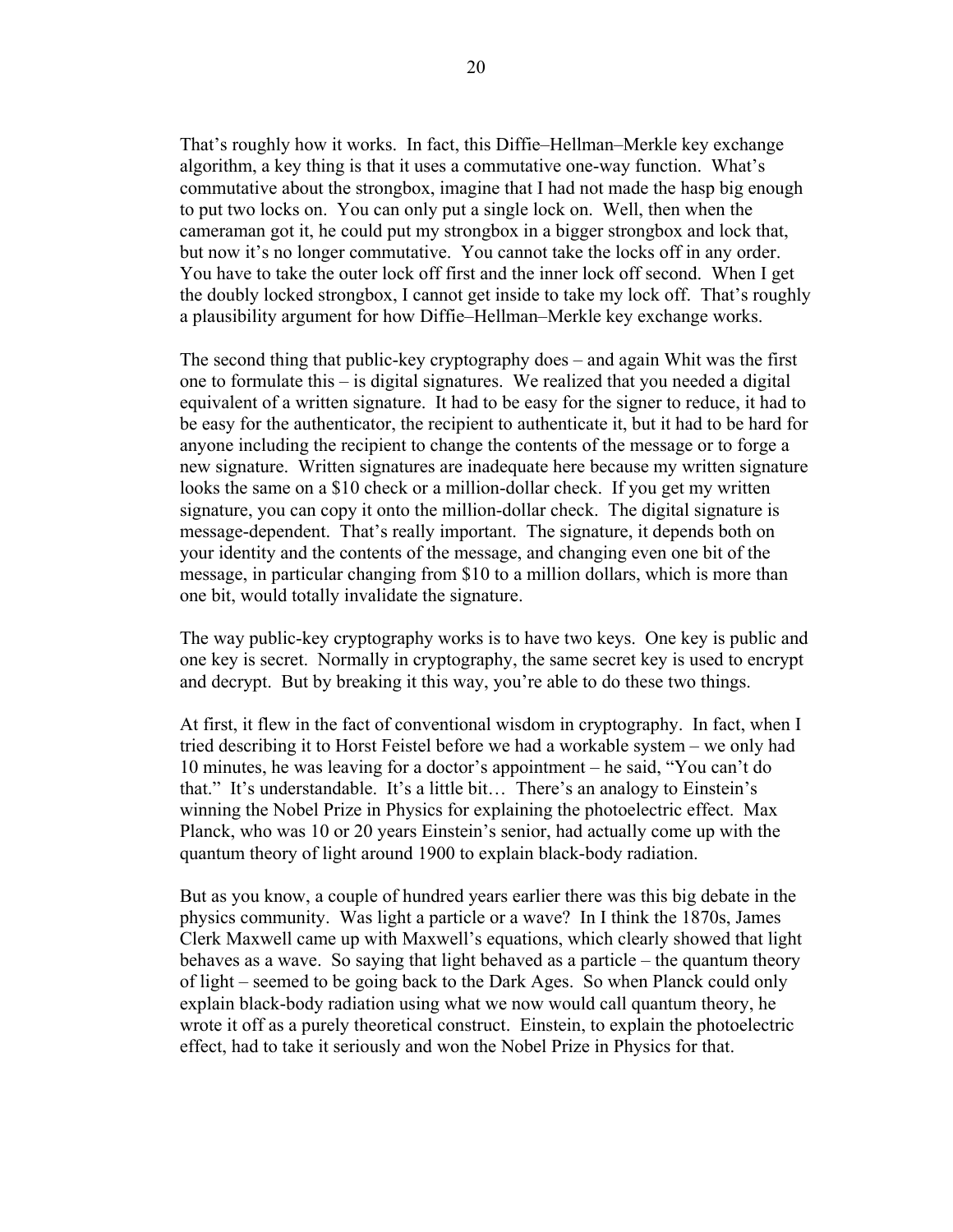That's roughly how it works. In fact, this Diffie–Hellman–Merkle key exchange algorithm, a key thing is that it uses a commutative one-way function. What's commutative about the strongbox, imagine that I had not made the hasp big enough to put two locks on. You can only put a single lock on. Well, then when the cameraman got it, he could put my strongbox in a bigger strongbox and lock that, but now it's no longer commutative. You cannot take the locks off in any order. You have to take the outer lock off first and the inner lock off second. When I get the doubly locked strongbox, I cannot get inside to take my lock off. That's roughly a plausibility argument for how Diffie–Hellman–Merkle key exchange works.

 The second thing that public-key cryptography does – and again Whit was the first one to formulate this – is digital signatures. We realized that you needed a digital equivalent of a written signature. It had to be easy for the signer to reduce, it had to be easy for the authenticator, the recipient to authenticate it, but it had to be hard for anyone including the recipient to change the contents of the message or to forge a new signature. Written signatures are inadequate here because my written signature looks the same on a \$10 check or a million-dollar check. If you get my written signature, you can copy it onto the million-dollar check. The digital signature is message-dependent. That's really important. The signature, it depends both on your identity and the contents of the message, and changing even one bit of the message, in particular changing from \$10 to a million dollars, which is more than one bit, would totally invalidate the signature.

 The way public-key cryptography works is to have two keys. One key is public and one key is secret. Normally in cryptography, the same secret key is used to encrypt and decrypt. But by breaking it this way, you're able to do these two things.

 At first, it flew in the fact of conventional wisdom in cryptography. In fact, when I tried describing it to Horst Feistel before we had a workable system – we only had 10 minutes, he was leaving for a doctor's appointment – he said, "You can't do that." It's understandable. It's a little bit… There's an analogy to Einstein's winning the Nobel Prize in Physics for explaining the photoelectric effect. Max Planck, who was 10 or 20 years Einstein's senior, had actually come up with the quantum theory of light around 1900 to explain black-body radiation.

 But as you know, a couple of hundred years earlier there was this big debate in the physics community. Was light a particle or a wave? In I think the 1870s, James Clerk Maxwell came up with Maxwell's equations, which clearly showed that light behaves as a wave. So saying that light behaved as a particle – the quantum theory of light – seemed to be going back to the Dark Ages. So when Planck could only explain black-body radiation using what we now would call quantum theory, he wrote it off as a purely theoretical construct. Einstein, to explain the photoelectric effect, had to take it seriously and won the Nobel Prize in Physics for that.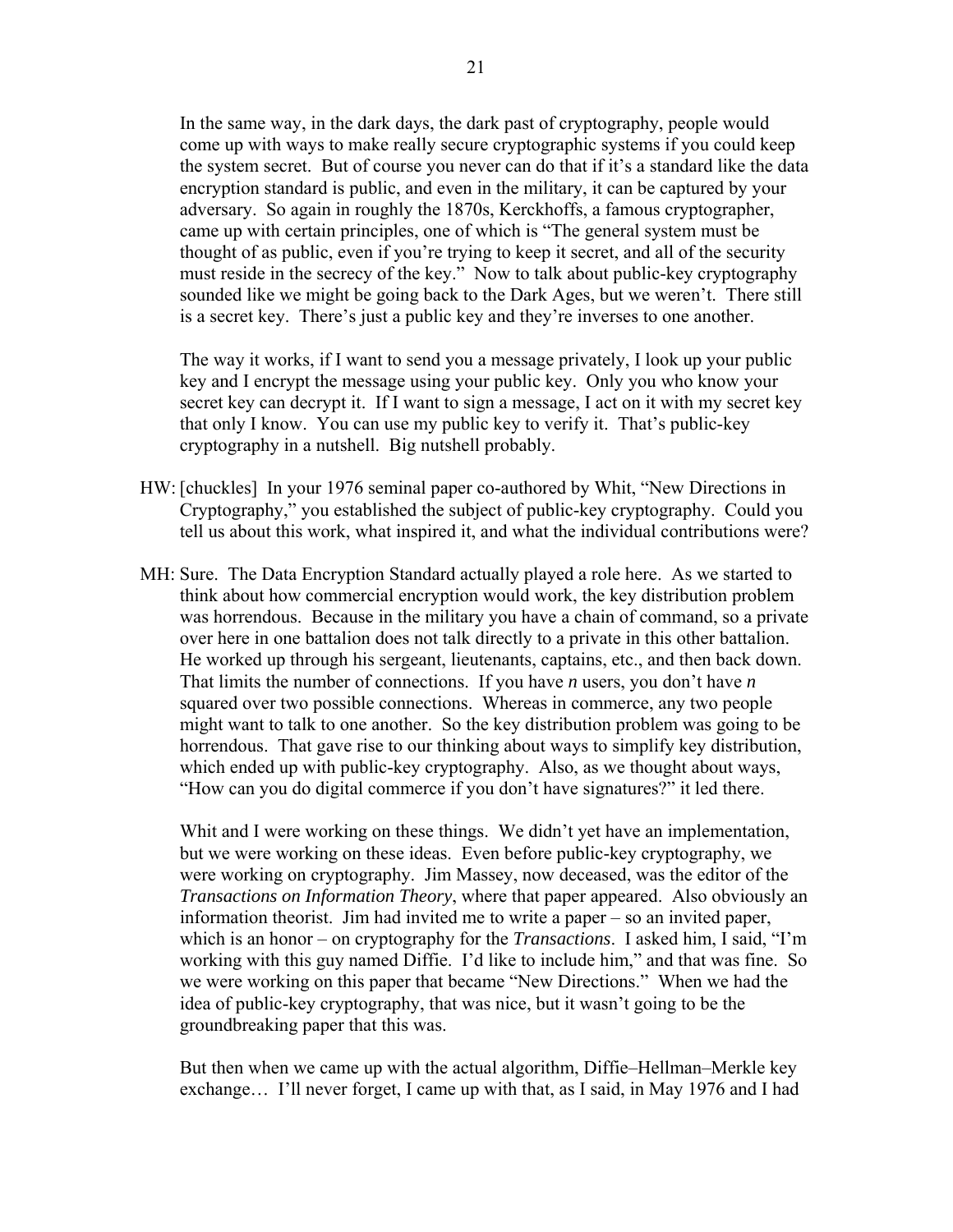In the same way, in the dark days, the dark past of cryptography, people would come up with ways to make really secure cryptographic systems if you could keep the system secret. But of course you never can do that if it's a standard like the data encryption standard is public, and even in the military, it can be captured by your adversary. So again in roughly the 1870s, Kerckhoffs, a famous cryptographer, came up with certain principles, one of which is "The general system must be thought of as public, even if you're trying to keep it secret, and all of the security must reside in the secrecy of the key." Now to talk about public-key cryptography sounded like we might be going back to the Dark Ages, but we weren't. There still is a secret key. There's just a public key and they're inverses to one another.

 The way it works, if I want to send you a message privately, I look up your public key and I encrypt the message using your public key. Only you who know your secret key can decrypt it. If I want to sign a message, I act on it with my secret key that only I know. You can use my public key to verify it. That's public-key cryptography in a nutshell. Big nutshell probably.

- HW: [chuckles] In your 1976 seminal paper co-authored by Whit, "New Directions in Cryptography," you established the subject of public-key cryptography. Could you tell us about this work, what inspired it, and what the individual contributions were?
- MH: Sure. The Data Encryption Standard actually played a role here. As we started to think about how commercial encryption would work, the key distribution problem was horrendous. Because in the military you have a chain of command, so a private over here in one battalion does not talk directly to a private in this other battalion. He worked up through his sergeant, lieutenants, captains, etc., and then back down. That limits the number of connections. If you have *n* users, you don't have *n* squared over two possible connections. Whereas in commerce, any two people might want to talk to one another. So the key distribution problem was going to be horrendous. That gave rise to our thinking about ways to simplify key distribution, which ended up with public-key cryptography. Also, as we thought about ways, "How can you do digital commerce if you don't have signatures?" it led there.

Whit and I were working on these things. We didn't yet have an implementation, but we were working on these ideas. Even before public-key cryptography, we were working on cryptography. Jim Massey, now deceased, was the editor of the *Transactions on Information Theory*, where that paper appeared. Also obviously an information theorist. Jim had invited me to write a paper – so an invited paper, which is an honor – on cryptography for the *Transactions*. I asked him, I said, "I'm working with this guy named Diffie. I'd like to include him," and that was fine. So we were working on this paper that became "New Directions." When we had the idea of public-key cryptography, that was nice, but it wasn't going to be the groundbreaking paper that this was.

 But then when we came up with the actual algorithm, Diffie–Hellman–Merkle key exchange… I'll never forget, I came up with that, as I said, in May 1976 and I had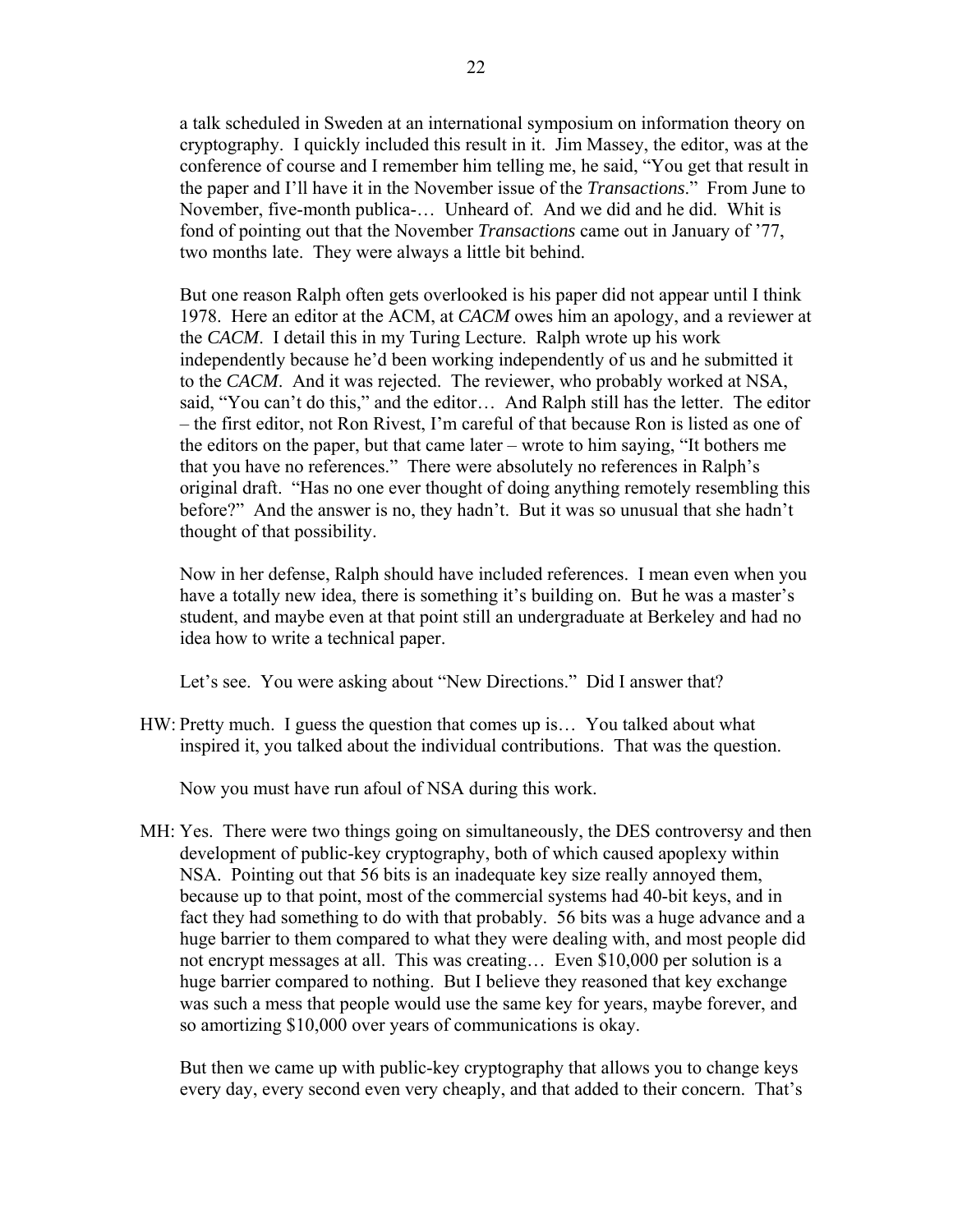a talk scheduled in Sweden at an international symposium on information theory on cryptography. I quickly included this result in it. Jim Massey, the editor, was at the conference of course and I remember him telling me, he said, "You get that result in the paper and I'll have it in the November issue of the *Transactions*." From June to November, five-month publica-… Unheard of. And we did and he did. Whit is fond of pointing out that the November *Transactions* came out in January of '77, two months late. They were always a little bit behind.

But one reason Ralph often gets overlooked is his paper did not appear until I think 1978. Here an editor at the ACM, at *CACM* owes him an apology, and a reviewer at the *CACM*. I detail this in my Turing Lecture. Ralph wrote up his work independently because he'd been working independently of us and he submitted it to the *CACM*. And it was rejected. The reviewer, who probably worked at NSA, said, "You can't do this," and the editor… And Ralph still has the letter. The editor – the first editor, not Ron Rivest, I'm careful of that because Ron is listed as one of the editors on the paper, but that came later – wrote to him saying, "It bothers me that you have no references." There were absolutely no references in Ralph's original draft. "Has no one ever thought of doing anything remotely resembling this before?" And the answer is no, they hadn't. But it was so unusual that she hadn't thought of that possibility.

 Now in her defense, Ralph should have included references. I mean even when you have a totally new idea, there is something it's building on. But he was a master's student, and maybe even at that point still an undergraduate at Berkeley and had no idea how to write a technical paper.

Let's see. You were asking about "New Directions." Did I answer that?

HW: Pretty much. I guess the question that comes up is… You talked about what inspired it, you talked about the individual contributions. That was the question.

Now you must have run afoul of NSA during this work.

MH: Yes. There were two things going on simultaneously, the DES controversy and then development of public-key cryptography, both of which caused apoplexy within NSA. Pointing out that 56 bits is an inadequate key size really annoyed them, because up to that point, most of the commercial systems had 40-bit keys, and in fact they had something to do with that probably. 56 bits was a huge advance and a huge barrier to them compared to what they were dealing with, and most people did not encrypt messages at all. This was creating… Even \$10,000 per solution is a huge barrier compared to nothing. But I believe they reasoned that key exchange was such a mess that people would use the same key for years, maybe forever, and so amortizing \$10,000 over years of communications is okay.

 But then we came up with public-key cryptography that allows you to change keys every day, every second even very cheaply, and that added to their concern. That's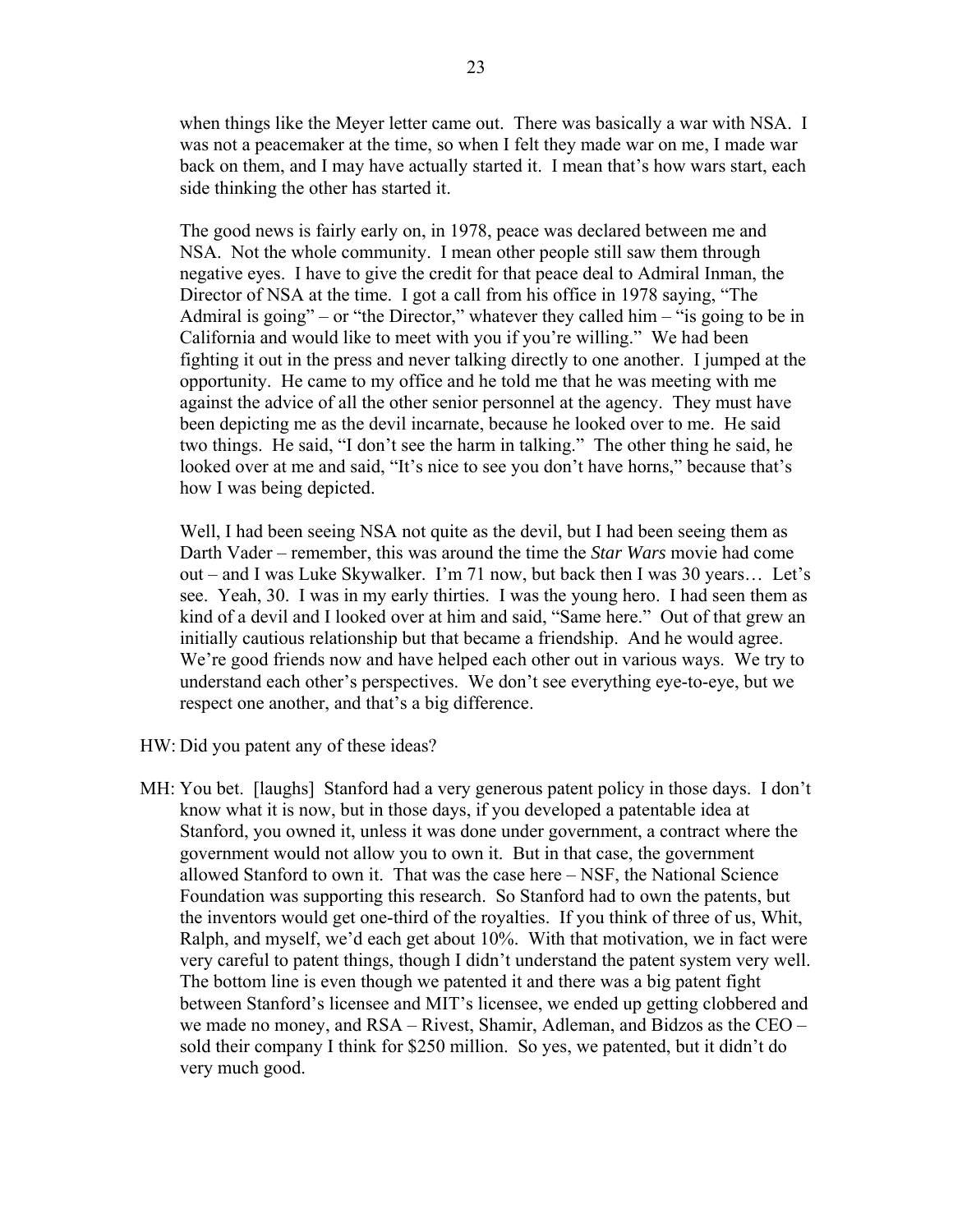when things like the Meyer letter came out. There was basically a war with NSA. I was not a peacemaker at the time, so when I felt they made war on me, I made war back on them, and I may have actually started it. I mean that's how wars start, each side thinking the other has started it.

 The good news is fairly early on, in 1978, peace was declared between me and NSA. Not the whole community. I mean other people still saw them through negative eyes. I have to give the credit for that peace deal to Admiral Inman, the Director of NSA at the time. I got a call from his office in 1978 saying, "The Admiral is going" – or "the Director," whatever they called him – "is going to be in California and would like to meet with you if you're willing." We had been fighting it out in the press and never talking directly to one another. I jumped at the opportunity. He came to my office and he told me that he was meeting with me against the advice of all the other senior personnel at the agency. They must have been depicting me as the devil incarnate, because he looked over to me. He said two things. He said, "I don't see the harm in talking." The other thing he said, he looked over at me and said, "It's nice to see you don't have horns," because that's how I was being depicted.

Well, I had been seeing NSA not quite as the devil, but I had been seeing them as Darth Vader – remember, this was around the time the *Star Wars* movie had come out – and I was Luke Skywalker. I'm 71 now, but back then I was 30 years… Let's see. Yeah, 30. I was in my early thirties. I was the young hero. I had seen them as kind of a devil and I looked over at him and said, "Same here." Out of that grew an initially cautious relationship but that became a friendship. And he would agree. We're good friends now and have helped each other out in various ways. We try to understand each other's perspectives. We don't see everything eye-to-eye, but we respect one another, and that's a big difference.

HW: Did you patent any of these ideas?

MH: You bet. [laughs] Stanford had a very generous patent policy in those days. I don't know what it is now, but in those days, if you developed a patentable idea at Stanford, you owned it, unless it was done under government, a contract where the government would not allow you to own it. But in that case, the government allowed Stanford to own it. That was the case here – NSF, the National Science Foundation was supporting this research. So Stanford had to own the patents, but the inventors would get one-third of the royalties. If you think of three of us, Whit, Ralph, and myself, we'd each get about 10%. With that motivation, we in fact were very careful to patent things, though I didn't understand the patent system very well. The bottom line is even though we patented it and there was a big patent fight between Stanford's licensee and MIT's licensee, we ended up getting clobbered and we made no money, and RSA – Rivest, Shamir, Adleman, and Bidzos as the CEO – sold their company I think for \$250 million. So yes, we patented, but it didn't do very much good.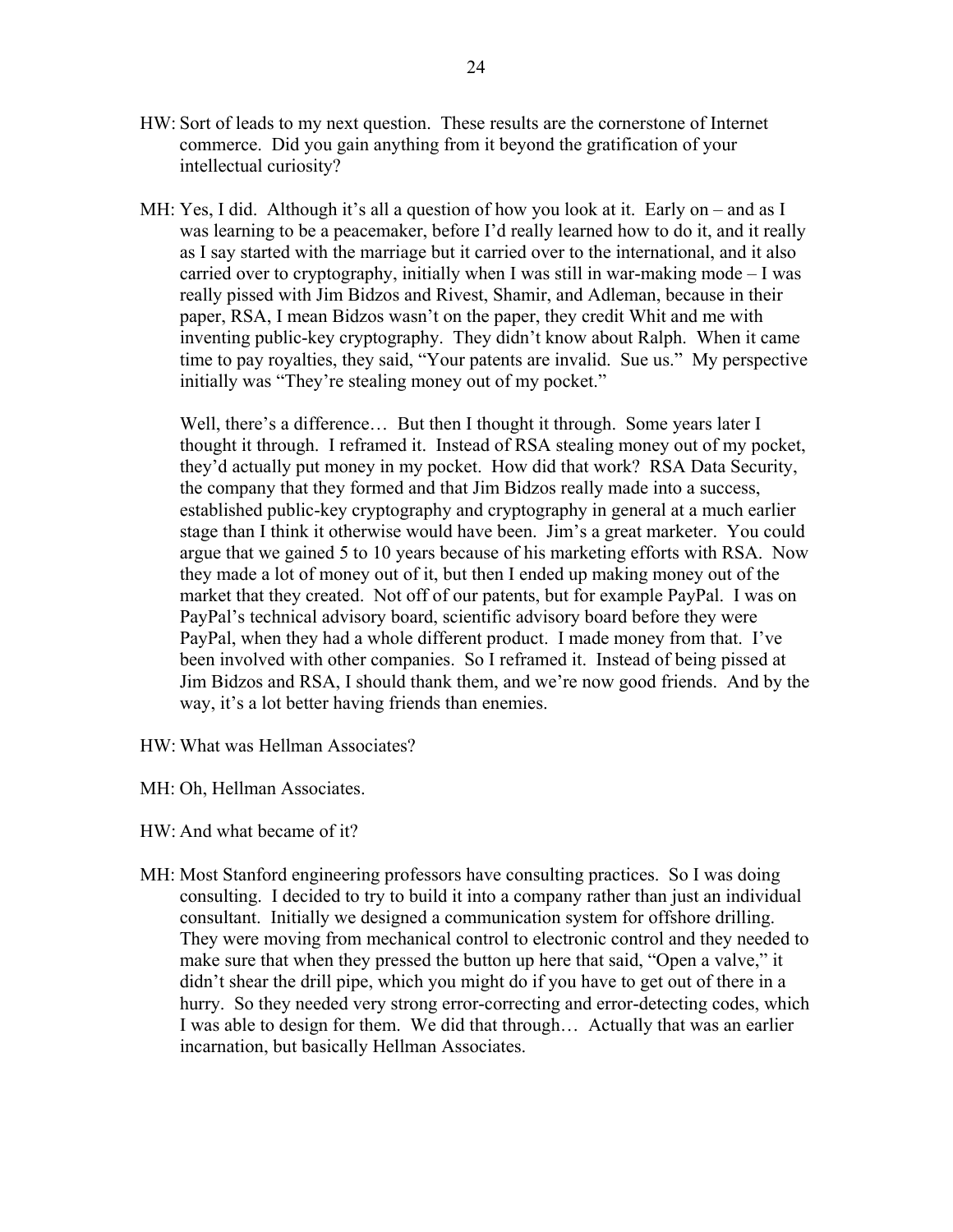- HW: Sort of leads to my next question. These results are the cornerstone of Internet commerce. Did you gain anything from it beyond the gratification of your intellectual curiosity?
- MH: Yes, I did. Although it's all a question of how you look at it. Early on and as I was learning to be a peacemaker, before I'd really learned how to do it, and it really as I say started with the marriage but it carried over to the international, and it also carried over to cryptography, initially when I was still in war-making mode – I was really pissed with Jim Bidzos and Rivest, Shamir, and Adleman, because in their paper, RSA, I mean Bidzos wasn't on the paper, they credit Whit and me with inventing public-key cryptography. They didn't know about Ralph. When it came time to pay royalties, they said, "Your patents are invalid. Sue us." My perspective initially was "They're stealing money out of my pocket."

Well, there's a difference... But then I thought it through. Some years later I thought it through. I reframed it. Instead of RSA stealing money out of my pocket, they'd actually put money in my pocket. How did that work? RSA Data Security, the company that they formed and that Jim Bidzos really made into a success, established public-key cryptography and cryptography in general at a much earlier stage than I think it otherwise would have been. Jim's a great marketer. You could argue that we gained 5 to 10 years because of his marketing efforts with RSA. Now they made a lot of money out of it, but then I ended up making money out of the market that they created. Not off of our patents, but for example PayPal. I was on PayPal's technical advisory board, scientific advisory board before they were PayPal, when they had a whole different product. I made money from that. I've been involved with other companies. So I reframed it. Instead of being pissed at Jim Bidzos and RSA, I should thank them, and we're now good friends. And by the way, it's a lot better having friends than enemies.

HW: What was Hellman Associates?

MH: Oh, Hellman Associates.

HW: And what became of it?

MH: Most Stanford engineering professors have consulting practices. So I was doing consulting. I decided to try to build it into a company rather than just an individual consultant. Initially we designed a communication system for offshore drilling. They were moving from mechanical control to electronic control and they needed to make sure that when they pressed the button up here that said, "Open a valve," it didn't shear the drill pipe, which you might do if you have to get out of there in a hurry. So they needed very strong error-correcting and error-detecting codes, which I was able to design for them. We did that through… Actually that was an earlier incarnation, but basically Hellman Associates.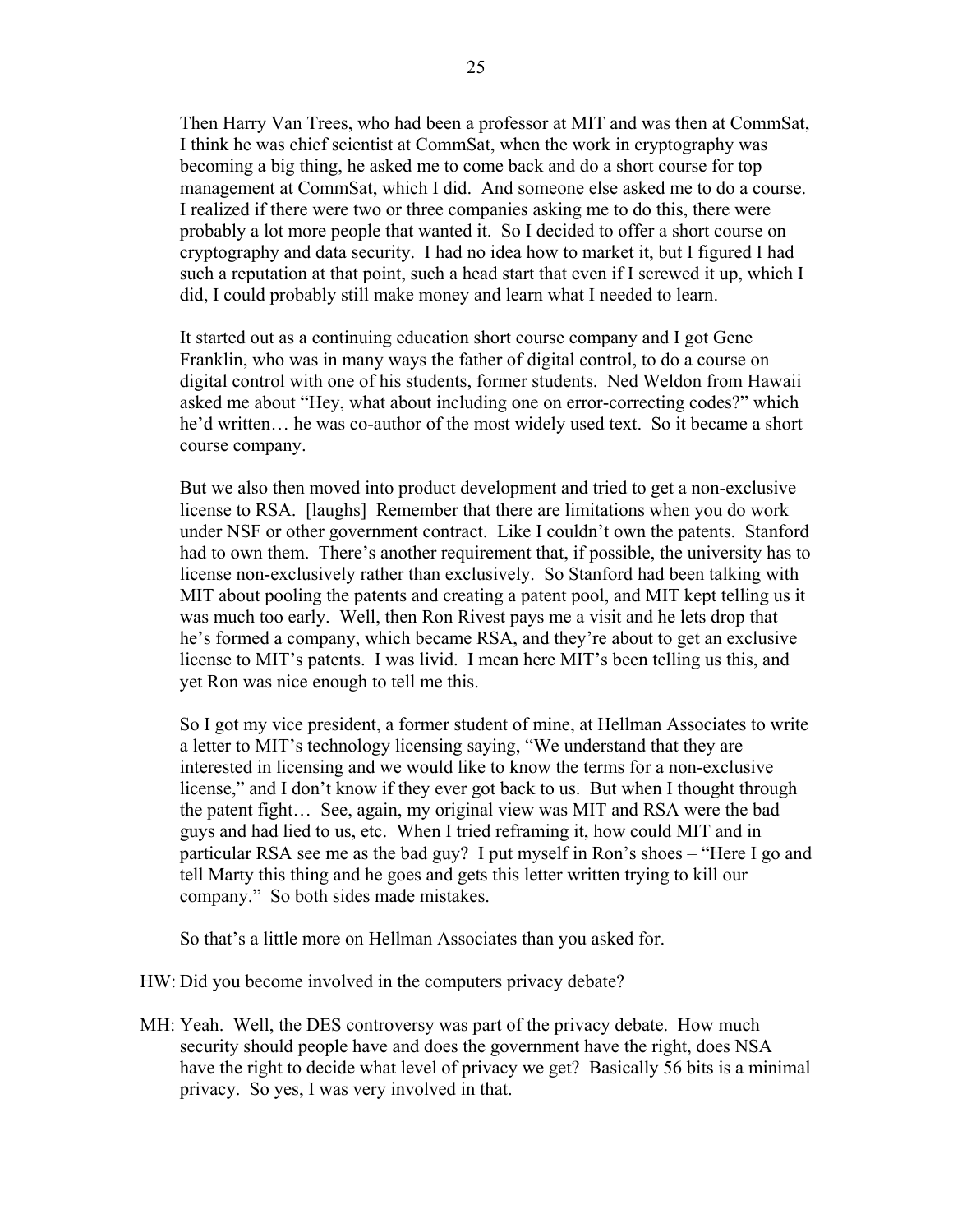Then Harry Van Trees, who had been a professor at MIT and was then at CommSat, I think he was chief scientist at CommSat, when the work in cryptography was becoming a big thing, he asked me to come back and do a short course for top management at CommSat, which I did. And someone else asked me to do a course. I realized if there were two or three companies asking me to do this, there were probably a lot more people that wanted it. So I decided to offer a short course on cryptography and data security. I had no idea how to market it, but I figured I had such a reputation at that point, such a head start that even if I screwed it up, which I did, I could probably still make money and learn what I needed to learn.

 It started out as a continuing education short course company and I got Gene Franklin, who was in many ways the father of digital control, to do a course on digital control with one of his students, former students. Ned Weldon from Hawaii asked me about "Hey, what about including one on error-correcting codes?" which he'd written… he was co-author of the most widely used text. So it became a short course company.

 But we also then moved into product development and tried to get a non-exclusive license to RSA. [laughs] Remember that there are limitations when you do work under NSF or other government contract. Like I couldn't own the patents. Stanford had to own them. There's another requirement that, if possible, the university has to license non-exclusively rather than exclusively. So Stanford had been talking with MIT about pooling the patents and creating a patent pool, and MIT kept telling us it was much too early. Well, then Ron Rivest pays me a visit and he lets drop that he's formed a company, which became RSA, and they're about to get an exclusive license to MIT's patents. I was livid. I mean here MIT's been telling us this, and yet Ron was nice enough to tell me this.

 So I got my vice president, a former student of mine, at Hellman Associates to write a letter to MIT's technology licensing saying, "We understand that they are interested in licensing and we would like to know the terms for a non-exclusive license," and I don't know if they ever got back to us. But when I thought through the patent fight… See, again, my original view was MIT and RSA were the bad guys and had lied to us, etc. When I tried reframing it, how could MIT and in particular RSA see me as the bad guy? I put myself in Ron's shoes – "Here I go and tell Marty this thing and he goes and gets this letter written trying to kill our company." So both sides made mistakes.

So that's a little more on Hellman Associates than you asked for.

HW: Did you become involved in the computers privacy debate?

MH: Yeah. Well, the DES controversy was part of the privacy debate. How much security should people have and does the government have the right, does NSA have the right to decide what level of privacy we get? Basically 56 bits is a minimal privacy. So yes, I was very involved in that.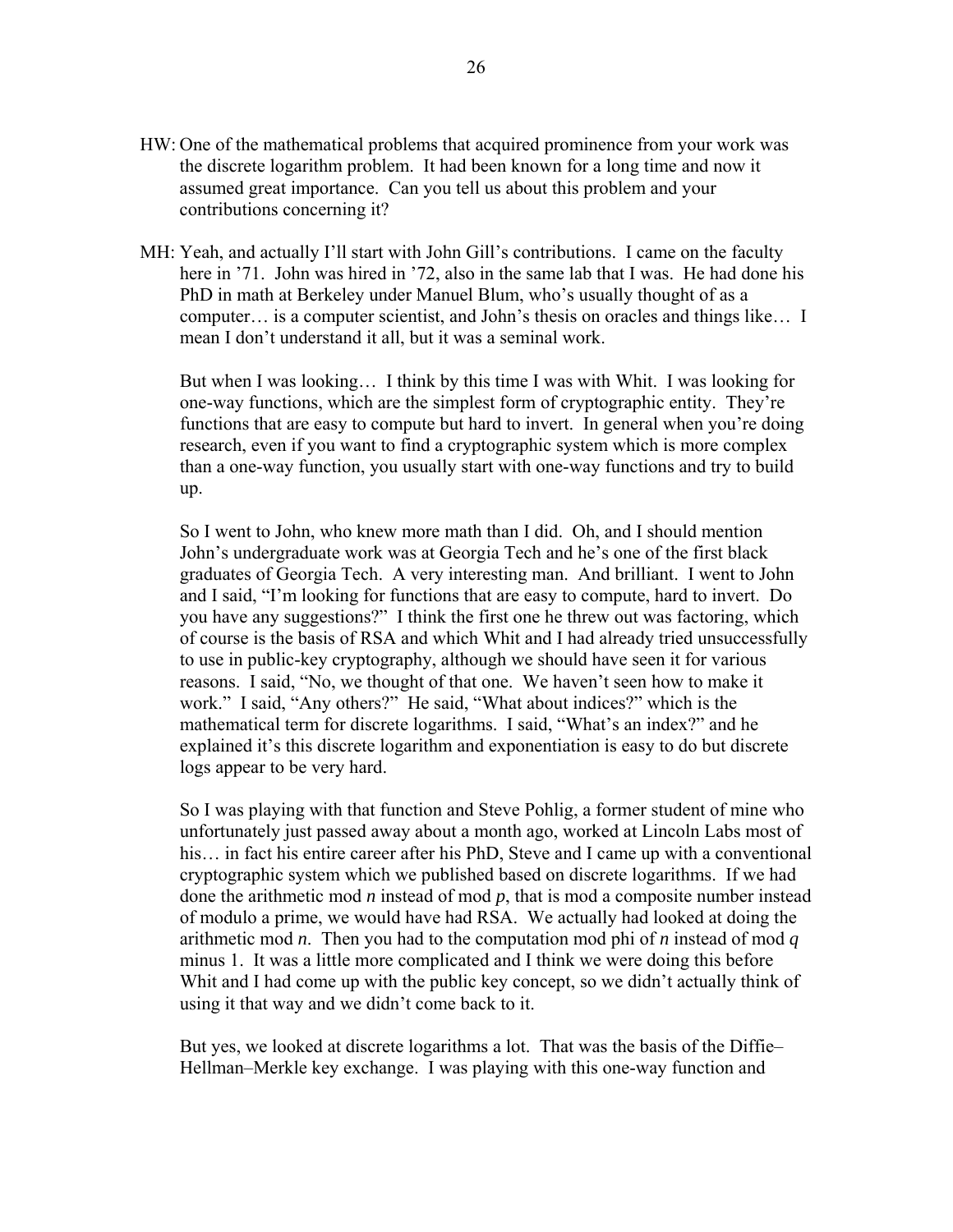- HW: One of the mathematical problems that acquired prominence from your work was the discrete logarithm problem. It had been known for a long time and now it assumed great importance. Can you tell us about this problem and your contributions concerning it?
- MH: Yeah, and actually I'll start with John Gill's contributions. I came on the faculty here in '71. John was hired in '72, also in the same lab that I was. He had done his PhD in math at Berkeley under Manuel Blum, who's usually thought of as a computer… is a computer scientist, and John's thesis on oracles and things like… I mean I don't understand it all, but it was a seminal work.

 But when I was looking… I think by this time I was with Whit. I was looking for one-way functions, which are the simplest form of cryptographic entity. They're functions that are easy to compute but hard to invert. In general when you're doing research, even if you want to find a cryptographic system which is more complex than a one-way function, you usually start with one-way functions and try to build up.

 So I went to John, who knew more math than I did. Oh, and I should mention John's undergraduate work was at Georgia Tech and he's one of the first black graduates of Georgia Tech. A very interesting man. And brilliant. I went to John and I said, "I'm looking for functions that are easy to compute, hard to invert. Do you have any suggestions?" I think the first one he threw out was factoring, which of course is the basis of RSA and which Whit and I had already tried unsuccessfully to use in public-key cryptography, although we should have seen it for various reasons. I said, "No, we thought of that one. We haven't seen how to make it work." I said, "Any others?" He said, "What about indices?" which is the mathematical term for discrete logarithms. I said, "What's an index?" and he explained it's this discrete logarithm and exponentiation is easy to do but discrete logs appear to be very hard.

 So I was playing with that function and Steve Pohlig, a former student of mine who unfortunately just passed away about a month ago, worked at Lincoln Labs most of his… in fact his entire career after his PhD, Steve and I came up with a conventional cryptographic system which we published based on discrete logarithms. If we had done the arithmetic mod *n* instead of mod *p*, that is mod a composite number instead of modulo a prime, we would have had RSA. We actually had looked at doing the arithmetic mod *n*. Then you had to the computation mod phi of *n* instead of mod *q* minus 1. It was a little more complicated and I think we were doing this before Whit and I had come up with the public key concept, so we didn't actually think of using it that way and we didn't come back to it.

 But yes, we looked at discrete logarithms a lot. That was the basis of the Diffie– Hellman–Merkle key exchange. I was playing with this one-way function and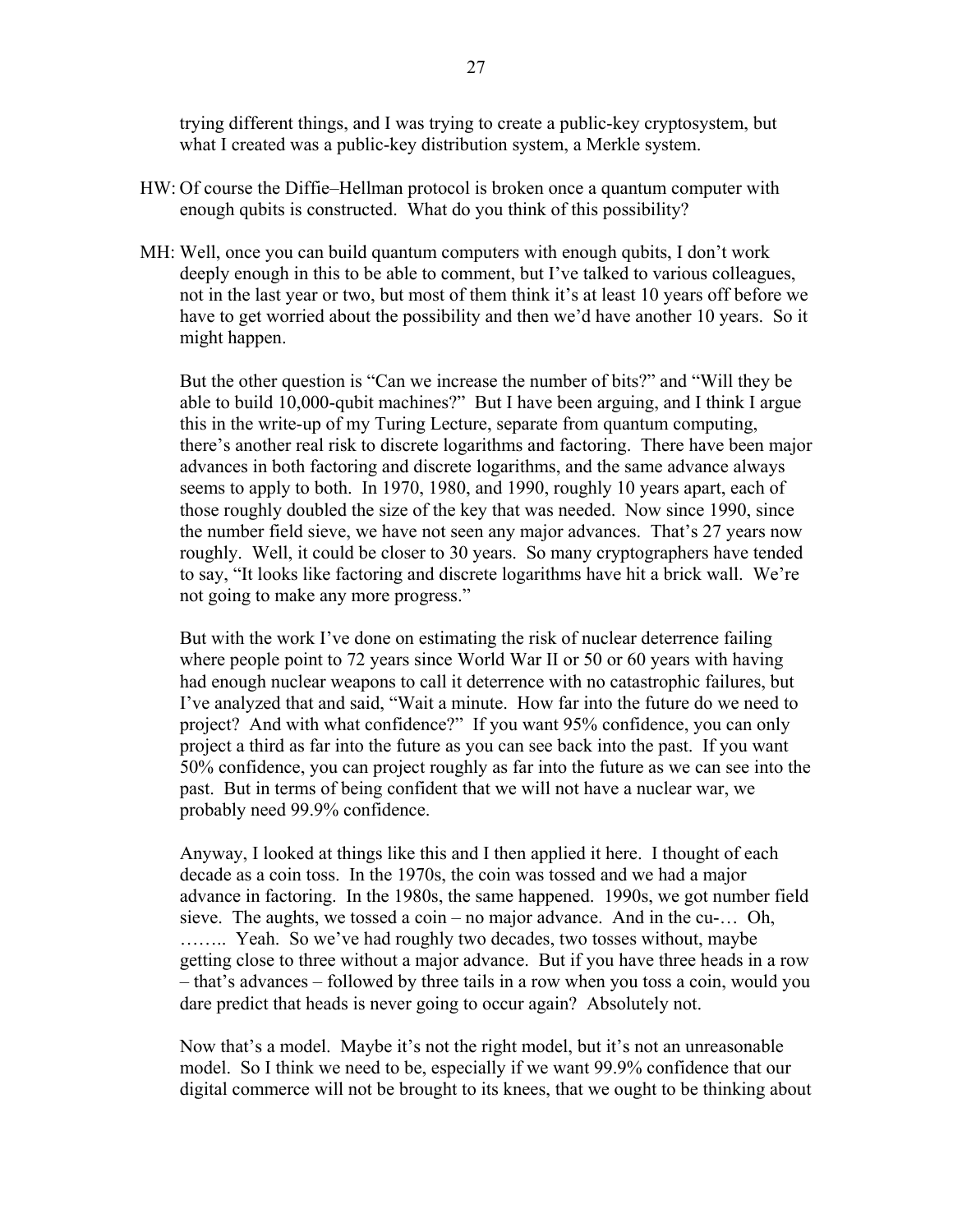trying different things, and I was trying to create a public-key cryptosystem, but what I created was a public-key distribution system, a Merkle system.

- HW: Of course the Diffie–Hellman protocol is broken once a quantum computer with enough qubits is constructed. What do you think of this possibility?
- MH: Well, once you can build quantum computers with enough qubits, I don't work deeply enough in this to be able to comment, but I've talked to various colleagues, not in the last year or two, but most of them think it's at least 10 years off before we have to get worried about the possibility and then we'd have another 10 years. So it might happen.

 But the other question is "Can we increase the number of bits?" and "Will they be able to build 10,000-qubit machines?" But I have been arguing, and I think I argue this in the write-up of my Turing Lecture, separate from quantum computing, there's another real risk to discrete logarithms and factoring. There have been major advances in both factoring and discrete logarithms, and the same advance always seems to apply to both. In 1970, 1980, and 1990, roughly 10 years apart, each of those roughly doubled the size of the key that was needed. Now since 1990, since the number field sieve, we have not seen any major advances. That's 27 years now roughly. Well, it could be closer to 30 years. So many cryptographers have tended to say, "It looks like factoring and discrete logarithms have hit a brick wall. We're not going to make any more progress."

 But with the work I've done on estimating the risk of nuclear deterrence failing where people point to 72 years since World War II or 50 or 60 years with having had enough nuclear weapons to call it deterrence with no catastrophic failures, but I've analyzed that and said, "Wait a minute. How far into the future do we need to project? And with what confidence?" If you want 95% confidence, you can only project a third as far into the future as you can see back into the past. If you want 50% confidence, you can project roughly as far into the future as we can see into the past. But in terms of being confident that we will not have a nuclear war, we probably need 99.9% confidence.

 Anyway, I looked at things like this and I then applied it here. I thought of each decade as a coin toss. In the 1970s, the coin was tossed and we had a major advance in factoring. In the 1980s, the same happened. 1990s, we got number field sieve. The aughts, we tossed a coin – no major advance. And in the cu-… Oh, …….. Yeah. So we've had roughly two decades, two tosses without, maybe getting close to three without a major advance. But if you have three heads in a row – that's advances – followed by three tails in a row when you toss a coin, would you dare predict that heads is never going to occur again? Absolutely not.

 Now that's a model. Maybe it's not the right model, but it's not an unreasonable model. So I think we need to be, especially if we want 99.9% confidence that our digital commerce will not be brought to its knees, that we ought to be thinking about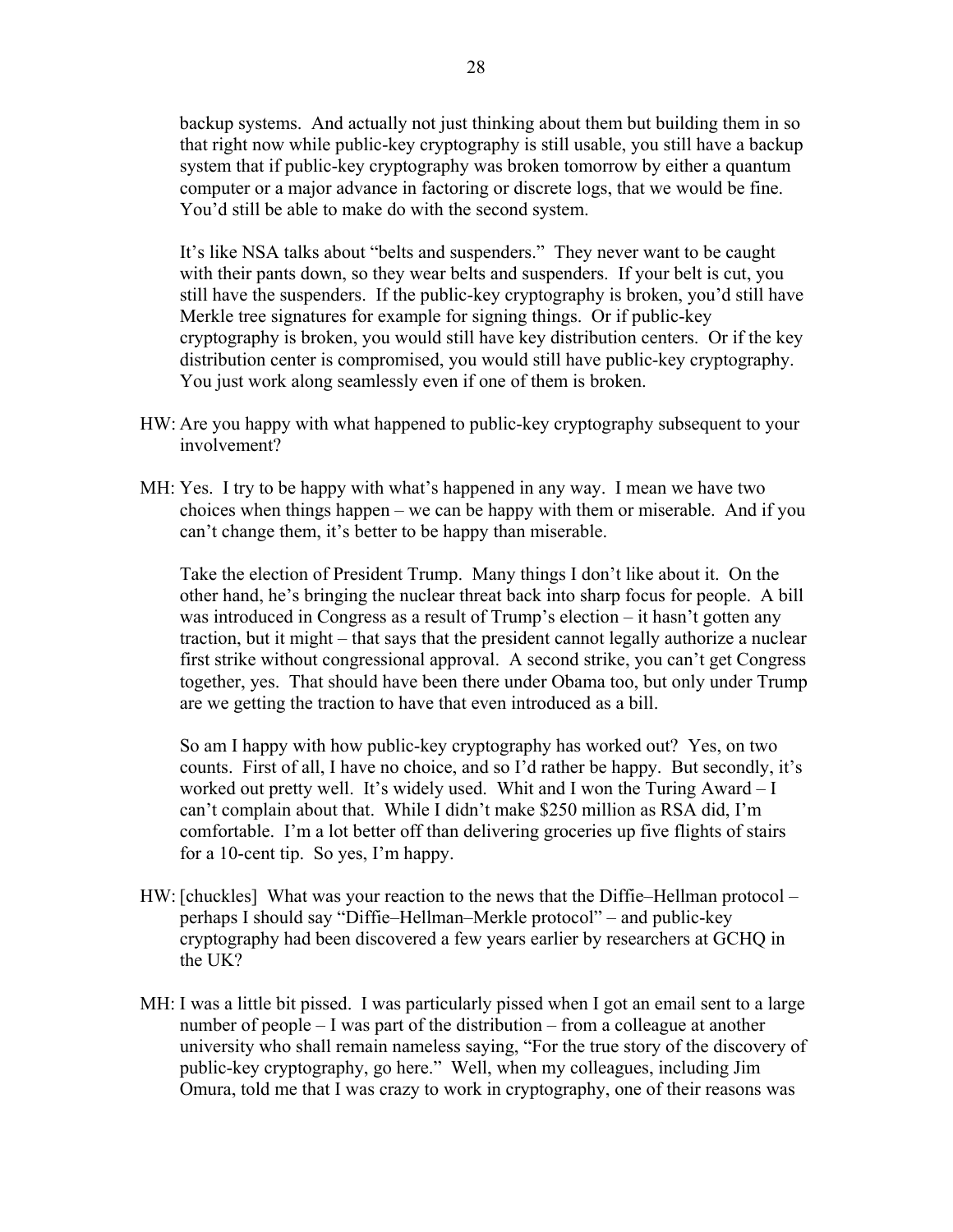backup systems. And actually not just thinking about them but building them in so that right now while public-key cryptography is still usable, you still have a backup system that if public-key cryptography was broken tomorrow by either a quantum computer or a major advance in factoring or discrete logs, that we would be fine. You'd still be able to make do with the second system.

 It's like NSA talks about "belts and suspenders." They never want to be caught with their pants down, so they wear belts and suspenders. If your belt is cut, you still have the suspenders. If the public-key cryptography is broken, you'd still have Merkle tree signatures for example for signing things. Or if public-key cryptography is broken, you would still have key distribution centers. Or if the key distribution center is compromised, you would still have public-key cryptography. You just work along seamlessly even if one of them is broken.

- HW: Are you happy with what happened to public-key cryptography subsequent to your involvement?
- MH: Yes. I try to be happy with what's happened in any way. I mean we have two choices when things happen – we can be happy with them or miserable. And if you can't change them, it's better to be happy than miserable.

 Take the election of President Trump. Many things I don't like about it. On the other hand, he's bringing the nuclear threat back into sharp focus for people. A bill was introduced in Congress as a result of Trump's election – it hasn't gotten any traction, but it might – that says that the president cannot legally authorize a nuclear first strike without congressional approval. A second strike, you can't get Congress together, yes. That should have been there under Obama too, but only under Trump are we getting the traction to have that even introduced as a bill.

 So am I happy with how public-key cryptography has worked out? Yes, on two counts. First of all, I have no choice, and so I'd rather be happy. But secondly, it's worked out pretty well. It's widely used. Whit and I won the Turing Award – I can't complain about that. While I didn't make \$250 million as RSA did, I'm comfortable. I'm a lot better off than delivering groceries up five flights of stairs for a 10-cent tip. So yes, I'm happy.

- HW: [chuckles] What was your reaction to the news that the Diffie–Hellman protocol perhaps I should say "Diffie–Hellman–Merkle protocol" – and public-key cryptography had been discovered a few years earlier by researchers at GCHQ in the UK?
- MH: I was a little bit pissed. I was particularly pissed when I got an email sent to a large number of people – I was part of the distribution – from a colleague at another university who shall remain nameless saying, "For the true story of the discovery of public-key cryptography, go here." Well, when my colleagues, including Jim Omura, told me that I was crazy to work in cryptography, one of their reasons was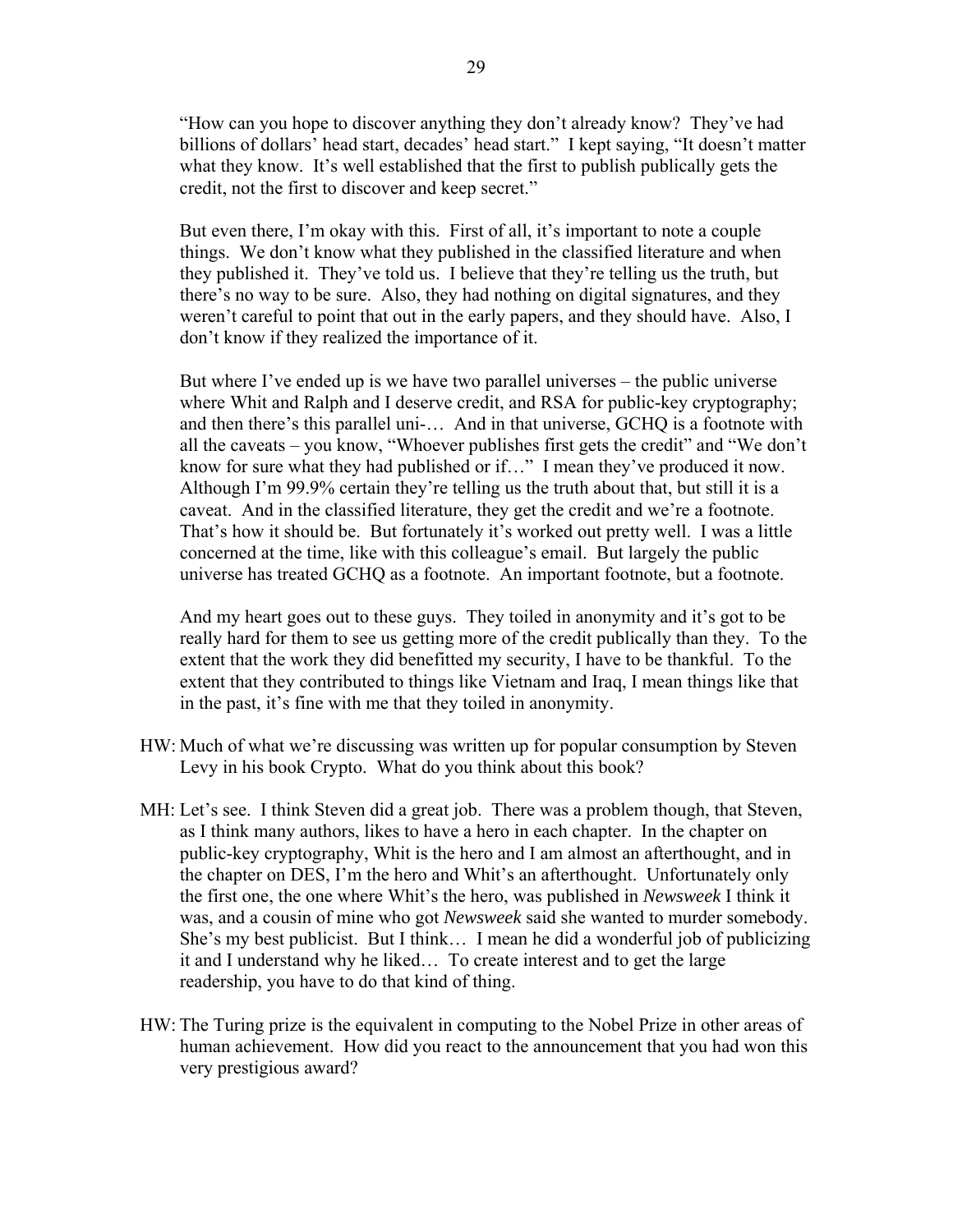"How can you hope to discover anything they don't already know? They've had billions of dollars' head start, decades' head start." I kept saying, "It doesn't matter what they know. It's well established that the first to publish publically gets the credit, not the first to discover and keep secret."

 But even there, I'm okay with this. First of all, it's important to note a couple things. We don't know what they published in the classified literature and when they published it. They've told us. I believe that they're telling us the truth, but there's no way to be sure. Also, they had nothing on digital signatures, and they weren't careful to point that out in the early papers, and they should have. Also, I don't know if they realized the importance of it.

 But where I've ended up is we have two parallel universes – the public universe where Whit and Ralph and I deserve credit, and RSA for public-key cryptography; and then there's this parallel uni-… And in that universe, GCHQ is a footnote with all the caveats – you know, "Whoever publishes first gets the credit" and "We don't know for sure what they had published or if…" I mean they've produced it now. Although I'm 99.9% certain they're telling us the truth about that, but still it is a caveat. And in the classified literature, they get the credit and we're a footnote. That's how it should be. But fortunately it's worked out pretty well. I was a little concerned at the time, like with this colleague's email. But largely the public universe has treated GCHQ as a footnote. An important footnote, but a footnote.

 And my heart goes out to these guys. They toiled in anonymity and it's got to be really hard for them to see us getting more of the credit publically than they. To the extent that the work they did benefitted my security, I have to be thankful. To the extent that they contributed to things like Vietnam and Iraq, I mean things like that in the past, it's fine with me that they toiled in anonymity.

- HW: Much of what we're discussing was written up for popular consumption by Steven Levy in his book Crypto. What do you think about this book?
- MH: Let's see. I think Steven did a great job. There was a problem though, that Steven, as I think many authors, likes to have a hero in each chapter. In the chapter on public-key cryptography, Whit is the hero and I am almost an afterthought, and in the chapter on DES, I'm the hero and Whit's an afterthought. Unfortunately only the first one, the one where Whit's the hero, was published in *Newsweek* I think it was, and a cousin of mine who got *Newsweek* said she wanted to murder somebody. She's my best publicist. But I think… I mean he did a wonderful job of publicizing it and I understand why he liked… To create interest and to get the large readership, you have to do that kind of thing.
- HW: The Turing prize is the equivalent in computing to the Nobel Prize in other areas of human achievement. How did you react to the announcement that you had won this very prestigious award?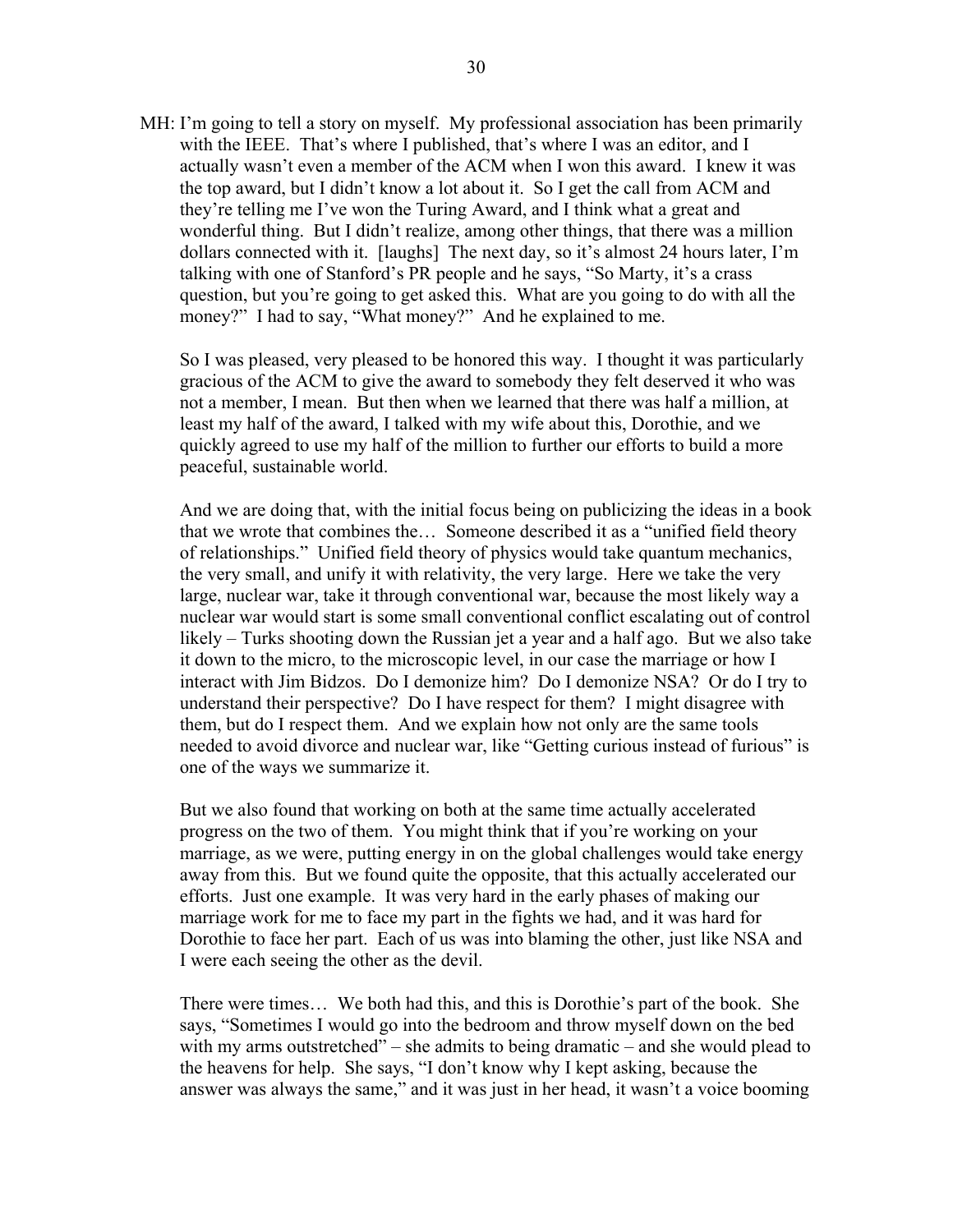MH: I'm going to tell a story on myself. My professional association has been primarily with the IEEE. That's where I published, that's where I was an editor, and I actually wasn't even a member of the ACM when I won this award. I knew it was the top award, but I didn't know a lot about it. So I get the call from ACM and they're telling me I've won the Turing Award, and I think what a great and wonderful thing. But I didn't realize, among other things, that there was a million dollars connected with it. [laughs] The next day, so it's almost 24 hours later, I'm talking with one of Stanford's PR people and he says, "So Marty, it's a crass question, but you're going to get asked this. What are you going to do with all the money?" I had to say, "What money?" And he explained to me.

 So I was pleased, very pleased to be honored this way. I thought it was particularly gracious of the ACM to give the award to somebody they felt deserved it who was not a member, I mean. But then when we learned that there was half a million, at least my half of the award, I talked with my wife about this, Dorothie, and we quickly agreed to use my half of the million to further our efforts to build a more peaceful, sustainable world.

 And we are doing that, with the initial focus being on publicizing the ideas in a book that we wrote that combines the… Someone described it as a "unified field theory of relationships." Unified field theory of physics would take quantum mechanics, the very small, and unify it with relativity, the very large. Here we take the very large, nuclear war, take it through conventional war, because the most likely way a nuclear war would start is some small conventional conflict escalating out of control likely – Turks shooting down the Russian jet a year and a half ago. But we also take it down to the micro, to the microscopic level, in our case the marriage or how I interact with Jim Bidzos. Do I demonize him? Do I demonize NSA? Or do I try to understand their perspective? Do I have respect for them? I might disagree with them, but do I respect them. And we explain how not only are the same tools needed to avoid divorce and nuclear war, like "Getting curious instead of furious" is one of the ways we summarize it.

 But we also found that working on both at the same time actually accelerated progress on the two of them. You might think that if you're working on your marriage, as we were, putting energy in on the global challenges would take energy away from this. But we found quite the opposite, that this actually accelerated our efforts. Just one example. It was very hard in the early phases of making our marriage work for me to face my part in the fights we had, and it was hard for Dorothie to face her part. Each of us was into blaming the other, just like NSA and I were each seeing the other as the devil.

 There were times… We both had this, and this is Dorothie's part of the book. She says, "Sometimes I would go into the bedroom and throw myself down on the bed with my arms outstretched" – she admits to being dramatic – and she would plead to the heavens for help. She says, "I don't know why I kept asking, because the answer was always the same," and it was just in her head, it wasn't a voice booming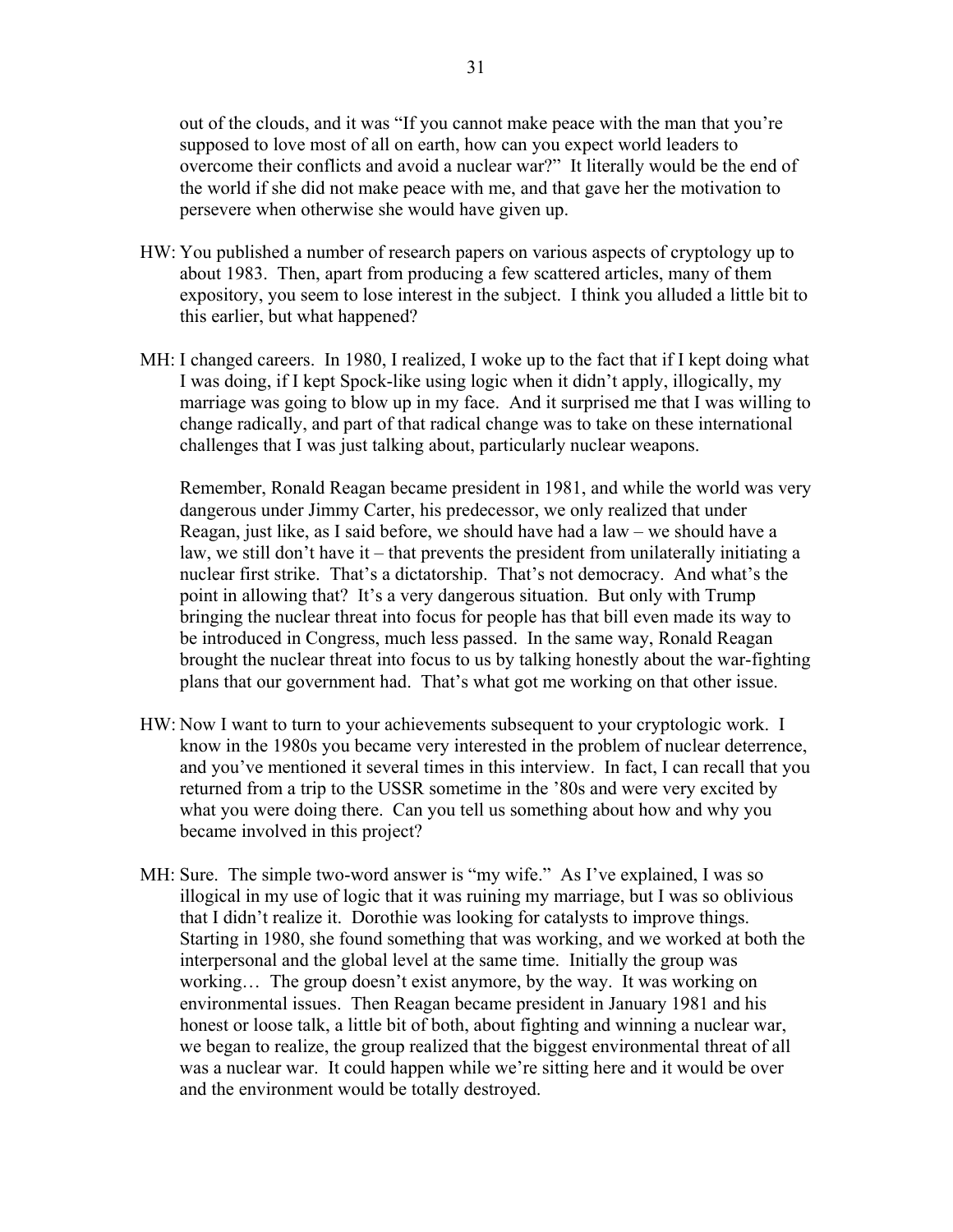out of the clouds, and it was "If you cannot make peace with the man that you're supposed to love most of all on earth, how can you expect world leaders to overcome their conflicts and avoid a nuclear war?" It literally would be the end of the world if she did not make peace with me, and that gave her the motivation to persevere when otherwise she would have given up.

- HW: You published a number of research papers on various aspects of cryptology up to about 1983. Then, apart from producing a few scattered articles, many of them expository, you seem to lose interest in the subject. I think you alluded a little bit to this earlier, but what happened?
- MH: I changed careers. In 1980, I realized, I woke up to the fact that if I kept doing what I was doing, if I kept Spock-like using logic when it didn't apply, illogically, my marriage was going to blow up in my face. And it surprised me that I was willing to change radically, and part of that radical change was to take on these international challenges that I was just talking about, particularly nuclear weapons.

 Remember, Ronald Reagan became president in 1981, and while the world was very dangerous under Jimmy Carter, his predecessor, we only realized that under Reagan, just like, as I said before, we should have had a law – we should have a law, we still don't have it – that prevents the president from unilaterally initiating a nuclear first strike. That's a dictatorship. That's not democracy. And what's the point in allowing that? It's a very dangerous situation. But only with Trump bringing the nuclear threat into focus for people has that bill even made its way to be introduced in Congress, much less passed. In the same way, Ronald Reagan brought the nuclear threat into focus to us by talking honestly about the war-fighting plans that our government had. That's what got me working on that other issue.

- HW: Now I want to turn to your achievements subsequent to your cryptologic work. I know in the 1980s you became very interested in the problem of nuclear deterrence, and you've mentioned it several times in this interview. In fact, I can recall that you returned from a trip to the USSR sometime in the '80s and were very excited by what you were doing there. Can you tell us something about how and why you became involved in this project?
- MH: Sure. The simple two-word answer is "my wife." As I've explained, I was so illogical in my use of logic that it was ruining my marriage, but I was so oblivious that I didn't realize it. Dorothie was looking for catalysts to improve things. Starting in 1980, she found something that was working, and we worked at both the interpersonal and the global level at the same time. Initially the group was working… The group doesn't exist anymore, by the way. It was working on environmental issues. Then Reagan became president in January 1981 and his honest or loose talk, a little bit of both, about fighting and winning a nuclear war, we began to realize, the group realized that the biggest environmental threat of all was a nuclear war. It could happen while we're sitting here and it would be over and the environment would be totally destroyed.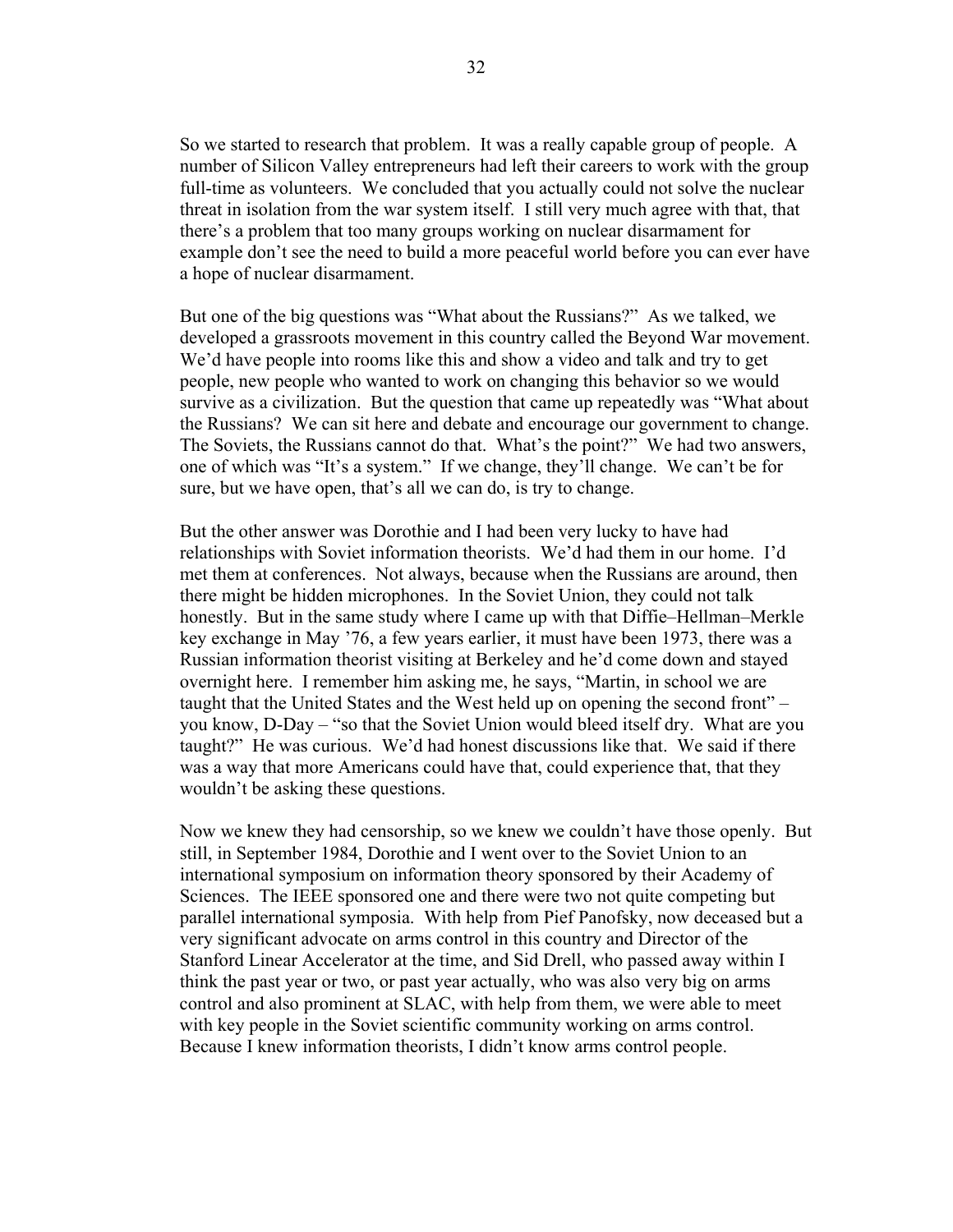So we started to research that problem. It was a really capable group of people. A number of Silicon Valley entrepreneurs had left their careers to work with the group full-time as volunteers. We concluded that you actually could not solve the nuclear threat in isolation from the war system itself. I still very much agree with that, that there's a problem that too many groups working on nuclear disarmament for example don't see the need to build a more peaceful world before you can ever have a hope of nuclear disarmament.

 But one of the big questions was "What about the Russians?" As we talked, we developed a grassroots movement in this country called the Beyond War movement. We'd have people into rooms like this and show a video and talk and try to get people, new people who wanted to work on changing this behavior so we would survive as a civilization. But the question that came up repeatedly was "What about the Russians? We can sit here and debate and encourage our government to change. The Soviets, the Russians cannot do that. What's the point?" We had two answers, one of which was "It's a system." If we change, they'll change. We can't be for sure, but we have open, that's all we can do, is try to change.

 But the other answer was Dorothie and I had been very lucky to have had relationships with Soviet information theorists. We'd had them in our home. I'd met them at conferences. Not always, because when the Russians are around, then there might be hidden microphones. In the Soviet Union, they could not talk honestly. But in the same study where I came up with that Diffie–Hellman–Merkle key exchange in May '76, a few years earlier, it must have been 1973, there was a Russian information theorist visiting at Berkeley and he'd come down and stayed overnight here. I remember him asking me, he says, "Martin, in school we are taught that the United States and the West held up on opening the second front" – you know, D-Day – "so that the Soviet Union would bleed itself dry. What are you taught?" He was curious. We'd had honest discussions like that. We said if there was a way that more Americans could have that, could experience that, that they wouldn't be asking these questions.

 Now we knew they had censorship, so we knew we couldn't have those openly. But still, in September 1984, Dorothie and I went over to the Soviet Union to an international symposium on information theory sponsored by their Academy of Sciences. The IEEE sponsored one and there were two not quite competing but parallel international symposia. With help from Pief Panofsky, now deceased but a very significant advocate on arms control in this country and Director of the Stanford Linear Accelerator at the time, and Sid Drell, who passed away within I think the past year or two, or past year actually, who was also very big on arms control and also prominent at SLAC, with help from them, we were able to meet with key people in the Soviet scientific community working on arms control. Because I knew information theorists, I didn't know arms control people.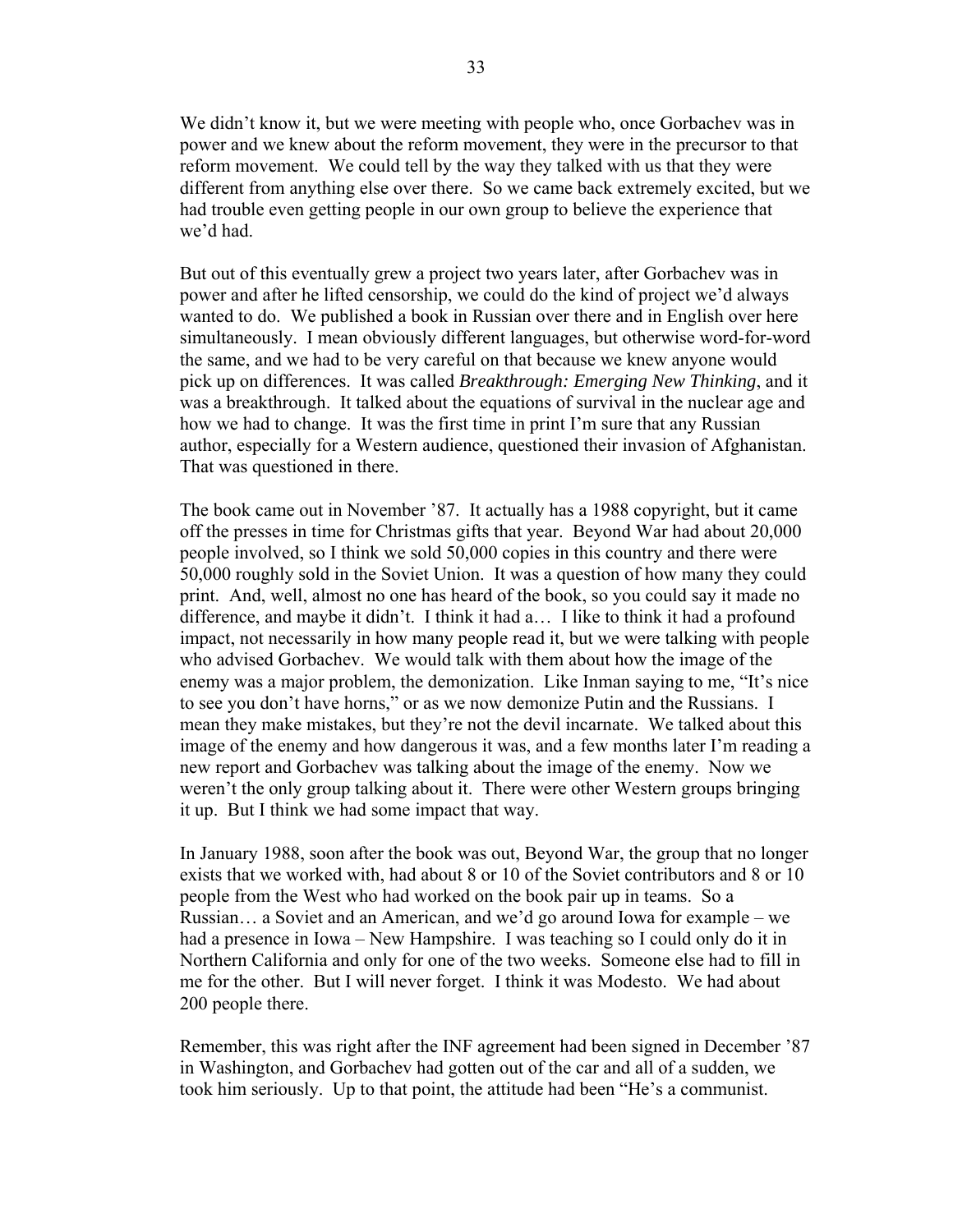We didn't know it, but we were meeting with people who, once Gorbachev was in power and we knew about the reform movement, they were in the precursor to that reform movement. We could tell by the way they talked with us that they were different from anything else over there. So we came back extremely excited, but we had trouble even getting people in our own group to believe the experience that we'd had.

 But out of this eventually grew a project two years later, after Gorbachev was in power and after he lifted censorship, we could do the kind of project we'd always wanted to do. We published a book in Russian over there and in English over here simultaneously. I mean obviously different languages, but otherwise word-for-word the same, and we had to be very careful on that because we knew anyone would pick up on differences. It was called *Breakthrough: Emerging New Thinking*, and it was a breakthrough. It talked about the equations of survival in the nuclear age and how we had to change. It was the first time in print I'm sure that any Russian author, especially for a Western audience, questioned their invasion of Afghanistan. That was questioned in there.

 The book came out in November '87. It actually has a 1988 copyright, but it came off the presses in time for Christmas gifts that year. Beyond War had about 20,000 people involved, so I think we sold 50,000 copies in this country and there were 50,000 roughly sold in the Soviet Union. It was a question of how many they could print. And, well, almost no one has heard of the book, so you could say it made no difference, and maybe it didn't. I think it had a… I like to think it had a profound impact, not necessarily in how many people read it, but we were talking with people who advised Gorbachev. We would talk with them about how the image of the enemy was a major problem, the demonization. Like Inman saying to me, "It's nice to see you don't have horns," or as we now demonize Putin and the Russians. I mean they make mistakes, but they're not the devil incarnate. We talked about this image of the enemy and how dangerous it was, and a few months later I'm reading a new report and Gorbachev was talking about the image of the enemy. Now we weren't the only group talking about it. There were other Western groups bringing it up. But I think we had some impact that way.

 In January 1988, soon after the book was out, Beyond War, the group that no longer exists that we worked with, had about 8 or 10 of the Soviet contributors and 8 or 10 people from the West who had worked on the book pair up in teams. So a Russian… a Soviet and an American, and we'd go around Iowa for example – we had a presence in Iowa – New Hampshire. I was teaching so I could only do it in Northern California and only for one of the two weeks. Someone else had to fill in me for the other. But I will never forget. I think it was Modesto. We had about 200 people there.

 Remember, this was right after the INF agreement had been signed in December '87 in Washington, and Gorbachev had gotten out of the car and all of a sudden, we took him seriously. Up to that point, the attitude had been "He's a communist.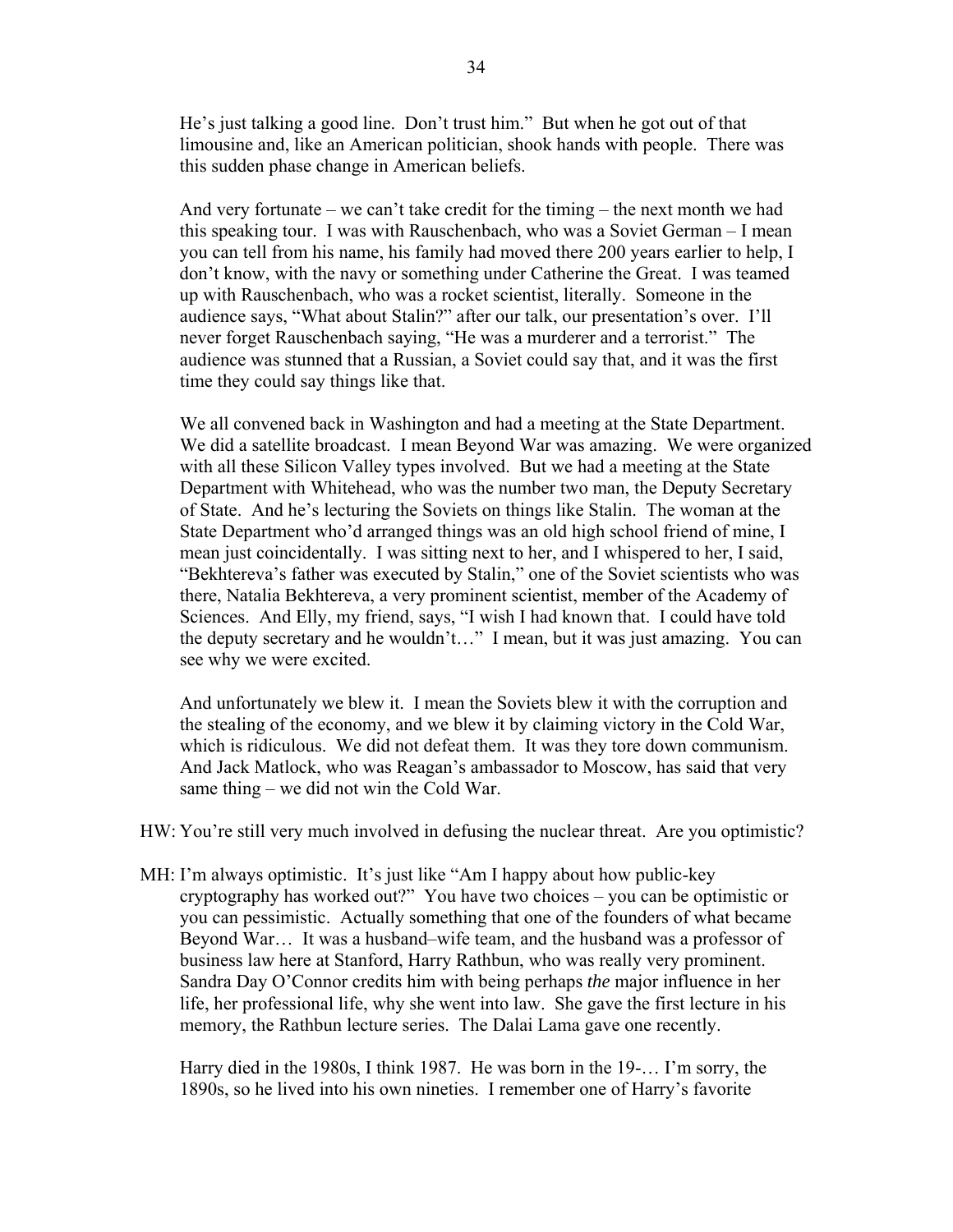He's just talking a good line. Don't trust him." But when he got out of that limousine and, like an American politician, shook hands with people. There was this sudden phase change in American beliefs.

 And very fortunate – we can't take credit for the timing – the next month we had this speaking tour. I was with Rauschenbach, who was a Soviet German – I mean you can tell from his name, his family had moved there 200 years earlier to help, I don't know, with the navy or something under Catherine the Great. I was teamed up with Rauschenbach, who was a rocket scientist, literally. Someone in the audience says, "What about Stalin?" after our talk, our presentation's over. I'll never forget Rauschenbach saying, "He was a murderer and a terrorist." The audience was stunned that a Russian, a Soviet could say that, and it was the first time they could say things like that.

 We all convened back in Washington and had a meeting at the State Department. We did a satellite broadcast. I mean Beyond War was amazing. We were organized with all these Silicon Valley types involved. But we had a meeting at the State Department with Whitehead, who was the number two man, the Deputy Secretary of State. And he's lecturing the Soviets on things like Stalin. The woman at the State Department who'd arranged things was an old high school friend of mine, I mean just coincidentally. I was sitting next to her, and I whispered to her, I said, "Bekhtereva's father was executed by Stalin," one of the Soviet scientists who was there, Natalia Bekhtereva, a very prominent scientist, member of the Academy of Sciences. And Elly, my friend, says, "I wish I had known that. I could have told the deputy secretary and he wouldn't…" I mean, but it was just amazing. You can see why we were excited.

 And unfortunately we blew it. I mean the Soviets blew it with the corruption and the stealing of the economy, and we blew it by claiming victory in the Cold War, which is ridiculous. We did not defeat them. It was they tore down communism. And Jack Matlock, who was Reagan's ambassador to Moscow, has said that very same thing – we did not win the Cold War.

- HW: You're still very much involved in defusing the nuclear threat. Are you optimistic?
- MH: I'm always optimistic. It's just like "Am I happy about how public-key cryptography has worked out?" You have two choices – you can be optimistic or you can pessimistic. Actually something that one of the founders of what became Beyond War… It was a husband–wife team, and the husband was a professor of business law here at Stanford, Harry Rathbun, who was really very prominent. Sandra Day O'Connor credits him with being perhaps *the* major influence in her life, her professional life, why she went into law. She gave the first lecture in his memory, the Rathbun lecture series. The Dalai Lama gave one recently.

 Harry died in the 1980s, I think 1987. He was born in the 19-… I'm sorry, the 1890s, so he lived into his own nineties. I remember one of Harry's favorite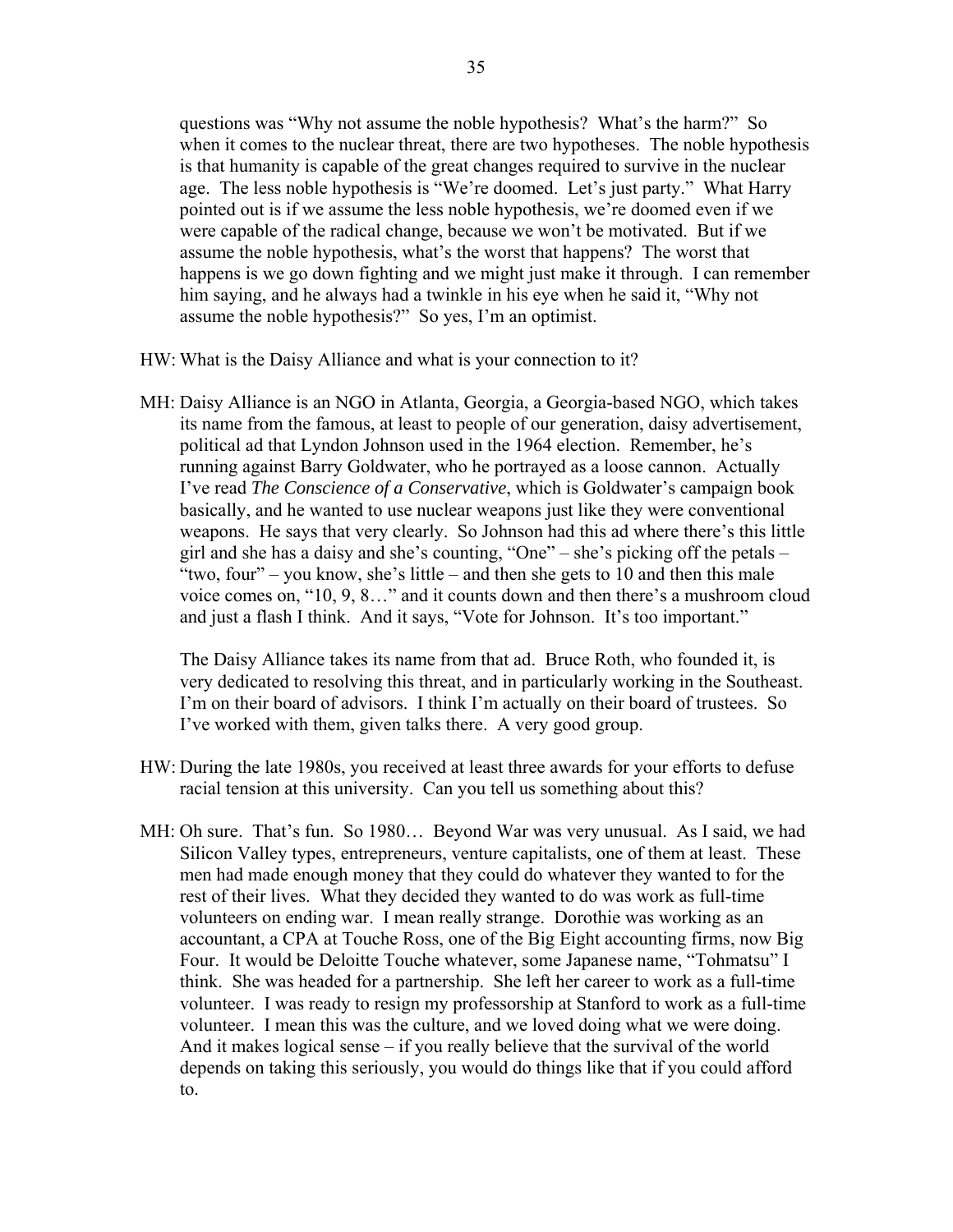questions was "Why not assume the noble hypothesis? What's the harm?" So when it comes to the nuclear threat, there are two hypotheses. The noble hypothesis is that humanity is capable of the great changes required to survive in the nuclear age. The less noble hypothesis is "We're doomed. Let's just party." What Harry pointed out is if we assume the less noble hypothesis, we're doomed even if we were capable of the radical change, because we won't be motivated. But if we assume the noble hypothesis, what's the worst that happens? The worst that happens is we go down fighting and we might just make it through. I can remember him saying, and he always had a twinkle in his eye when he said it, "Why not assume the noble hypothesis?" So yes, I'm an optimist.

HW: What is the Daisy Alliance and what is your connection to it?

MH: Daisy Alliance is an NGO in Atlanta, Georgia, a Georgia-based NGO, which takes its name from the famous, at least to people of our generation, daisy advertisement, political ad that Lyndon Johnson used in the 1964 election. Remember, he's running against Barry Goldwater, who he portrayed as a loose cannon. Actually I've read *The Conscience of a Conservative*, which is Goldwater's campaign book basically, and he wanted to use nuclear weapons just like they were conventional weapons. He says that very clearly. So Johnson had this ad where there's this little girl and she has a daisy and she's counting, "One" – she's picking off the petals – "two, four" – you know, she's little – and then she gets to 10 and then this male voice comes on, "10, 9, 8…" and it counts down and then there's a mushroom cloud and just a flash I think. And it says, "Vote for Johnson. It's too important."

 The Daisy Alliance takes its name from that ad. Bruce Roth, who founded it, is very dedicated to resolving this threat, and in particularly working in the Southeast. I'm on their board of advisors. I think I'm actually on their board of trustees. So I've worked with them, given talks there. A very good group.

- HW: During the late 1980s, you received at least three awards for your efforts to defuse racial tension at this university. Can you tell us something about this?
- MH: Oh sure. That's fun. So 1980… Beyond War was very unusual. As I said, we had Silicon Valley types, entrepreneurs, venture capitalists, one of them at least. These men had made enough money that they could do whatever they wanted to for the rest of their lives. What they decided they wanted to do was work as full-time volunteers on ending war. I mean really strange. Dorothie was working as an accountant, a CPA at Touche Ross, one of the Big Eight accounting firms, now Big Four. It would be Deloitte Touche whatever, some Japanese name, "Tohmatsu" I think. She was headed for a partnership. She left her career to work as a full-time volunteer. I was ready to resign my professorship at Stanford to work as a full-time volunteer. I mean this was the culture, and we loved doing what we were doing. And it makes logical sense – if you really believe that the survival of the world depends on taking this seriously, you would do things like that if you could afford to.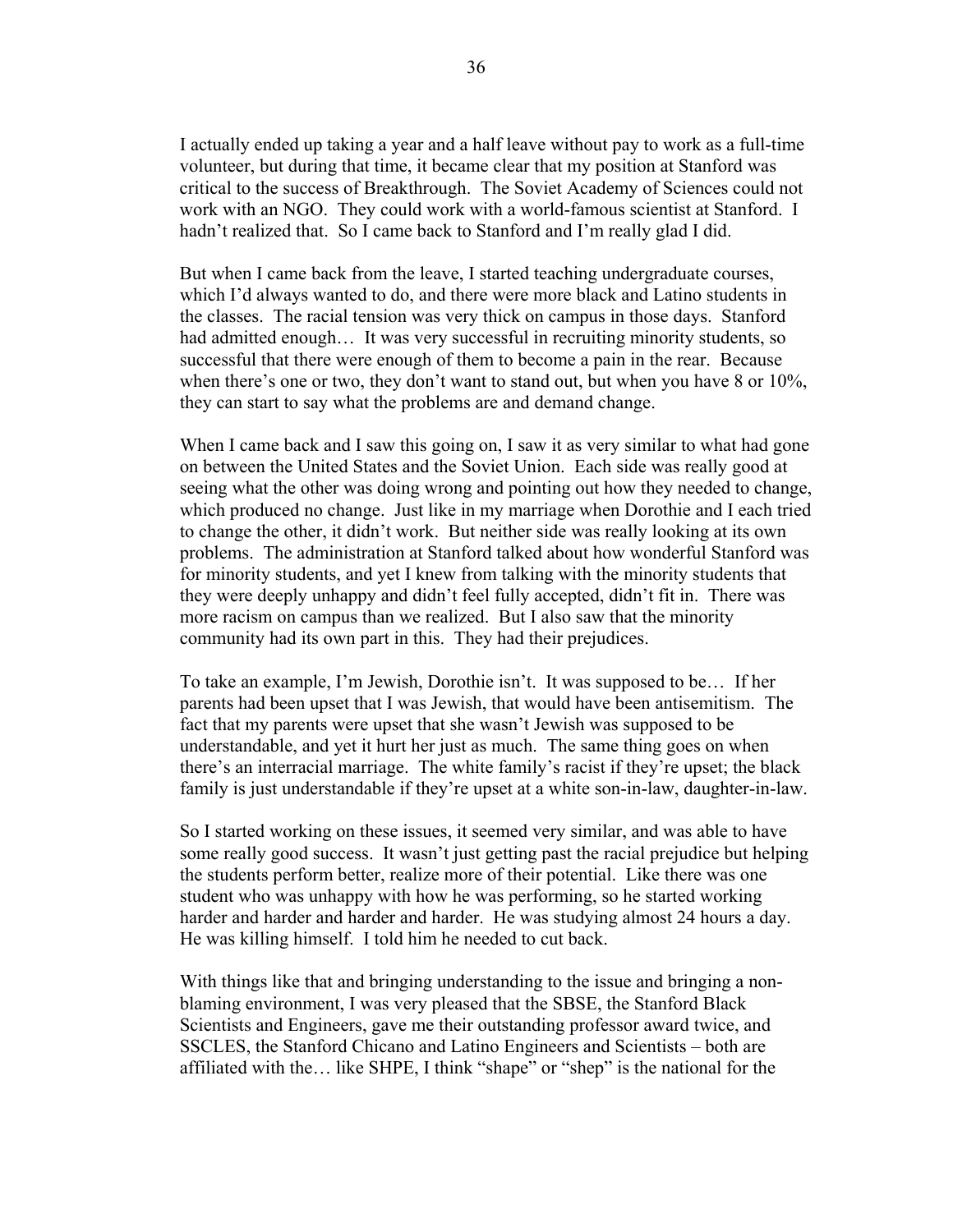I actually ended up taking a year and a half leave without pay to work as a full-time volunteer, but during that time, it became clear that my position at Stanford was critical to the success of Breakthrough. The Soviet Academy of Sciences could not work with an NGO. They could work with a world-famous scientist at Stanford. I hadn't realized that. So I came back to Stanford and I'm really glad I did.

 But when I came back from the leave, I started teaching undergraduate courses, which I'd always wanted to do, and there were more black and Latino students in the classes. The racial tension was very thick on campus in those days. Stanford had admitted enough... It was very successful in recruiting minority students, so successful that there were enough of them to become a pain in the rear. Because when there's one or two, they don't want to stand out, but when you have 8 or 10%, they can start to say what the problems are and demand change.

When I came back and I saw this going on, I saw it as very similar to what had gone on between the United States and the Soviet Union. Each side was really good at seeing what the other was doing wrong and pointing out how they needed to change, which produced no change. Just like in my marriage when Dorothie and I each tried to change the other, it didn't work. But neither side was really looking at its own problems. The administration at Stanford talked about how wonderful Stanford was for minority students, and yet I knew from talking with the minority students that they were deeply unhappy and didn't feel fully accepted, didn't fit in. There was more racism on campus than we realized. But I also saw that the minority community had its own part in this. They had their prejudices.

 To take an example, I'm Jewish, Dorothie isn't. It was supposed to be… If her parents had been upset that I was Jewish, that would have been antisemitism. The fact that my parents were upset that she wasn't Jewish was supposed to be understandable, and yet it hurt her just as much. The same thing goes on when there's an interracial marriage. The white family's racist if they're upset; the black family is just understandable if they're upset at a white son-in-law, daughter-in-law.

 So I started working on these issues, it seemed very similar, and was able to have some really good success. It wasn't just getting past the racial prejudice but helping the students perform better, realize more of their potential. Like there was one student who was unhappy with how he was performing, so he started working harder and harder and harder and harder. He was studying almost 24 hours a day. He was killing himself. I told him he needed to cut back.

With things like that and bringing understanding to the issue and bringing a nonblaming environment, I was very pleased that the SBSE, the Stanford Black Scientists and Engineers, gave me their outstanding professor award twice, and SSCLES, the Stanford Chicano and Latino Engineers and Scientists – both are affiliated with the… like SHPE, I think "shape" or "shep" is the national for the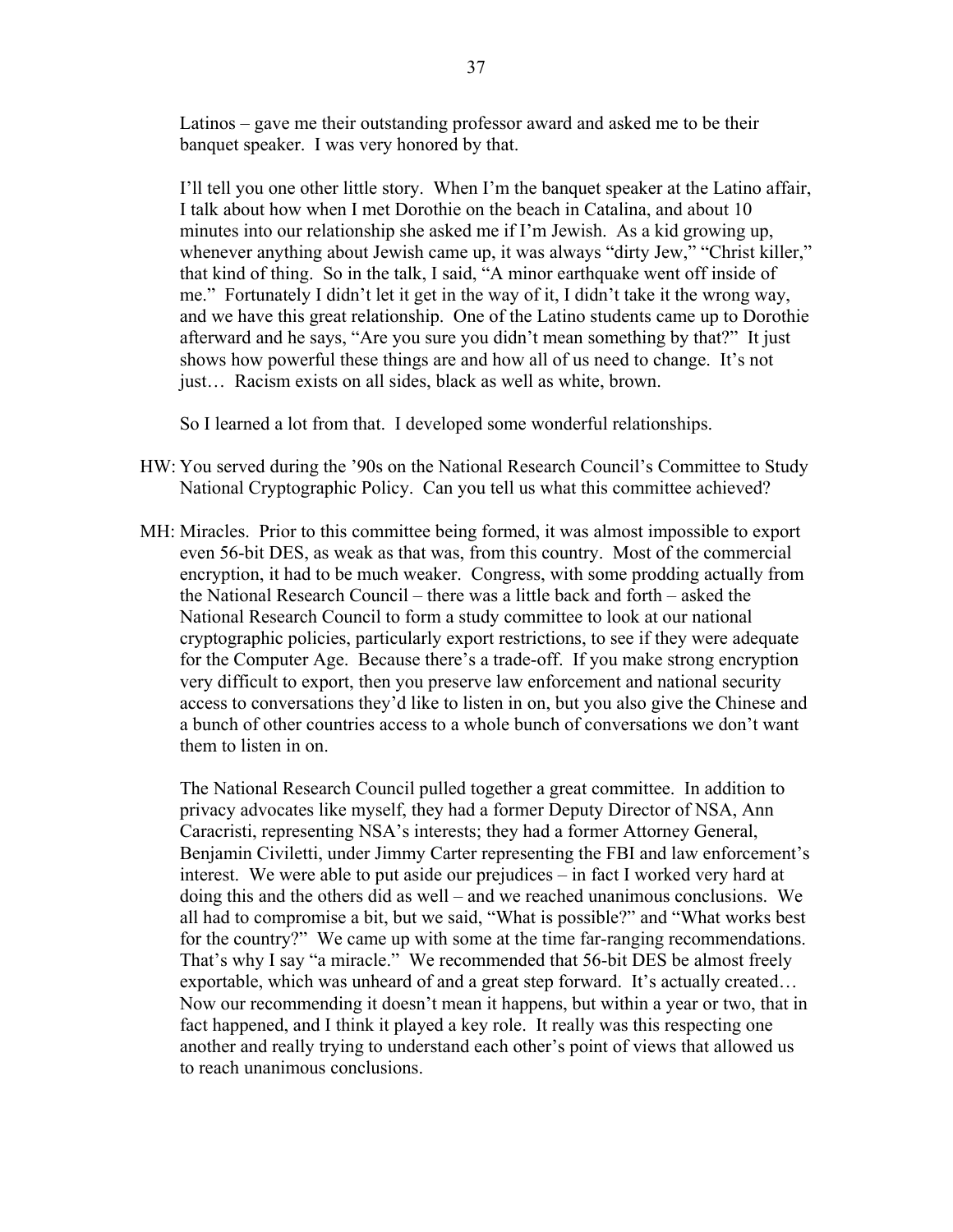Latinos – gave me their outstanding professor award and asked me to be their banquet speaker. I was very honored by that.

 I'll tell you one other little story. When I'm the banquet speaker at the Latino affair, I talk about how when I met Dorothie on the beach in Catalina, and about 10 minutes into our relationship she asked me if I'm Jewish. As a kid growing up, whenever anything about Jewish came up, it was always "dirty Jew," "Christ killer," that kind of thing. So in the talk, I said, "A minor earthquake went off inside of me." Fortunately I didn't let it get in the way of it, I didn't take it the wrong way, and we have this great relationship. One of the Latino students came up to Dorothie afterward and he says, "Are you sure you didn't mean something by that?" It just shows how powerful these things are and how all of us need to change. It's not just… Racism exists on all sides, black as well as white, brown.

So I learned a lot from that. I developed some wonderful relationships.

- HW: You served during the '90s on the National Research Council's Committee to Study National Cryptographic Policy. Can you tell us what this committee achieved?
- MH: Miracles. Prior to this committee being formed, it was almost impossible to export even 56-bit DES, as weak as that was, from this country. Most of the commercial encryption, it had to be much weaker. Congress, with some prodding actually from the National Research Council – there was a little back and forth – asked the National Research Council to form a study committee to look at our national cryptographic policies, particularly export restrictions, to see if they were adequate for the Computer Age. Because there's a trade-off. If you make strong encryption very difficult to export, then you preserve law enforcement and national security access to conversations they'd like to listen in on, but you also give the Chinese and a bunch of other countries access to a whole bunch of conversations we don't want them to listen in on.

 The National Research Council pulled together a great committee. In addition to privacy advocates like myself, they had a former Deputy Director of NSA, Ann Caracristi, representing NSA's interests; they had a former Attorney General, Benjamin Civiletti, under Jimmy Carter representing the FBI and law enforcement's interest. We were able to put aside our prejudices – in fact I worked very hard at doing this and the others did as well – and we reached unanimous conclusions. We all had to compromise a bit, but we said, "What is possible?" and "What works best for the country?" We came up with some at the time far-ranging recommendations. That's why I say "a miracle." We recommended that 56-bit DES be almost freely exportable, which was unheard of and a great step forward. It's actually created… Now our recommending it doesn't mean it happens, but within a year or two, that in fact happened, and I think it played a key role. It really was this respecting one another and really trying to understand each other's point of views that allowed us to reach unanimous conclusions.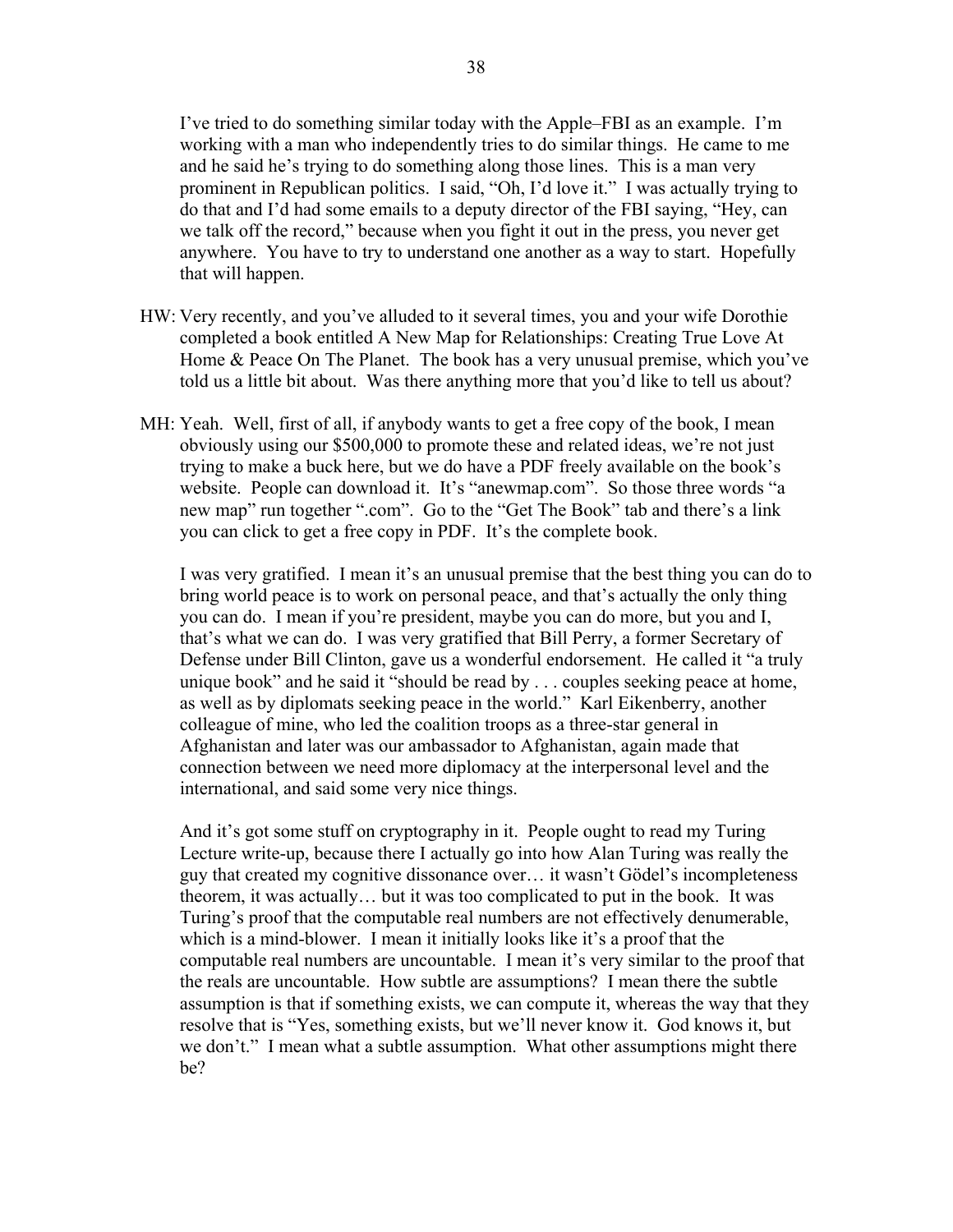I've tried to do something similar today with the Apple–FBI as an example. I'm working with a man who independently tries to do similar things. He came to me and he said he's trying to do something along those lines. This is a man very prominent in Republican politics. I said, "Oh, I'd love it." I was actually trying to do that and I'd had some emails to a deputy director of the FBI saying, "Hey, can we talk off the record," because when you fight it out in the press, you never get anywhere. You have to try to understand one another as a way to start. Hopefully that will happen.

- HW: Very recently, and you've alluded to it several times, you and your wife Dorothie completed a book entitled A New Map for Relationships: Creating True Love At Home & Peace On The Planet. The book has a very unusual premise, which you've told us a little bit about. Was there anything more that you'd like to tell us about?
- MH: Yeah. Well, first of all, if anybody wants to get a free copy of the book, I mean obviously using our \$500,000 to promote these and related ideas, we're not just trying to make a buck here, but we do have a PDF freely available on the book's website. People can download it. It's "anewmap.com". So those three words "a new map" run together ".com". Go to the "Get The Book" tab and there's a link you can click to get a free copy in PDF. It's the complete book.

 I was very gratified. I mean it's an unusual premise that the best thing you can do to bring world peace is to work on personal peace, and that's actually the only thing you can do. I mean if you're president, maybe you can do more, but you and I, that's what we can do. I was very gratified that Bill Perry, a former Secretary of Defense under Bill Clinton, gave us a wonderful endorsement. He called it "a truly unique book" and he said it "should be read by . . . couples seeking peace at home, as well as by diplomats seeking peace in the world." Karl Eikenberry, another colleague of mine, who led the coalition troops as a three-star general in Afghanistan and later was our ambassador to Afghanistan, again made that connection between we need more diplomacy at the interpersonal level and the international, and said some very nice things.

 And it's got some stuff on cryptography in it. People ought to read my Turing Lecture write-up, because there I actually go into how Alan Turing was really the guy that created my cognitive dissonance over… it wasn't Gödel's incompleteness theorem, it was actually… but it was too complicated to put in the book. It was Turing's proof that the computable real numbers are not effectively denumerable, which is a mind-blower. I mean it initially looks like it's a proof that the computable real numbers are uncountable. I mean it's very similar to the proof that the reals are uncountable. How subtle are assumptions? I mean there the subtle assumption is that if something exists, we can compute it, whereas the way that they resolve that is "Yes, something exists, but we'll never know it. God knows it, but we don't." I mean what a subtle assumption. What other assumptions might there be?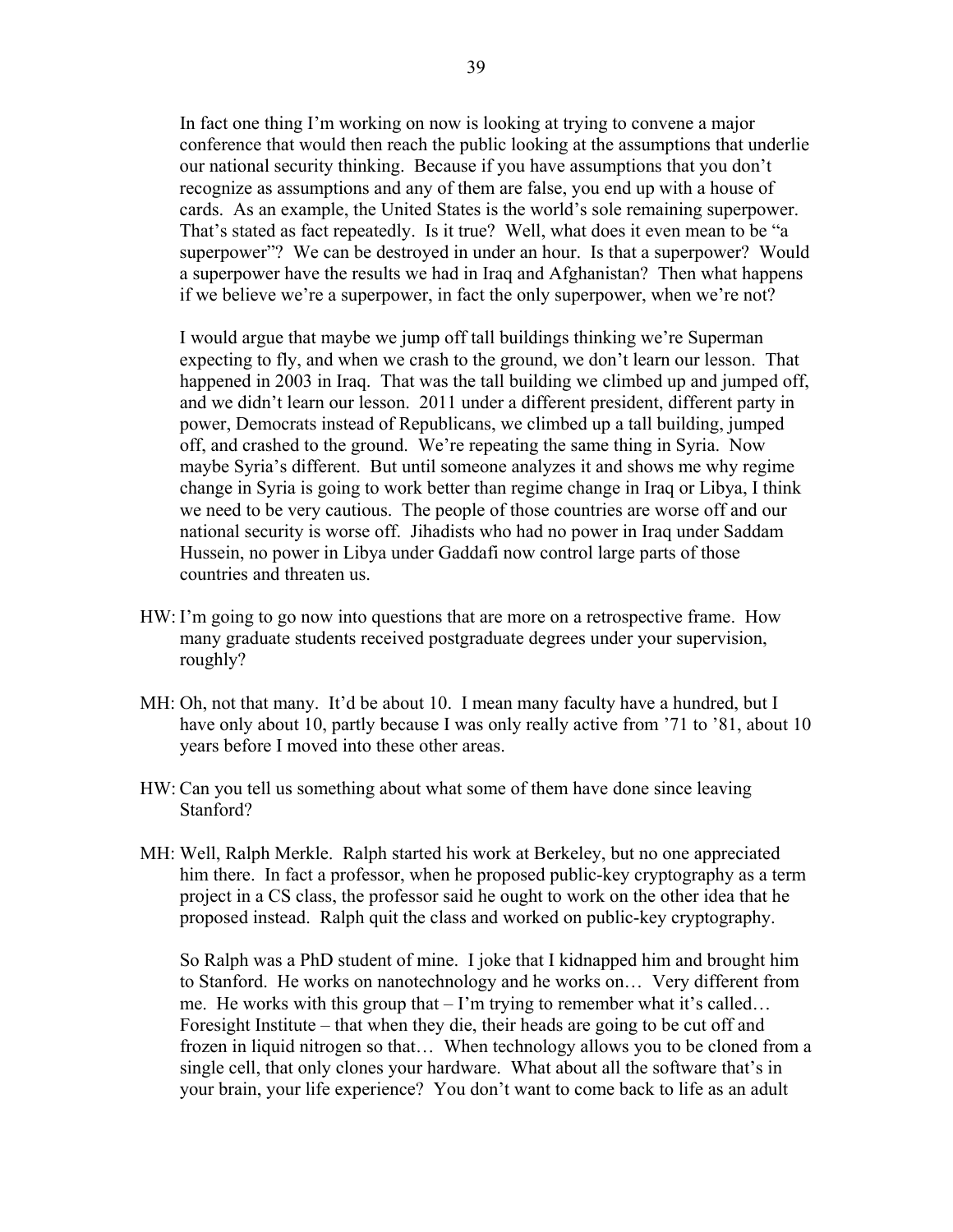In fact one thing I'm working on now is looking at trying to convene a major conference that would then reach the public looking at the assumptions that underlie our national security thinking. Because if you have assumptions that you don't recognize as assumptions and any of them are false, you end up with a house of cards. As an example, the United States is the world's sole remaining superpower. That's stated as fact repeatedly. Is it true? Well, what does it even mean to be "a superpower"? We can be destroyed in under an hour. Is that a superpower? Would a superpower have the results we had in Iraq and Afghanistan? Then what happens if we believe we're a superpower, in fact the only superpower, when we're not?

 I would argue that maybe we jump off tall buildings thinking we're Superman expecting to fly, and when we crash to the ground, we don't learn our lesson. That happened in 2003 in Iraq. That was the tall building we climbed up and jumped off, and we didn't learn our lesson. 2011 under a different president, different party in power, Democrats instead of Republicans, we climbed up a tall building, jumped off, and crashed to the ground. We're repeating the same thing in Syria. Now maybe Syria's different. But until someone analyzes it and shows me why regime change in Syria is going to work better than regime change in Iraq or Libya, I think we need to be very cautious. The people of those countries are worse off and our national security is worse off. Jihadists who had no power in Iraq under Saddam Hussein, no power in Libya under Gaddafi now control large parts of those countries and threaten us.

- HW: I'm going to go now into questions that are more on a retrospective frame. How many graduate students received postgraduate degrees under your supervision, roughly?
- MH: Oh, not that many. It'd be about 10. I mean many faculty have a hundred, but I have only about 10, partly because I was only really active from '71 to '81, about 10 years before I moved into these other areas.
- HW: Can you tell us something about what some of them have done since leaving Stanford?
- MH: Well, Ralph Merkle. Ralph started his work at Berkeley, but no one appreciated him there. In fact a professor, when he proposed public-key cryptography as a term project in a CS class, the professor said he ought to work on the other idea that he proposed instead. Ralph quit the class and worked on public-key cryptography.

 So Ralph was a PhD student of mine. I joke that I kidnapped him and brought him to Stanford. He works on nanotechnology and he works on… Very different from me. He works with this group that – I'm trying to remember what it's called… Foresight Institute – that when they die, their heads are going to be cut off and frozen in liquid nitrogen so that… When technology allows you to be cloned from a single cell, that only clones your hardware. What about all the software that's in your brain, your life experience? You don't want to come back to life as an adult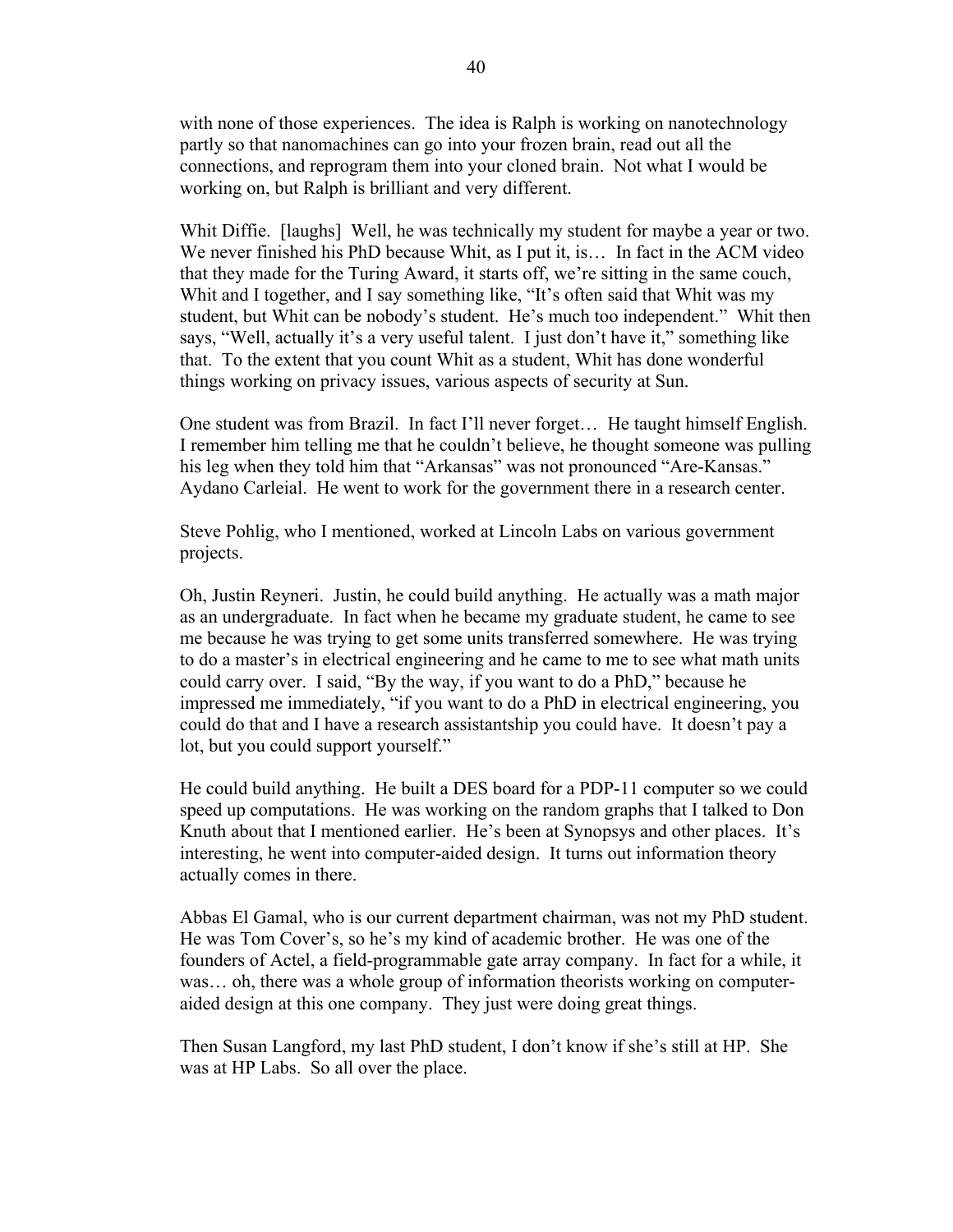with none of those experiences. The idea is Ralph is working on nanotechnology partly so that nanomachines can go into your frozen brain, read out all the connections, and reprogram them into your cloned brain. Not what I would be working on, but Ralph is brilliant and very different.

Whit Diffie. [laughs] Well, he was technically my student for maybe a year or two. We never finished his PhD because Whit, as I put it, is... In fact in the ACM video that they made for the Turing Award, it starts off, we're sitting in the same couch, Whit and I together, and I say something like, "It's often said that Whit was my student, but Whit can be nobody's student. He's much too independent." Whit then says, "Well, actually it's a very useful talent. I just don't have it," something like that. To the extent that you count Whit as a student, Whit has done wonderful things working on privacy issues, various aspects of security at Sun.

 One student was from Brazil. In fact I'll never forget… He taught himself English. I remember him telling me that he couldn't believe, he thought someone was pulling his leg when they told him that "Arkansas" was not pronounced "Are-Kansas." Aydano Carleial. He went to work for the government there in a research center.

 Steve Pohlig, who I mentioned, worked at Lincoln Labs on various government projects.

 Oh, Justin Reyneri. Justin, he could build anything. He actually was a math major as an undergraduate. In fact when he became my graduate student, he came to see me because he was trying to get some units transferred somewhere. He was trying to do a master's in electrical engineering and he came to me to see what math units could carry over. I said, "By the way, if you want to do a PhD," because he impressed me immediately, "if you want to do a PhD in electrical engineering, you could do that and I have a research assistantship you could have. It doesn't pay a lot, but you could support yourself."

 He could build anything. He built a DES board for a PDP-11 computer so we could speed up computations. He was working on the random graphs that I talked to Don Knuth about that I mentioned earlier. He's been at Synopsys and other places. It's interesting, he went into computer-aided design. It turns out information theory actually comes in there.

 Abbas El Gamal, who is our current department chairman, was not my PhD student. He was Tom Cover's, so he's my kind of academic brother. He was one of the founders of Actel, a field-programmable gate array company. In fact for a while, it was… oh, there was a whole group of information theorists working on computeraided design at this one company. They just were doing great things.

 Then Susan Langford, my last PhD student, I don't know if she's still at HP. She was at HP Labs. So all over the place.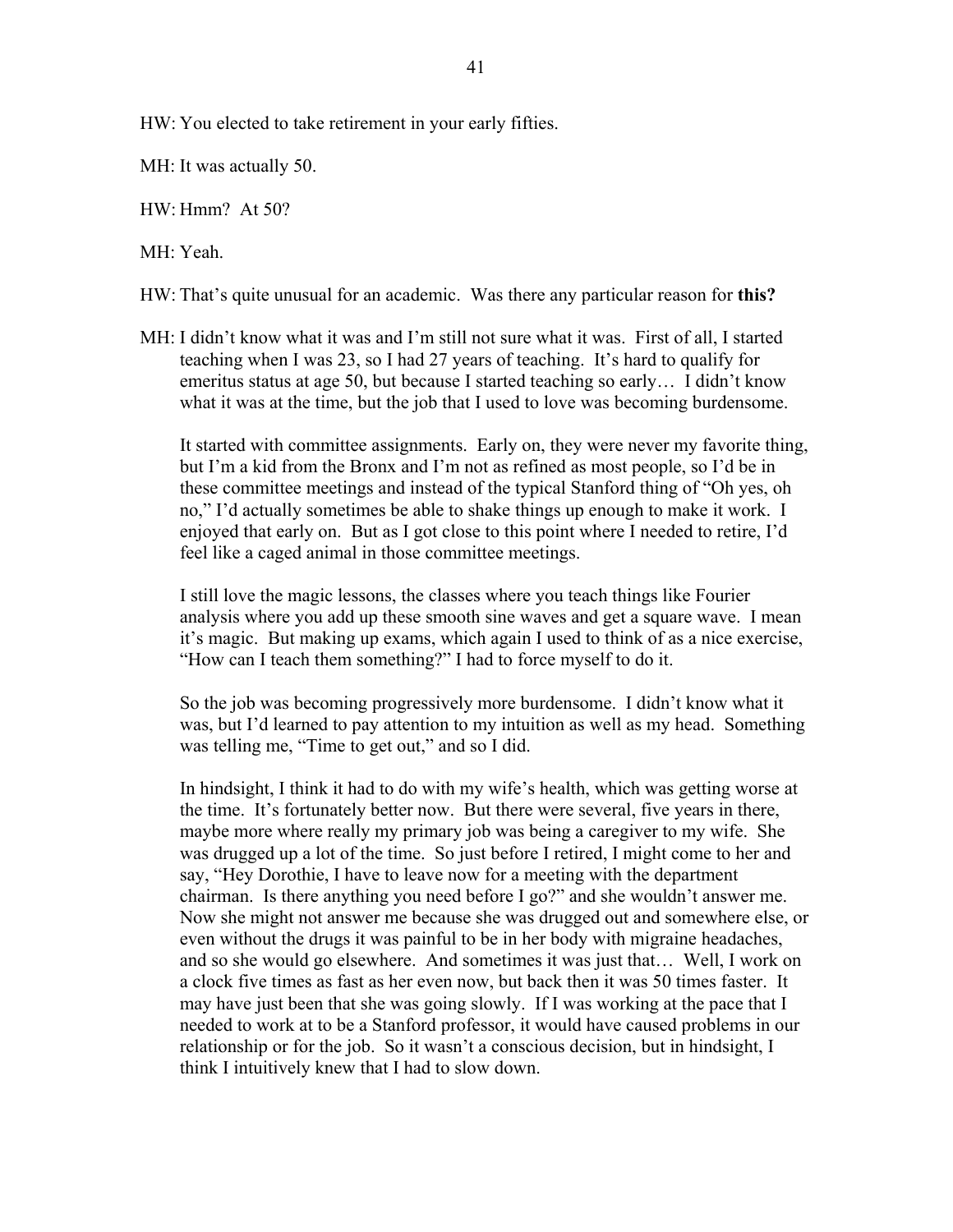HW: You elected to take retirement in your early fifties.

MH: It was actually 50.

HW: Hmm? At 50?

MH: Yeah.

HW: That's quite unusual for an academic. Was there any particular reason for **this?** 

MH: I didn't know what it was and I'm still not sure what it was. First of all, I started teaching when I was 23, so I had 27 years of teaching. It's hard to qualify for emeritus status at age 50, but because I started teaching so early… I didn't know what it was at the time, but the job that I used to love was becoming burdensome.

 It started with committee assignments. Early on, they were never my favorite thing, but I'm a kid from the Bronx and I'm not as refined as most people, so I'd be in these committee meetings and instead of the typical Stanford thing of "Oh yes, oh no," I'd actually sometimes be able to shake things up enough to make it work. I enjoyed that early on. But as I got close to this point where I needed to retire, I'd feel like a caged animal in those committee meetings.

 I still love the magic lessons, the classes where you teach things like Fourier analysis where you add up these smooth sine waves and get a square wave. I mean it's magic. But making up exams, which again I used to think of as a nice exercise, "How can I teach them something?" I had to force myself to do it.

 So the job was becoming progressively more burdensome. I didn't know what it was, but I'd learned to pay attention to my intuition as well as my head. Something was telling me, "Time to get out," and so I did.

 In hindsight, I think it had to do with my wife's health, which was getting worse at the time. It's fortunately better now. But there were several, five years in there, maybe more where really my primary job was being a caregiver to my wife. She was drugged up a lot of the time. So just before I retired, I might come to her and say, "Hey Dorothie, I have to leave now for a meeting with the department chairman. Is there anything you need before I go?" and she wouldn't answer me. Now she might not answer me because she was drugged out and somewhere else, or even without the drugs it was painful to be in her body with migraine headaches, and so she would go elsewhere. And sometimes it was just that… Well, I work on a clock five times as fast as her even now, but back then it was 50 times faster. It may have just been that she was going slowly. If I was working at the pace that I needed to work at to be a Stanford professor, it would have caused problems in our relationship or for the job. So it wasn't a conscious decision, but in hindsight, I think I intuitively knew that I had to slow down.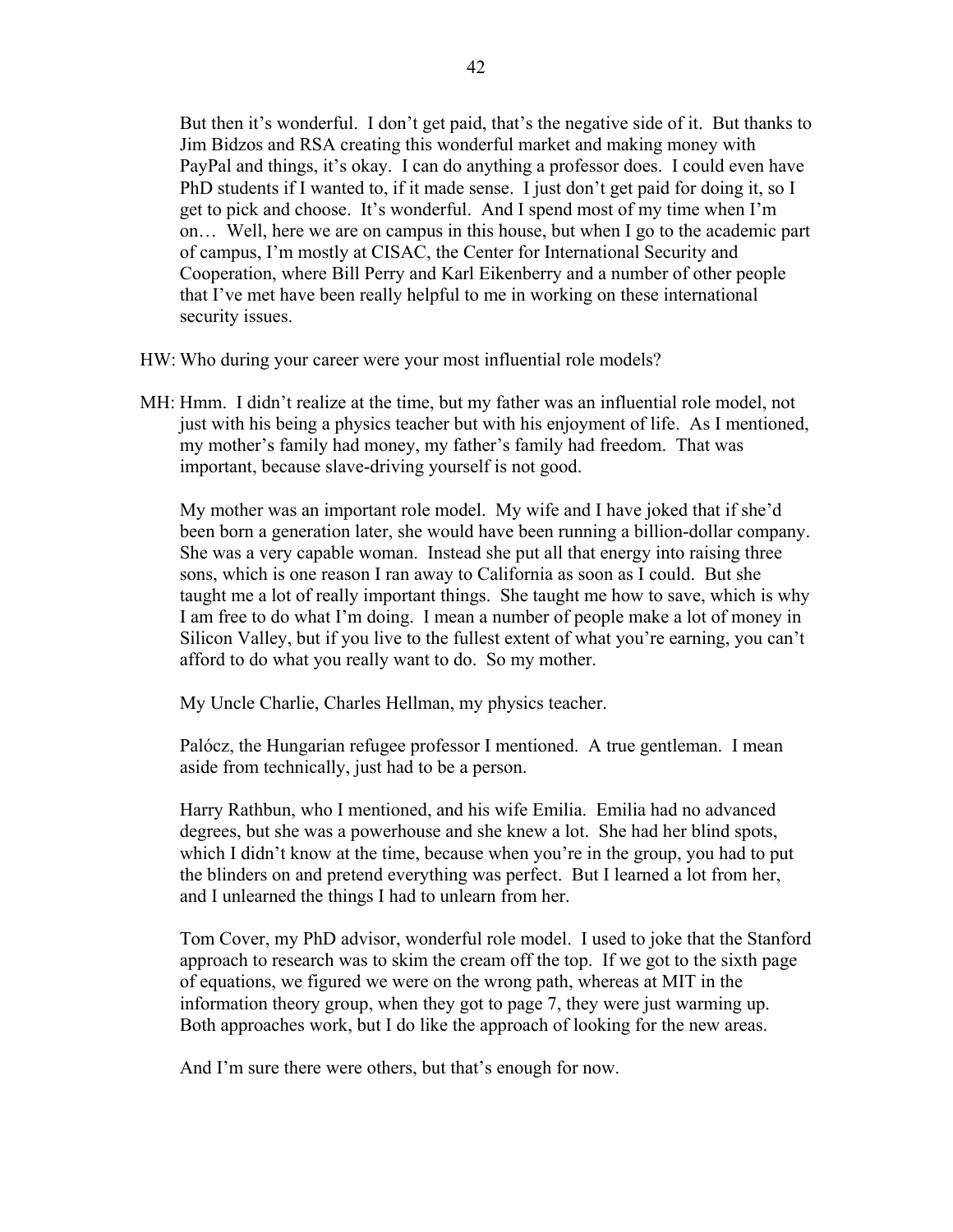But then it's wonderful. I don't get paid, that's the negative side of it. But thanks to Jim Bidzos and RSA creating this wonderful market and making money with PayPal and things, it's okay. I can do anything a professor does. I could even have PhD students if I wanted to, if it made sense. I just don't get paid for doing it, so I get to pick and choose. It's wonderful. And I spend most of my time when I'm on… Well, here we are on campus in this house, but when I go to the academic part of campus, I'm mostly at CISAC, the Center for International Security and Cooperation, where Bill Perry and Karl Eikenberry and a number of other people that I've met have been really helpful to me in working on these international security issues.

HW: Who during your career were your most influential role models?

MH: Hmm. I didn't realize at the time, but my father was an influential role model, not just with his being a physics teacher but with his enjoyment of life. As I mentioned, my mother's family had money, my father's family had freedom. That was important, because slave-driving yourself is not good.

 My mother was an important role model. My wife and I have joked that if she'd been born a generation later, she would have been running a billion-dollar company. She was a very capable woman. Instead she put all that energy into raising three sons, which is one reason I ran away to California as soon as I could. But she taught me a lot of really important things. She taught me how to save, which is why I am free to do what I'm doing. I mean a number of people make a lot of money in Silicon Valley, but if you live to the fullest extent of what you're earning, you can't afford to do what you really want to do. So my mother.

My Uncle Charlie, Charles Hellman, my physics teacher.

 Palócz, the Hungarian refugee professor I mentioned. A true gentleman. I mean aside from technically, just had to be a person.

 Harry Rathbun, who I mentioned, and his wife Emilia. Emilia had no advanced degrees, but she was a powerhouse and she knew a lot. She had her blind spots, which I didn't know at the time, because when you're in the group, you had to put the blinders on and pretend everything was perfect. But I learned a lot from her, and I unlearned the things I had to unlearn from her.

 Tom Cover, my PhD advisor, wonderful role model. I used to joke that the Stanford approach to research was to skim the cream off the top. If we got to the sixth page of equations, we figured we were on the wrong path, whereas at MIT in the information theory group, when they got to page 7, they were just warming up. Both approaches work, but I do like the approach of looking for the new areas.

And I'm sure there were others, but that's enough for now.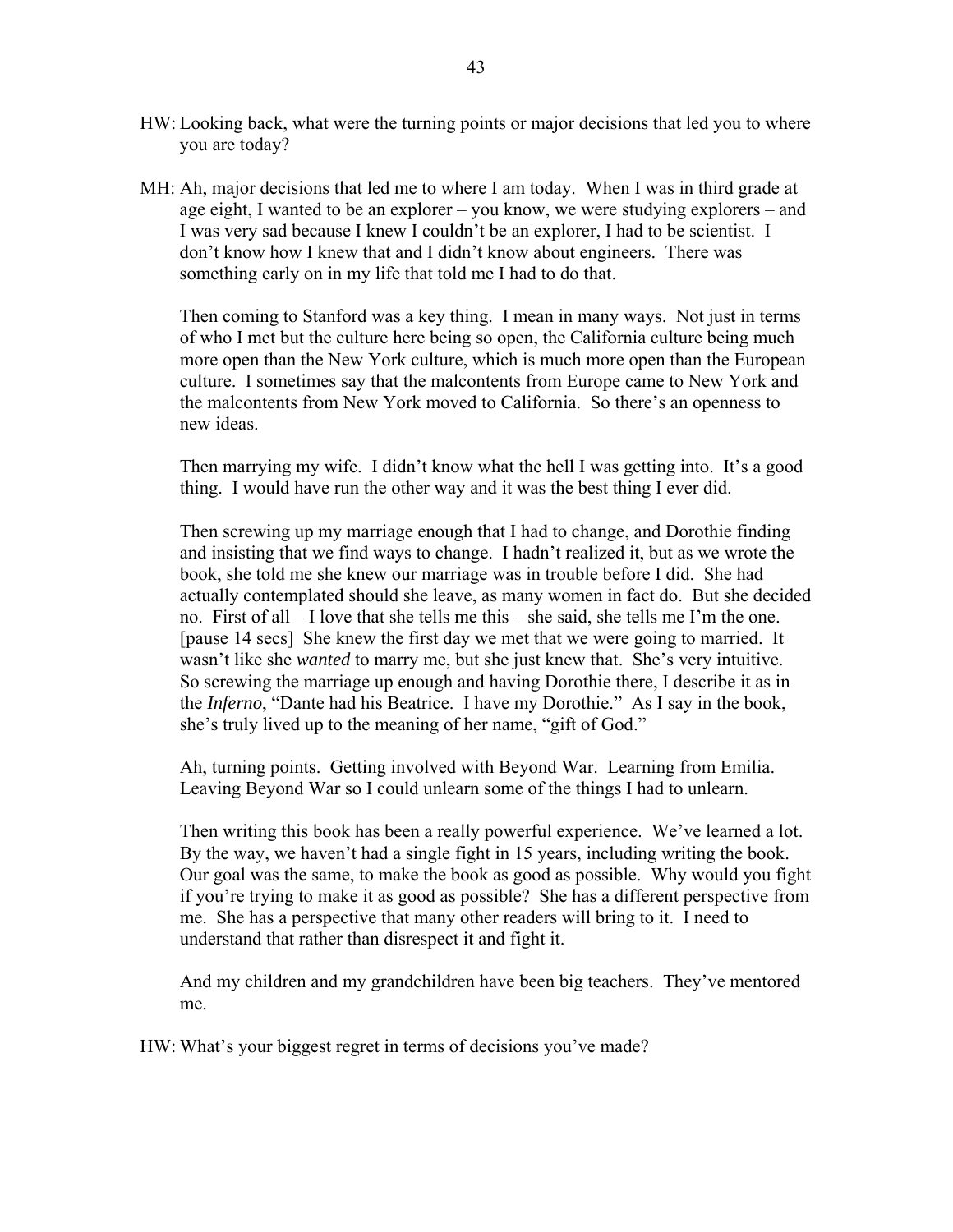- HW: Looking back, what were the turning points or major decisions that led you to where you are today?
- MH: Ah, major decisions that led me to where I am today. When I was in third grade at age eight, I wanted to be an explorer – you know, we were studying explorers – and I was very sad because I knew I couldn't be an explorer, I had to be scientist. I don't know how I knew that and I didn't know about engineers. There was something early on in my life that told me I had to do that.

 Then coming to Stanford was a key thing. I mean in many ways. Not just in terms of who I met but the culture here being so open, the California culture being much more open than the New York culture, which is much more open than the European culture. I sometimes say that the malcontents from Europe came to New York and the malcontents from New York moved to California. So there's an openness to new ideas.

 Then marrying my wife. I didn't know what the hell I was getting into. It's a good thing. I would have run the other way and it was the best thing I ever did.

 Then screwing up my marriage enough that I had to change, and Dorothie finding and insisting that we find ways to change. I hadn't realized it, but as we wrote the book, she told me she knew our marriage was in trouble before I did. She had actually contemplated should she leave, as many women in fact do. But she decided no. First of all – I love that she tells me this – she said, she tells me I'm the one. [pause 14 secs] She knew the first day we met that we were going to married. It wasn't like she *wanted* to marry me, but she just knew that. She's very intuitive. So screwing the marriage up enough and having Dorothie there, I describe it as in the *Inferno*, "Dante had his Beatrice. I have my Dorothie." As I say in the book, she's truly lived up to the meaning of her name, "gift of God."

 Ah, turning points. Getting involved with Beyond War. Learning from Emilia. Leaving Beyond War so I could unlearn some of the things I had to unlearn.

 Then writing this book has been a really powerful experience. We've learned a lot. By the way, we haven't had a single fight in 15 years, including writing the book. Our goal was the same, to make the book as good as possible. Why would you fight if you're trying to make it as good as possible? She has a different perspective from me. She has a perspective that many other readers will bring to it. I need to understand that rather than disrespect it and fight it.

 And my children and my grandchildren have been big teachers. They've mentored me.

HW: What's your biggest regret in terms of decisions you've made?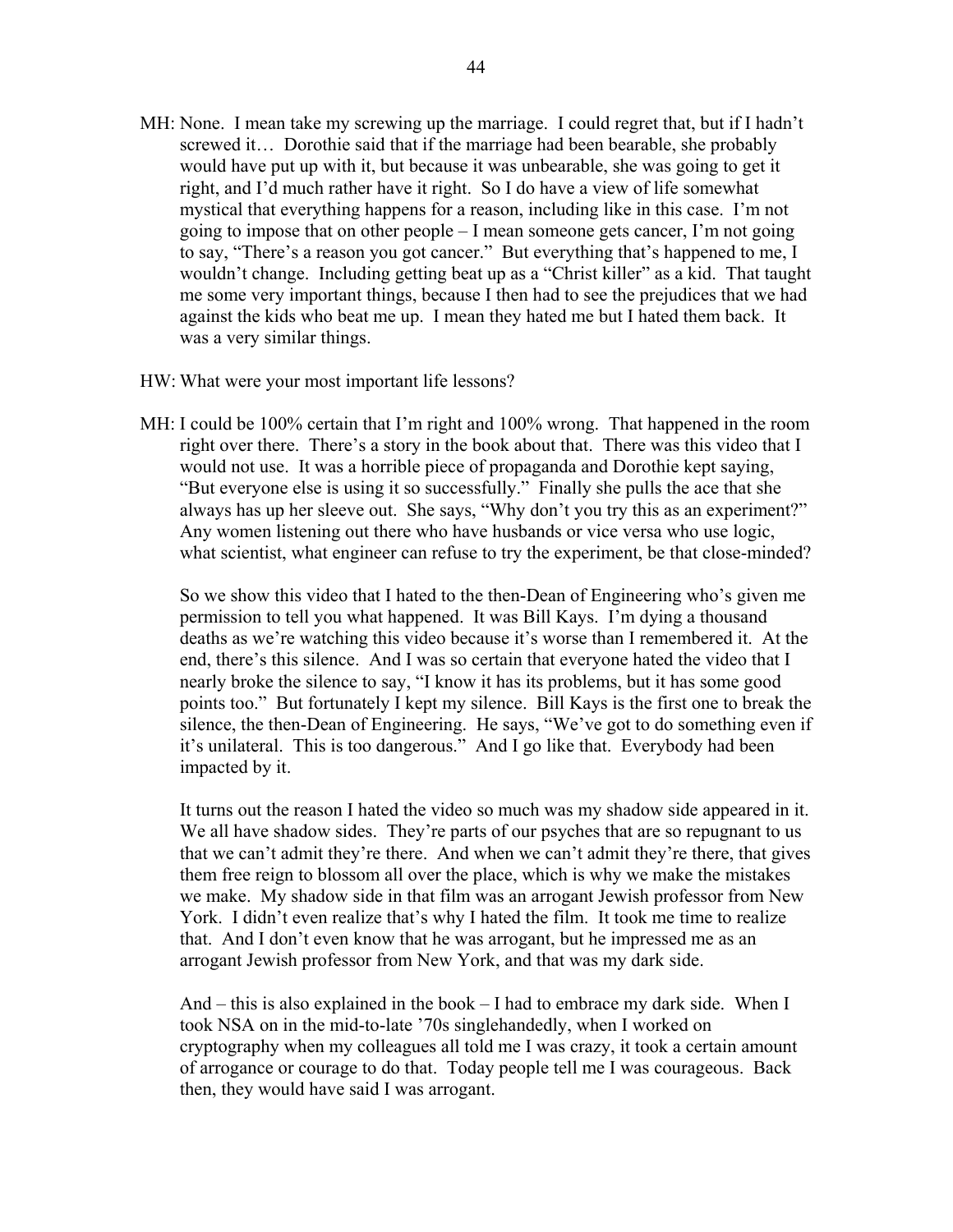- MH: None. I mean take my screwing up the marriage. I could regret that, but if I hadn't screwed it… Dorothie said that if the marriage had been bearable, she probably would have put up with it, but because it was unbearable, she was going to get it right, and I'd much rather have it right. So I do have a view of life somewhat mystical that everything happens for a reason, including like in this case. I'm not going to impose that on other people – I mean someone gets cancer, I'm not going to say, "There's a reason you got cancer." But everything that's happened to me, I wouldn't change. Including getting beat up as a "Christ killer" as a kid. That taught me some very important things, because I then had to see the prejudices that we had against the kids who beat me up. I mean they hated me but I hated them back. It was a very similar things.
- HW: What were your most important life lessons?
- MH: I could be 100% certain that I'm right and 100% wrong. That happened in the room right over there. There's a story in the book about that. There was this video that I would not use. It was a horrible piece of propaganda and Dorothie kept saying, "But everyone else is using it so successfully." Finally she pulls the ace that she always has up her sleeve out. She says, "Why don't you try this as an experiment?" Any women listening out there who have husbands or vice versa who use logic, what scientist, what engineer can refuse to try the experiment, be that close-minded?

 So we show this video that I hated to the then-Dean of Engineering who's given me permission to tell you what happened. It was Bill Kays. I'm dying a thousand deaths as we're watching this video because it's worse than I remembered it. At the end, there's this silence. And I was so certain that everyone hated the video that I nearly broke the silence to say, "I know it has its problems, but it has some good points too." But fortunately I kept my silence. Bill Kays is the first one to break the silence, the then-Dean of Engineering. He says, "We've got to do something even if it's unilateral. This is too dangerous." And I go like that. Everybody had been impacted by it.

 It turns out the reason I hated the video so much was my shadow side appeared in it. We all have shadow sides. They're parts of our psyches that are so repugnant to us that we can't admit they're there. And when we can't admit they're there, that gives them free reign to blossom all over the place, which is why we make the mistakes we make. My shadow side in that film was an arrogant Jewish professor from New York. I didn't even realize that's why I hated the film. It took me time to realize that. And I don't even know that he was arrogant, but he impressed me as an arrogant Jewish professor from New York, and that was my dark side.

And – this is also explained in the book – I had to embrace my dark side. When I took NSA on in the mid-to-late '70s singlehandedly, when I worked on cryptography when my colleagues all told me I was crazy, it took a certain amount of arrogance or courage to do that. Today people tell me I was courageous. Back then, they would have said I was arrogant.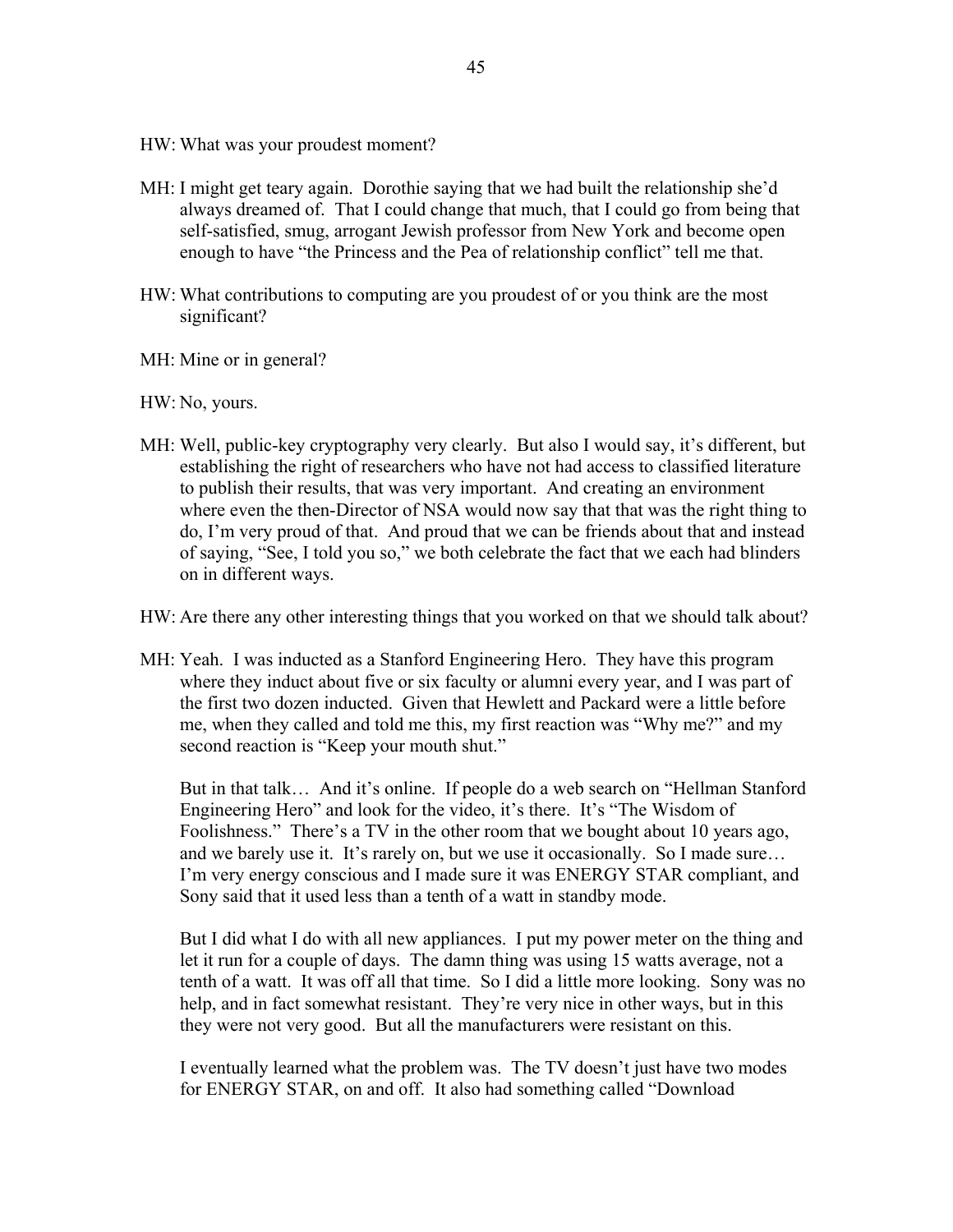- HW: What was your proudest moment?
- MH: I might get teary again. Dorothie saying that we had built the relationship she'd always dreamed of. That I could change that much, that I could go from being that self-satisfied, smug, arrogant Jewish professor from New York and become open enough to have "the Princess and the Pea of relationship conflict" tell me that.
- HW: What contributions to computing are you proudest of or you think are the most significant?
- MH: Mine or in general?

HW: No, yours.

- MH: Well, public-key cryptography very clearly. But also I would say, it's different, but establishing the right of researchers who have not had access to classified literature to publish their results, that was very important. And creating an environment where even the then-Director of NSA would now say that that was the right thing to do, I'm very proud of that. And proud that we can be friends about that and instead of saying, "See, I told you so," we both celebrate the fact that we each had blinders on in different ways.
- HW: Are there any other interesting things that you worked on that we should talk about?
- MH: Yeah. I was inducted as a Stanford Engineering Hero. They have this program where they induct about five or six faculty or alumni every year, and I was part of the first two dozen inducted. Given that Hewlett and Packard were a little before me, when they called and told me this, my first reaction was "Why me?" and my second reaction is "Keep your mouth shut."

 But in that talk… And it's online. If people do a web search on "Hellman Stanford Engineering Hero" and look for the video, it's there. It's "The Wisdom of Foolishness." There's a TV in the other room that we bought about 10 years ago, and we barely use it. It's rarely on, but we use it occasionally. So I made sure… I'm very energy conscious and I made sure it was ENERGY STAR compliant, and Sony said that it used less than a tenth of a watt in standby mode.

 But I did what I do with all new appliances. I put my power meter on the thing and let it run for a couple of days. The damn thing was using 15 watts average, not a tenth of a watt. It was off all that time. So I did a little more looking. Sony was no help, and in fact somewhat resistant. They're very nice in other ways, but in this they were not very good. But all the manufacturers were resistant on this.

 I eventually learned what the problem was. The TV doesn't just have two modes for ENERGY STAR, on and off. It also had something called "Download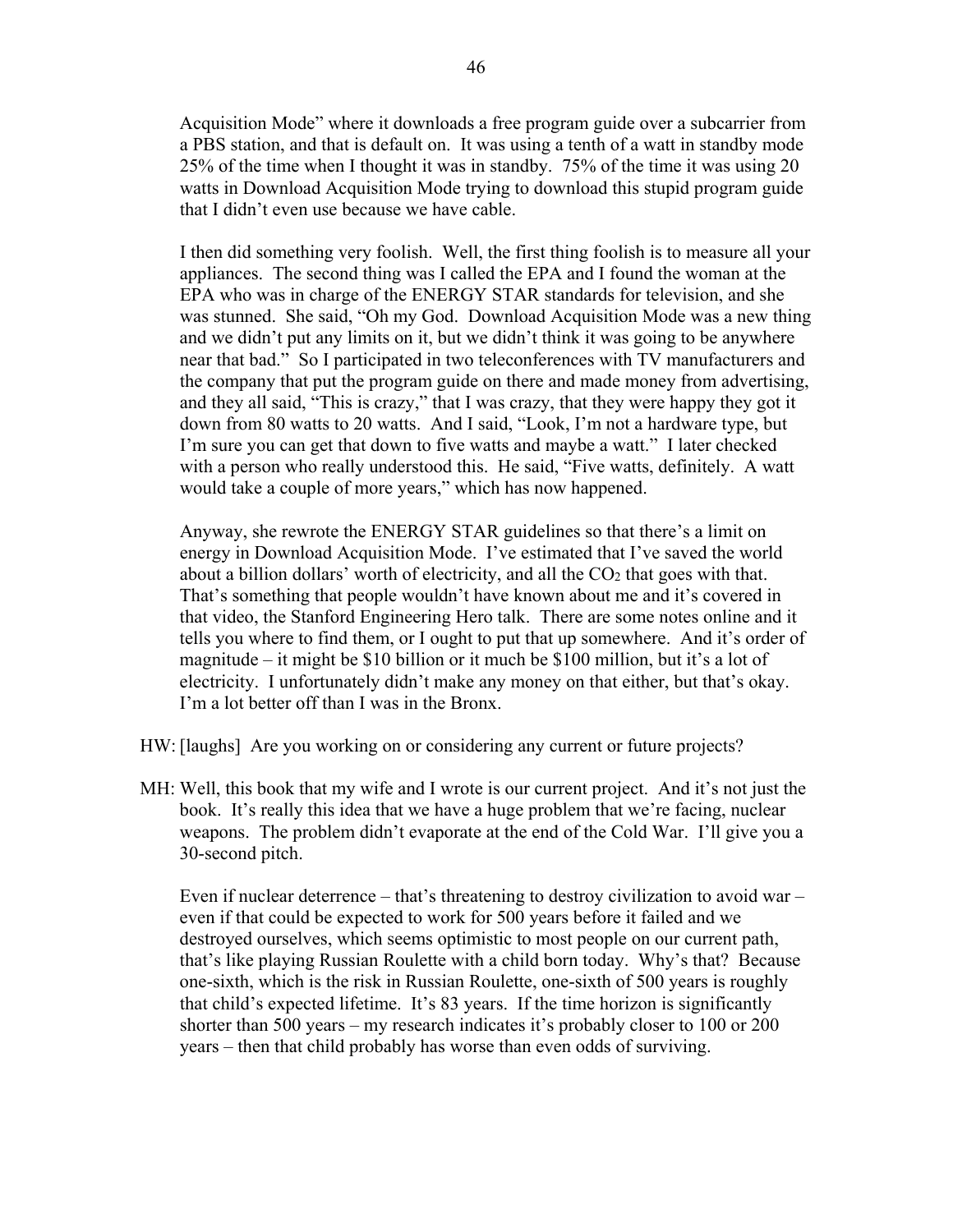Acquisition Mode" where it downloads a free program guide over a subcarrier from a PBS station, and that is default on. It was using a tenth of a watt in standby mode 25% of the time when I thought it was in standby. 75% of the time it was using 20 watts in Download Acquisition Mode trying to download this stupid program guide that I didn't even use because we have cable.

 I then did something very foolish. Well, the first thing foolish is to measure all your appliances. The second thing was I called the EPA and I found the woman at the EPA who was in charge of the ENERGY STAR standards for television, and she was stunned. She said, "Oh my God. Download Acquisition Mode was a new thing and we didn't put any limits on it, but we didn't think it was going to be anywhere near that bad." So I participated in two teleconferences with TV manufacturers and the company that put the program guide on there and made money from advertising, and they all said, "This is crazy," that I was crazy, that they were happy they got it down from 80 watts to 20 watts. And I said, "Look, I'm not a hardware type, but I'm sure you can get that down to five watts and maybe a watt." I later checked with a person who really understood this. He said, "Five watts, definitely. A watt would take a couple of more years," which has now happened.

 Anyway, she rewrote the ENERGY STAR guidelines so that there's a limit on energy in Download Acquisition Mode. I've estimated that I've saved the world about a billion dollars' worth of electricity, and all the  $CO<sub>2</sub>$  that goes with that. That's something that people wouldn't have known about me and it's covered in that video, the Stanford Engineering Hero talk. There are some notes online and it tells you where to find them, or I ought to put that up somewhere. And it's order of magnitude – it might be \$10 billion or it much be \$100 million, but it's a lot of electricity. I unfortunately didn't make any money on that either, but that's okay. I'm a lot better off than I was in the Bronx.

- HW: [laughs] Are you working on or considering any current or future projects?
- MH: Well, this book that my wife and I wrote is our current project. And it's not just the book. It's really this idea that we have a huge problem that we're facing, nuclear weapons. The problem didn't evaporate at the end of the Cold War. I'll give you a 30-second pitch.

 Even if nuclear deterrence – that's threatening to destroy civilization to avoid war – even if that could be expected to work for 500 years before it failed and we destroyed ourselves, which seems optimistic to most people on our current path, that's like playing Russian Roulette with a child born today. Why's that? Because one-sixth, which is the risk in Russian Roulette, one-sixth of 500 years is roughly that child's expected lifetime. It's 83 years. If the time horizon is significantly shorter than 500 years – my research indicates it's probably closer to 100 or 200 years – then that child probably has worse than even odds of surviving.